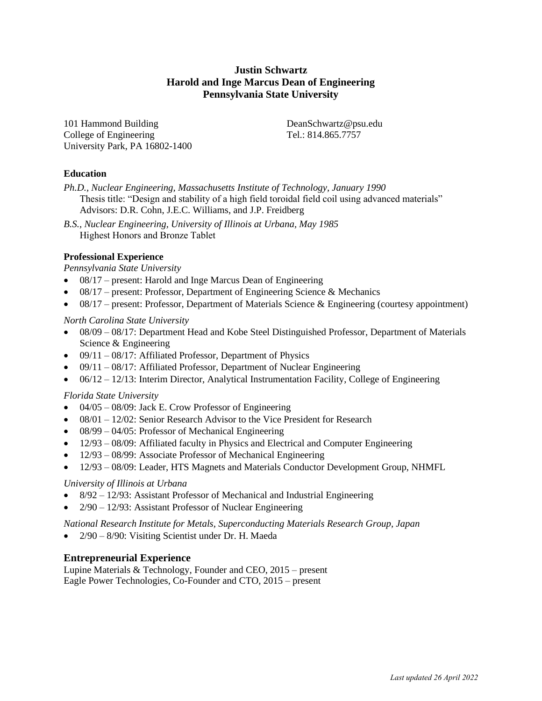# **Justin Schwartz Harold and Inge Marcus Dean of Engineering Pennsylvania State University**

101 Hammond Building DeanSchwartz@psu.edu College of Engineering Tel.: 814.865.7757 University Park, PA 16802-1400

### **Education**

*Ph.D., Nuclear Engineering, Massachusetts Institute of Technology, January 1990* Thesis title: "Design and stability of a high field toroidal field coil using advanced materials" Advisors: D.R. Cohn, J.E.C. Williams, and J.P. Freidberg

*B.S., Nuclear Engineering, University of Illinois at Urbana, May 1985* Highest Honors and Bronze Tablet

### **Professional Experience**

*Pennsylvania State University*

- 08/17 present: Harold and Inge Marcus Dean of Engineering
- 08/17 present: Professor, Department of Engineering Science & Mechanics
- 08/17 present: Professor, Department of Materials Science & Engineering (courtesy appointment)

#### *North Carolina State University*

- 08/09 08/17: Department Head and Kobe Steel Distinguished Professor, Department of Materials Science & Engineering
- $\bullet$  09/11 08/17: Affiliated Professor, Department of Physics
- 09/11 08/17: Affiliated Professor, Department of Nuclear Engineering
- $06/12 12/13$ : Interim Director, Analytical Instrumentation Facility, College of Engineering

#### *Florida State University*

- $\bullet$  04/05 08/09: Jack E. Crow Professor of Engineering
- 08/01 12/02: Senior Research Advisor to the Vice President for Research
- 08/99 04/05: Professor of Mechanical Engineering
- 12/93 08/09: Affiliated faculty in Physics and Electrical and Computer Engineering
- 12/93 08/99: Associate Professor of Mechanical Engineering
- 12/93 08/09: Leader, HTS Magnets and Materials Conductor Development Group, NHMFL

#### *University of Illinois at Urbana*

- 8/92 12/93: Assistant Professor of Mechanical and Industrial Engineering
- 2/90 12/93: Assistant Professor of Nuclear Engineering

*National Research Institute for Metals, Superconducting Materials Research Group, Japan* 

• 2/90 – 8/90: Visiting Scientist under Dr. H. Maeda

# **Entrepreneurial Experience**

Lupine Materials & Technology, Founder and CEO, 2015 – present Eagle Power Technologies, Co-Founder and CTO, 2015 – present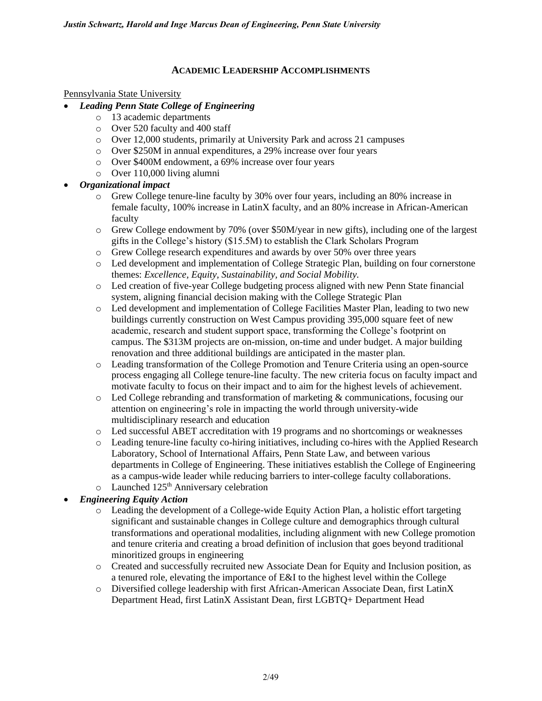### **ACADEMIC LEADERSHIP ACCOMPLISHMENTS**

#### Pennsylvania State University

- *Leading Penn State College of Engineering*
	- o 13 academic departments
	- o Over 520 faculty and 400 staff
	- o Over 12,000 students, primarily at University Park and across 21 campuses
	- o Over \$250M in annual expenditures, a 29% increase over four years
	- o Over \$400M endowment, a 69% increase over four years
	- o Over 110,000 living alumni
- *Organizational impact*
	- o Grew College tenure-line faculty by 30% over four years, including an 80% increase in female faculty, 100% increase in LatinX faculty, and an 80% increase in African-American faculty
	- o Grew College endowment by 70% (over \$50M/year in new gifts), including one of the largest gifts in the College's history (\$15.5M) to establish the Clark Scholars Program
	- o Grew College research expenditures and awards by over 50% over three years
	- o Led development and implementation of College Strategic Plan, building on four cornerstone themes: *Excellence, Equity, Sustainability, and Social Mobility.*
	- o Led creation of five-year College budgeting process aligned with new Penn State financial system, aligning financial decision making with the College Strategic Plan
	- o Led development and implementation of College Facilities Master Plan, leading to two new buildings currently construction on West Campus providing 395,000 square feet of new academic, research and student support space, transforming the College's footprint on campus. The \$313M projects are on-mission, on-time and under budget. A major building renovation and three additional buildings are anticipated in the master plan.
	- o Leading transformation of the College Promotion and Tenure Criteria using an open-source process engaging all College tenure-line faculty. The new criteria focus on faculty impact and motivate faculty to focus on their impact and to aim for the highest levels of achievement.
	- $\circ$  Led College rebranding and transformation of marketing & communications, focusing our attention on engineering's role in impacting the world through university-wide multidisciplinary research and education
	- o Led successful ABET accreditation with 19 programs and no shortcomings or weaknesses
	- o Leading tenure-line faculty co-hiring initiatives, including co-hires with the Applied Research Laboratory, School of International Affairs, Penn State Law, and between various departments in College of Engineering. These initiatives establish the College of Engineering as a campus-wide leader while reducing barriers to inter-college faculty collaborations.
	- o Launched 125<sup>th</sup> Anniversary celebration

# • *Engineering Equity Action*

- o Leading the development of a College-wide Equity Action Plan, a holistic effort targeting significant and sustainable changes in College culture and demographics through cultural transformations and operational modalities, including alignment with new College promotion and tenure criteria and creating a broad definition of inclusion that goes beyond traditional minoritized groups in engineering
- o Created and successfully recruited new Associate Dean for Equity and Inclusion position, as a tenured role, elevating the importance of E&I to the highest level within the College
- o Diversified college leadership with first African-American Associate Dean, first LatinX Department Head, first LatinX Assistant Dean, first LGBTQ+ Department Head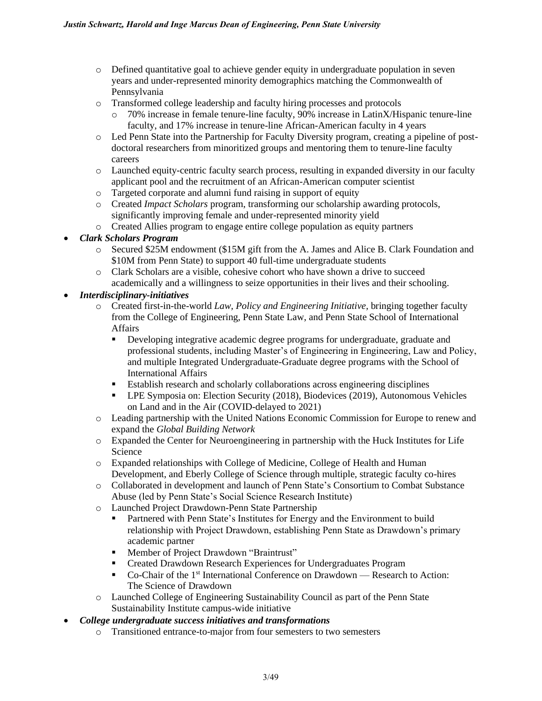- o Defined quantitative goal to achieve gender equity in undergraduate population in seven years and under-represented minority demographics matching the Commonwealth of Pennsylvania
- o Transformed college leadership and faculty hiring processes and protocols
	- o 70% increase in female tenure-line faculty, 90% increase in LatinX/Hispanic tenure-line faculty, and 17% increase in tenure-line African-American faculty in 4 years
- o Led Penn State into the Partnership for Faculty Diversity program, creating a pipeline of postdoctoral researchers from minoritized groups and mentoring them to tenure-line faculty careers
- o Launched equity-centric faculty search process, resulting in expanded diversity in our faculty applicant pool and the recruitment of an African-American computer scientist
- o Targeted corporate and alumni fund raising in support of equity
- o Created *Impact Scholars* program, transforming our scholarship awarding protocols, significantly improving female and under-represented minority yield
- o Created Allies program to engage entire college population as equity partners

# • *Clark Scholars Program*

- o Secured \$25M endowment (\$15M gift from the A. James and Alice B. Clark Foundation and \$10M from Penn State) to support 40 full-time undergraduate students
- o Clark Scholars are a visible, cohesive cohort who have shown a drive to succeed academically and a willingness to seize opportunities in their lives and their schooling.

# • *Interdisciplinary-initiatives*

- o Created first-in-the-world *Law, Policy and Engineering Initiative*, bringing together faculty from the College of Engineering, Penn State Law, and Penn State School of International Affairs
	- **•** Developing integrative academic degree programs for undergraduate, graduate and professional students, including Master's of Engineering in Engineering, Law and Policy, and multiple Integrated Undergraduate-Graduate degree programs with the School of International Affairs
	- **Establish research and scholarly collaborations across engineering disciplines**
	- LPE Symposia on: Election Security (2018), Biodevices (2019), Autonomous Vehicles on Land and in the Air (COVID-delayed to 2021)
- o Leading partnership with the United Nations Economic Commission for Europe to renew and expand the *Global Building Network*
- o Expanded the Center for Neuroengineering in partnership with the Huck Institutes for Life Science
- o Expanded relationships with College of Medicine, College of Health and Human Development, and Eberly College of Science through multiple, strategic faculty co-hires
- o Collaborated in development and launch of Penn State's Consortium to Combat Substance Abuse (led by Penn State's Social Science Research Institute)
- o Launched Project Drawdown-Penn State Partnership
	- Partnered with Penn State's Institutes for Energy and the Environment to build relationship with Project Drawdown, establishing Penn State as Drawdown's primary academic partner
	- Member of Project Drawdown "Braintrust"
	- Created Drawdown Research Experiences for Undergraduates Program
	- Co-Chair of the 1<sup>st</sup> International Conference on Drawdown Research to Action: The Science of Drawdown
- o Launched College of Engineering Sustainability Council as part of the Penn State Sustainability Institute campus-wide initiative
- *College undergraduate success initiatives and transformations*
	- o Transitioned entrance-to-major from four semesters to two semesters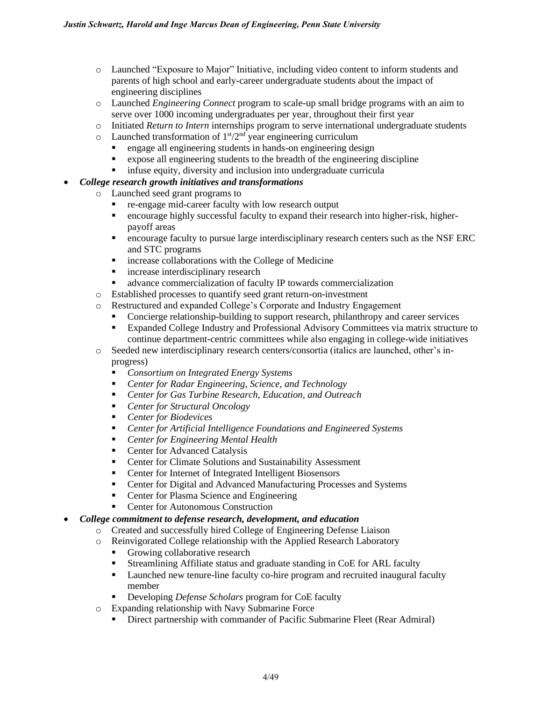- o Launched "Exposure to Major" Initiative, including video content to inform students and parents of high school and early-career undergraduate students about the impact of engineering disciplines
- o Launched *Engineering Connect* program to scale-up small bridge programs with an aim to serve over 1000 incoming undergraduates per year, throughout their first year
- o Initiated *Return to Intern* internships program to serve international undergraduate students
- $\circ$  Launched transformation of  $1<sup>st</sup>/2<sup>nd</sup>$  year engineering curriculum
	- engage all engineering students in hands-on engineering design
	- expose all engineering students to the breadth of the engineering discipline
	- **•** infuse equity, diversity and inclusion into undergraduate curricula

### • *College research growth initiatives and transformations*

- o Launched seed grant programs to
	- re-engage mid-career faculty with low research output
	- encourage highly successful faculty to expand their research into higher-risk, higherpayoff areas
	- **•** encourage faculty to pursue large interdisciplinary research centers such as the NSF ERC and STC programs
	- **EXECUTE:** increase collaborations with the College of Medicine
	- **•** increase interdisciplinary research
	- advance commercialization of faculty IP towards commercialization
- o Established processes to quantify seed grant return-on-investment
- o Restructured and expanded College's Corporate and Industry Engagement
	- Concierge relationship-building to support research, philanthropy and career services
	- Expanded College Industry and Professional Advisory Committees via matrix structure to continue department-centric committees while also engaging in college-wide initiatives
- o Seeded new interdisciplinary research centers/consortia (italics are launched, other's inprogress)
	- *Consortium on Integrated Energy Systems*
	- *Center for Radar Engineering, Science, and Technology*
	- *Center for Gas Turbine Research, Education, and Outreach*
	- *Center for Structural Oncology*
	- *Center for Biodevices*
	- *Center for Artificial Intelligence Foundations and Engineered Systems*
	- *Center for Engineering Mental Health*
	- Center for Advanced Catalysis
	- Center for Climate Solutions and Sustainability Assessment
	- Center for Internet of Integrated Intelligent Biosensors
	- Center for Digital and Advanced Manufacturing Processes and Systems
	- Center for Plasma Science and Engineering
	- Center for Autonomous Construction
- *College commitment to defense research, development, and education*
	- o Created and successfully hired College of Engineering Defense Liaison
	- o Reinvigorated College relationship with the Applied Research Laboratory
		- Growing collaborative research
		- **EXECUTE:** Streamlining Affiliate status and graduate standing in CoE for ARL faculty
		- Launched new tenure-line faculty co-hire program and recruited inaugural faculty member
		- Developing *Defense Scholars* program for CoE faculty
	- o Expanding relationship with Navy Submarine Force
		- **•** Direct partnership with commander of Pacific Submarine Fleet (Rear Admiral)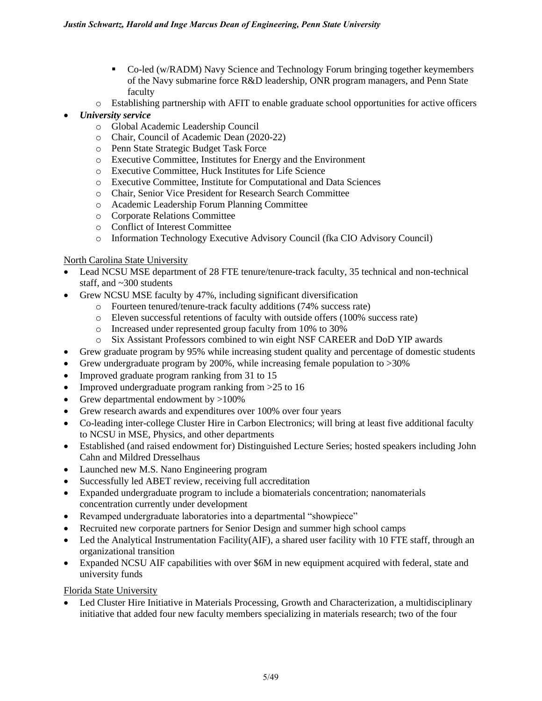- Co-led (w/RADM) Navy Science and Technology Forum bringing together keymembers of the Navy submarine force R&D leadership, ONR program managers, and Penn State faculty
- o Establishing partnership with AFIT to enable graduate school opportunities for active officers
- *University service*
	- o Global Academic Leadership Council
	- o Chair, Council of Academic Dean (2020-22)
	- o Penn State Strategic Budget Task Force
	- o Executive Committee, Institutes for Energy and the Environment
	- o Executive Committee, Huck Institutes for Life Science
	- o Executive Committee, Institute for Computational and Data Sciences
	- o Chair, Senior Vice President for Research Search Committee
	- o Academic Leadership Forum Planning Committee
	- o Corporate Relations Committee
	- o Conflict of Interest Committee
	- o Information Technology Executive Advisory Council (fka CIO Advisory Council)

### North Carolina State University

- Lead NCSU MSE department of 28 FTE tenure/tenure-track faculty, 35 technical and non-technical staff, and ~300 students
- Grew NCSU MSE faculty by 47%, including significant diversification
	- o Fourteen tenured/tenure-track faculty additions (74% success rate)
	- o Eleven successful retentions of faculty with outside offers (100% success rate)
	- o Increased under represented group faculty from 10% to 30%
	- o Six Assistant Professors combined to win eight NSF CAREER and DoD YIP awards
- Grew graduate program by 95% while increasing student quality and percentage of domestic students
- Grew undergraduate program by 200%, while increasing female population to >30%
- Improved graduate program ranking from 31 to 15
- Improved undergraduate program ranking from >25 to 16
- Grew departmental endowment by >100%
- Grew research awards and expenditures over 100% over four years
- Co-leading inter-college Cluster Hire in Carbon Electronics; will bring at least five additional faculty to NCSU in MSE, Physics, and other departments
- Established (and raised endowment for) Distinguished Lecture Series; hosted speakers including John Cahn and Mildred Dresselhaus
- Launched new M.S. Nano Engineering program
- Successfully led ABET review, receiving full accreditation
- Expanded undergraduate program to include a biomaterials concentration; nanomaterials concentration currently under development
- Revamped undergraduate laboratories into a departmental "showpiece"
- Recruited new corporate partners for Senior Design and summer high school camps
- Led the Analytical Instrumentation Facility(AIF), a shared user facility with 10 FTE staff, through an organizational transition
- Expanded NCSU AIF capabilities with over \$6M in new equipment acquired with federal, state and university funds

Florida State University

• Led Cluster Hire Initiative in Materials Processing, Growth and Characterization, a multidisciplinary initiative that added four new faculty members specializing in materials research; two of the four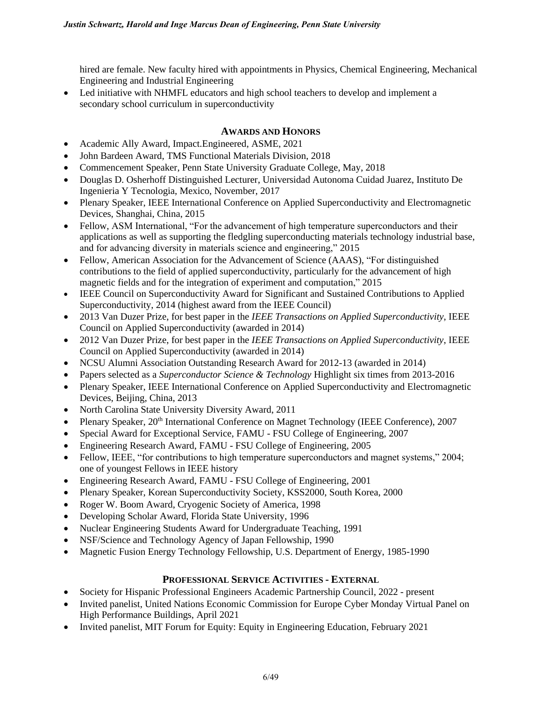hired are female. New faculty hired with appointments in Physics, Chemical Engineering, Mechanical Engineering and Industrial Engineering

• Led initiative with NHMFL educators and high school teachers to develop and implement a secondary school curriculum in superconductivity

# **AWARDS AND HONORS**

- Academic Ally Award, Impact.Engineered, ASME, 2021
- John Bardeen Award, TMS Functional Materials Division, 2018
- Commencement Speaker, Penn State University Graduate College, May, 2018
- Douglas D. Osherhoff Distinguished Lecturer, Universidad Autonoma Cuidad Juarez, Instituto De Ingenieria Y Tecnologia, Mexico, November, 2017
- Plenary Speaker, IEEE International Conference on Applied Superconductivity and Electromagnetic Devices, Shanghai, China, 2015
- Fellow, ASM International, "For the advancement of high temperature superconductors and their applications as well as supporting the fledgling superconducting materials technology industrial base, and for advancing diversity in materials science and engineering," 2015
- Fellow, American Association for the Advancement of Science (AAAS), "For distinguished contributions to the field of applied superconductivity, particularly for the advancement of high magnetic fields and for the integration of experiment and computation," 2015
- IEEE Council on Superconductivity Award for Significant and Sustained Contributions to Applied Superconductivity, 2014 (highest award from the IEEE Council)
- 2013 Van Duzer Prize, for best paper in the *IEEE Transactions on Applied Superconductivity*, IEEE Council on Applied Superconductivity (awarded in 2014)
- 2012 Van Duzer Prize, for best paper in the *IEEE Transactions on Applied Superconductivity*, IEEE Council on Applied Superconductivity (awarded in 2014)
- NCSU Alumni Association Outstanding Research Award for 2012-13 (awarded in 2014)
- Papers selected as a *Superconductor Science & Technology* Highlight six times from 2013-2016
- Plenary Speaker, IEEE International Conference on Applied Superconductivity and Electromagnetic Devices, Beijing, China, 2013
- North Carolina State University Diversity Award, 2011
- Plenary Speaker, 20<sup>th</sup> International Conference on Magnet Technology (IEEE Conference), 2007
- Special Award for Exceptional Service, FAMU FSU College of Engineering, 2007
- Engineering Research Award, FAMU FSU College of Engineering, 2005
- Fellow, IEEE, "for contributions to high temperature superconductors and magnet systems," 2004; one of youngest Fellows in IEEE history
- Engineering Research Award, FAMU FSU College of Engineering, 2001
- Plenary Speaker, Korean Superconductivity Society, KSS2000, South Korea, 2000
- Roger W. Boom Award, Cryogenic Society of America, 1998
- Developing Scholar Award, Florida State University, 1996
- Nuclear Engineering Students Award for Undergraduate Teaching, 1991
- NSF/Science and Technology Agency of Japan Fellowship, 1990
- Magnetic Fusion Energy Technology Fellowship, U.S. Department of Energy, 1985-1990

# **PROFESSIONAL SERVICE ACTIVITIES - EXTERNAL**

- Society for Hispanic Professional Engineers Academic Partnership Council, 2022 present
- Invited panelist, United Nations Economic Commission for Europe Cyber Monday Virtual Panel on High Performance Buildings, April 2021
- Invited panelist, MIT Forum for Equity: Equity in Engineering Education, February 2021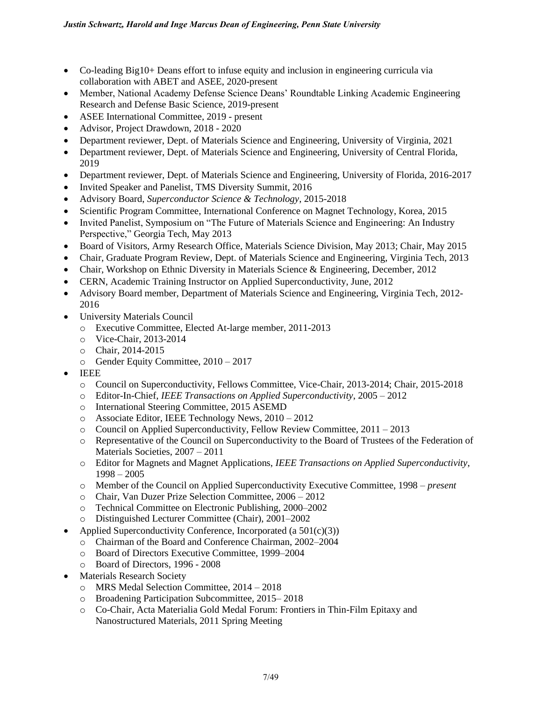- Co-leading Big10+ Deans effort to infuse equity and inclusion in engineering curricula via collaboration with ABET and ASEE, 2020-present
- Member, National Academy Defense Science Deans' Roundtable Linking Academic Engineering Research and Defense Basic Science, 2019-present
- ASEE International Committee, 2019 present
- Advisor, Project Drawdown, 2018 2020
- Department reviewer, Dept. of Materials Science and Engineering, University of Virginia, 2021
- Department reviewer, Dept. of Materials Science and Engineering, University of Central Florida, 2019
- Department reviewer, Dept. of Materials Science and Engineering, University of Florida, 2016-2017
- Invited Speaker and Panelist, TMS Diversity Summit, 2016
- Advisory Board, *Superconductor Science & Technology*, 2015-2018
- Scientific Program Committee, International Conference on Magnet Technology, Korea, 2015
- Invited Panelist, Symposium on "The Future of Materials Science and Engineering: An Industry Perspective," Georgia Tech, May 2013
- Board of Visitors, Army Research Office, Materials Science Division, May 2013; Chair, May 2015
- Chair, Graduate Program Review, Dept. of Materials Science and Engineering, Virginia Tech, 2013
- Chair, Workshop on Ethnic Diversity in Materials Science & Engineering, December, 2012
- CERN, Academic Training Instructor on Applied Superconductivity, June, 2012
- Advisory Board member, Department of Materials Science and Engineering, Virginia Tech, 2012- 2016
- University Materials Council
	- o Executive Committee, Elected At-large member, 2011-2013
	- o Vice-Chair, 2013-2014
	- o Chair, 2014-2015
	- o Gender Equity Committee, 2010 2017
- IEEE
	- o Council on Superconductivity, Fellows Committee, Vice-Chair, 2013-2014; Chair, 2015-2018
	- o Editor-In-Chief, *IEEE Transactions on Applied Superconductivity*, 2005 2012
	- o International Steering Committee, 2015 ASEMD
	- o Associate Editor, IEEE Technology News, 2010 2012
	- o Council on Applied Superconductivity, Fellow Review Committee, 2011 2013
	- o Representative of the Council on Superconductivity to the Board of Trustees of the Federation of Materials Societies, 2007 – 2011
	- o Editor for Magnets and Magnet Applications, *IEEE Transactions on Applied Superconductivity*, 1998 – 2005
	- o Member of the Council on Applied Superconductivity Executive Committee, 1998 *present*
	- o Chair, Van Duzer Prize Selection Committee, 2006 2012
	- o Technical Committee on Electronic Publishing, 2000–2002
	- o Distinguished Lecturer Committee (Chair), 2001–2002
- Applied Superconductivity Conference, Incorporated (a  $501(c)(3)$ )
	- o Chairman of the Board and Conference Chairman, 2002–2004
	- o Board of Directors Executive Committee, 1999–2004
	- o Board of Directors, 1996 2008
- Materials Research Society
	- o MRS Medal Selection Committee, 2014 2018
	- o Broadening Participation Subcommittee, 2015– 2018
	- o Co-Chair, Acta Materialia Gold Medal Forum: Frontiers in Thin-Film Epitaxy and Nanostructured Materials, 2011 Spring Meeting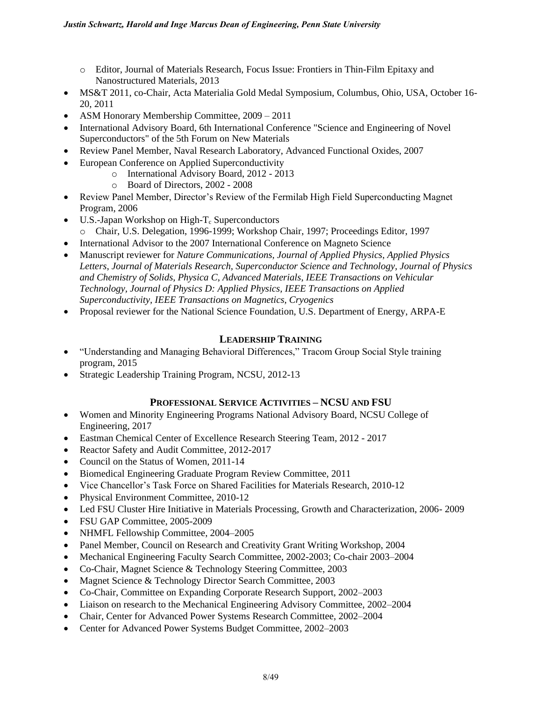- o Editor, Journal of Materials Research, Focus Issue: Frontiers in Thin-Film Epitaxy and Nanostructured Materials, 2013
- MS&T 2011, co-Chair, Acta Materialia Gold Medal Symposium, Columbus, Ohio, USA, October 16-20, 2011
- ASM Honorary Membership Committee,  $2009 2011$
- International Advisory Board, 6th International Conference "Science and Engineering of Novel Superconductors" of the 5th Forum on New Materials
- Review Panel Member, Naval Research Laboratory, Advanced Functional Oxides, 2007
- European Conference on Applied Superconductivity
	- o International Advisory Board, 2012 2013
	- o Board of Directors, 2002 2008
- Review Panel Member, Director's Review of the Fermilab High Field Superconducting Magnet Program, 2006
- U.S.-Japan Workshop on High- $T_c$  Superconductors o Chair, U.S. Delegation, 1996-1999; Workshop Chair, 1997; Proceedings Editor, 1997
- International Advisor to the 2007 International Conference on Magneto Science
- Manuscript reviewer for *Nature Communications, Journal of Applied Physics*, *Applied Physics Letters*, *Journal of Materials Research, Superconductor Science and Technology*, *Journal of Physics and Chemistry of Solids*, *Physica C*, *Advanced Materials*, *IEEE Transactions on Vehicular Technology, Journal of Physics D: Applied Physics, IEEE Transactions on Applied Superconductivity, IEEE Transactions on Magnetics, Cryogenics*
- Proposal reviewer for the National Science Foundation, U.S. Department of Energy, ARPA-E

#### **LEADERSHIP TRAINING**

- "Understanding and Managing Behavioral Differences," Tracom Group Social Style training program, 2015
- Strategic Leadership Training Program, NCSU, 2012-13

#### **PROFESSIONAL SERVICE ACTIVITIES – NCSU AND FSU**

- Women and Minority Engineering Programs National Advisory Board, NCSU College of Engineering, 2017
- Eastman Chemical Center of Excellence Research Steering Team, 2012 2017
- Reactor Safety and Audit Committee, 2012-2017
- Council on the Status of Women, 2011-14
- Biomedical Engineering Graduate Program Review Committee, 2011
- Vice Chancellor's Task Force on Shared Facilities for Materials Research, 2010-12
- Physical Environment Committee, 2010-12
- Led FSU Cluster Hire Initiative in Materials Processing, Growth and Characterization, 2006-2009
- FSU GAP Committee, 2005-2009
- NHMFL Fellowship Committee, 2004–2005
- Panel Member, Council on Research and Creativity Grant Writing Workshop, 2004
- Mechanical Engineering Faculty Search Committee, 2002-2003; Co-chair 2003–2004
- Co-Chair, Magnet Science & Technology Steering Committee, 2003
- Magnet Science & Technology Director Search Committee, 2003
- Co-Chair, Committee on Expanding Corporate Research Support, 2002–2003
- Liaison on research to the Mechanical Engineering Advisory Committee, 2002–2004
- Chair, Center for Advanced Power Systems Research Committee, 2002–2004
- Center for Advanced Power Systems Budget Committee, 2002–2003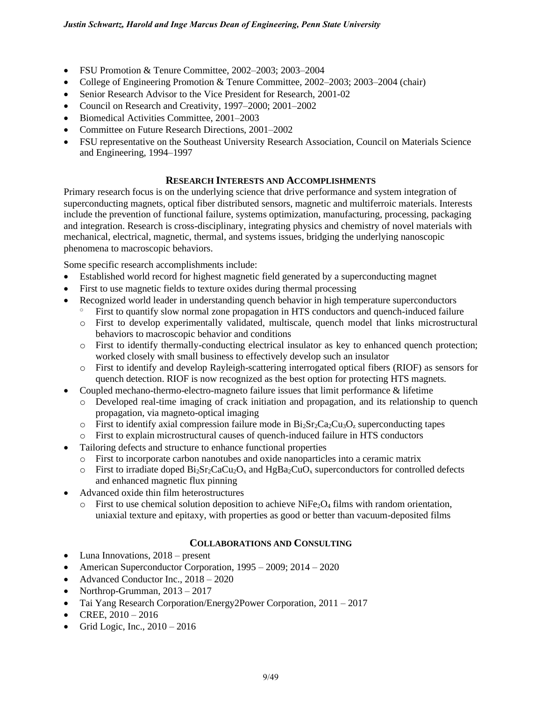- FSU Promotion & Tenure Committee, 2002–2003; 2003–2004
- College of Engineering Promotion & Tenure Committee, 2002–2003; 2003–2004 (chair)
- Senior Research Advisor to the Vice President for Research, 2001-02
- Council on Research and Creativity, 1997–2000; 2001–2002
- Biomedical Activities Committee, 2001–2003
- Committee on Future Research Directions, 2001–2002
- FSU representative on the Southeast University Research Association, Council on Materials Science and Engineering, 1994–1997

### **RESEARCH INTERESTS AND ACCOMPLISHMENTS**

Primary research focus is on the underlying science that drive performance and system integration of superconducting magnets, optical fiber distributed sensors, magnetic and multiferroic materials. Interests include the prevention of functional failure, systems optimization, manufacturing, processing, packaging and integration. Research is cross-disciplinary, integrating physics and chemistry of novel materials with mechanical, electrical, magnetic, thermal, and systems issues, bridging the underlying nanoscopic phenomena to macroscopic behaviors.

Some specific research accomplishments include:

- Established world record for highest magnetic field generated by a superconducting magnet
- First to use magnetic fields to texture oxides during thermal processing
- Recognized world leader in understanding quench behavior in high temperature superconductors
	- First to quantify slow normal zone propagation in HTS conductors and quench-induced failure
		- o First to develop experimentally validated, multiscale, quench model that links microstructural behaviors to macroscopic behavior and conditions
		- o First to identify thermally-conducting electrical insulator as key to enhanced quench protection; worked closely with small business to effectively develop such an insulator
		- o First to identify and develop Rayleigh-scattering interrogated optical fibers (RIOF) as sensors for quench detection. RIOF is now recognized as the best option for protecting HTS magnets.
- Coupled mechano-thermo-electro-magneto failure issues that limit performance & lifetime
	- o Developed real-time imaging of crack initiation and propagation, and its relationship to quench propagation, via magneto-optical imaging
	- $\circ$  First to identify axial compression failure mode in Bi<sub>2</sub>Sr<sub>2</sub>Ca<sub>2</sub>Cu<sub>3</sub>O<sub>z</sub> superconducting tapes
	- o First to explain microstructural causes of quench-induced failure in HTS conductors
- Tailoring defects and structure to enhance functional properties
	- o First to incorporate carbon nanotubes and oxide nanoparticles into a ceramic matrix
	- $\circ$  First to irradiate doped Bi<sub>2</sub>Sr<sub>2</sub>CaCu<sub>2</sub>O<sub>x</sub> and HgBa<sub>2</sub>CuO<sub>x</sub> superconductors for controlled defects and enhanced magnetic flux pinning
- Advanced oxide thin film heterostructures
	- $\circ$  First to use chemical solution deposition to achieve NiFe<sub>2</sub>O<sub>4</sub> films with random orientation, uniaxial texture and epitaxy, with properties as good or better than vacuum-deposited films

# **COLLABORATIONS AND CONSULTING**

- Luna Innovations, 2018 present
- American Superconductor Corporation, 1995 2009; 2014 2020
- Advanced Conductor Inc.,  $2018 2020$
- Northrop-Grumman,  $2013 2017$
- Tai Yang Research Corporation/Energy2Power Corporation, 2011 2017
- CREE, 2010 *–* 2016
- Grid Logic, Inc.,  $2010 2016$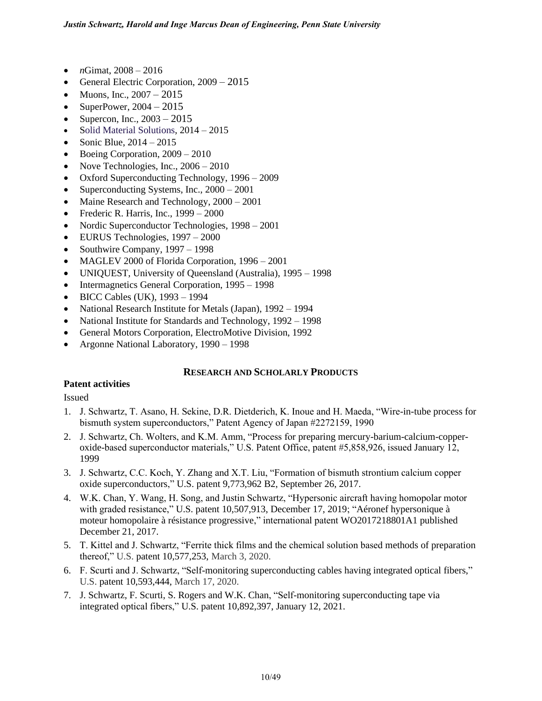- *n*Gimat,  $2008 2016$
- General Electric Corporation, 2009 2015
- Muons, Inc.,  $2007 2015$
- SuperPower,  $2004 2015$
- Supercon, Inc.,  $2003 2015$
- Solid Material Solutions, 2014 2015
- Sonic Blue,  $2014 2015$
- Boeing Corporation,  $2009 2010$
- Nove Technologies, Inc.,  $2006 2010$
- Oxford Superconducting Technology, 1996 2009
- Superconducting Systems, Inc., 2000 2001
- Maine Research and Technology,  $2000 2001$
- Frederic R. Harris, Inc.,  $1999 2000$
- Nordic Superconductor Technologies, 1998 2001
- EURUS Technologies, 1997 2000
- Southwire Company, 1997 1998
- MAGLEV 2000 of Florida Corporation, 1996 2001
- UNIQUEST, University of Queensland (Australia), 1995 1998
- Intermagnetics General Corporation, 1995 1998
- BICC Cables (UK), 1993 1994
- National Research Institute for Metals (Japan), 1992 1994
- National Institute for Standards and Technology, 1992 1998
- General Motors Corporation, ElectroMotive Division, 1992
- Argonne National Laboratory, 1990 1998

# **RESEARCH AND SCHOLARLY PRODUCTS**

# **Patent activities**

Issued

- 1. J. Schwartz, T. Asano, H. Sekine, D.R. Dietderich, K. Inoue and H. Maeda, "Wire-in-tube process for bismuth system superconductors," Patent Agency of Japan #2272159, 1990
- 2. J. Schwartz, Ch. Wolters, and K.M. Amm, "Process for preparing mercury-barium-calcium-copperoxide-based superconductor materials," U.S. Patent Office, patent #5,858,926, issued January 12, 1999
- 3. J. Schwartz, C.C. Koch, Y. Zhang and X.T. Liu, "Formation of bismuth strontium calcium copper oxide superconductors," U.S. patent 9,773,962 B2, September 26, 2017.
- 4. W.K. Chan, Y. Wang, H. Song, and Justin Schwartz, "Hypersonic aircraft having homopolar motor with graded resistance," U.S. patent 10,507,913, December 17, 2019; "Aéronef hypersonique à moteur homopolaire à résistance progressive," international patent [WO2017218801A1](https://patents.google.com/patent/WO2017218801A1/fr?oq=wan+kan+chan) published December 21, 2017.
- 5. T. Kittel and J. Schwartz, "Ferrite thick films and the chemical solution based methods of preparation thereof," U.S. patent 10,577,253, March 3, 2020.
- 6. F. Scurti and J. Schwartz, "Self-monitoring superconducting cables having integrated optical fibers," U.S. patent 10,593,444, March 17, 2020.
- 7. J. Schwartz, F. Scurti, S. Rogers and W.K. Chan, "Self-monitoring superconducting tape via integrated optical fibers," U.S. patent 10,892,397, January 12, 2021.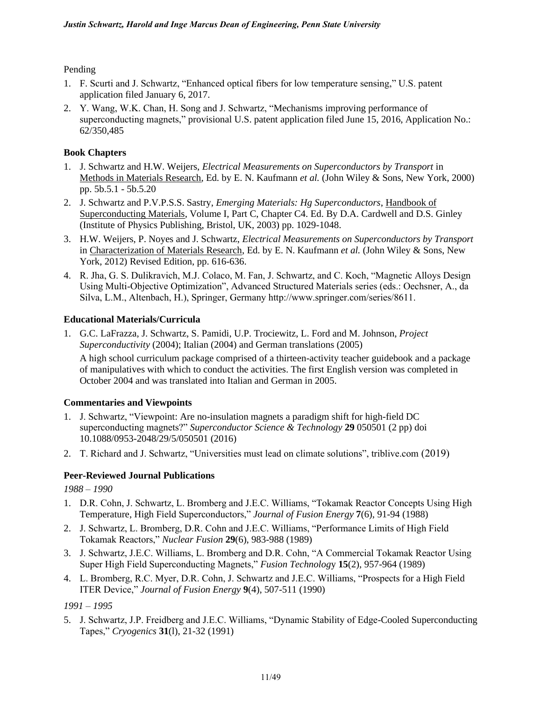### Pending

- 1. F. Scurti and J. Schwartz, "Enhanced optical fibers for low temperature sensing," U.S. patent application filed January 6, 2017.
- 2. Y. Wang, W.K. Chan, H. Song and J. Schwartz, "Mechanisms improving performance of superconducting magnets," provisional U.S. patent application filed June 15, 2016, Application No.: 62/350,485

### **Book Chapters**

- 1. J. Schwartz and H.W. Weijers, *Electrical Measurements on Superconductors by Transport* in Methods in Materials Research, Ed. by E. N. Kaufmann *et al.* (John Wiley & Sons, New York, 2000) pp. 5b.5.1 - 5b.5.20
- 2. J. Schwartz and P.V.P.S.S. Sastry, *Emerging Materials: Hg Superconductors*, Handbook of Superconducting Materials, Volume I, Part C, Chapter C4. Ed. By D.A. Cardwell and D.S. Ginley (Institute of Physics Publishing, Bristol, UK, 2003) pp. 1029-1048.
- 3. H.W. Weijers, P. Noyes and J. Schwartz, *Electrical Measurements on Superconductors by Transport* in Characterization of Materials Research, Ed. by E. N. Kaufmann *et al.* (John Wiley & Sons, New York, 2012) Revised Edition, pp. 616-636.
- 4. R. Jha, G. S. Dulikravich, M.J. Colaco, M. Fan, J. Schwartz, and C. Koch, "Magnetic Alloys Design Using Multi-Objective Optimization", Advanced Structured Materials series (eds.: Oechsner, A., da Silva, L.M., Altenbach, H.), Springer, Germany http://www.springer.com/series/8611.

### **Educational Materials/Curricula**

1. G.C. LaFrazza, J. Schwartz, S. Pamidi, U.P. Trociewitz, L. Ford and M. Johnson, *Project Superconductivity* (2004); Italian (2004) and German translations (2005)

A high school curriculum package comprised of a thirteen-activity teacher guidebook and a package of manipulatives with which to conduct the activities. The first English version was completed in October 2004 and was translated into Italian and German in 2005.

# **Commentaries and Viewpoints**

- 1. J. Schwartz, "Viewpoint: Are no-insulation magnets a paradigm shift for high-field DC superconducting magnets?" *Superconductor Science & Technology* **29** 050501 (2 pp) doi 10.1088/0953-2048/29/5/050501 (2016)
- 2. T. Richard and J. Schwartz, "Universities must lead on climate solutions", triblive.com (2019)

# **Peer-Reviewed Journal Publications**

*1988 – 1990*

- 1. D.R. Cohn, J. Schwartz, L. Bromberg and J.E.C. Williams, "Tokamak Reactor Concepts Using High Temperature, High Field Superconductors," *Journal of Fusion Energy* **7**(6), 91-94 (1988)
- 2. J. Schwartz, L. Bromberg, D.R. Cohn and J.E.C. Williams, "Performance Limits of High Field Tokamak Reactors," *Nuclear Fusion* **29**(6), 983-988 (1989)
- 3. J. Schwartz, J.E.C. Williams, L. Bromberg and D.R. Cohn, "A Commercial Tokamak Reactor Using Super High Field Superconducting Magnets," *Fusion Technolog*y **15**(2), 957-964 (1989)
- 4. L. Bromberg, R.C. Myer, D.R. Cohn, J. Schwartz and J.E.C. Williams, "Prospects for a High Field ITER Device," *Journal of Fusion Energy* **9**(4), 507-511 (1990)

# *1991 – 1995*

5. J. Schwartz, J.P. Freidberg and J.E.C. Williams, "Dynamic Stability of Edge-Cooled Superconducting Tapes," *Cryogenics* **31**(l), 21-32 (1991)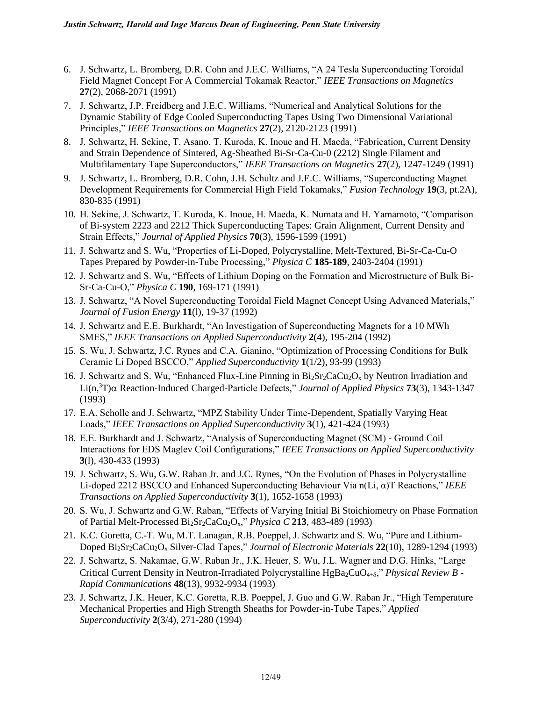- 6. J. Schwartz, L. Bromberg, D.R. Cohn and J.E.C. Williams, "A 24 Tesla Superconducting Toroidal Field Magnet Concept For A Commercial Tokamak Reactor," *IEEE Transactions on Magnetics*  **27**(2), 2068-2071 (1991)
- 7. J. Schwartz, J.P. Freidberg and J.E.C. Williams, "Numerical and Analytical Solutions for the Dynamic Stability of Edge Cooled Superconducting Tapes Using Two Dimensional Variational Principles," *IEEE Transactions on Magnetics* **27**(2), 2120-2123 (1991)
- 8. J. Schwartz, H. Sekine, T. Asano, T. Kuroda, K. Inoue and H. Maeda, "Fabrication, Current Density and Strain Dependence of Sintered, Ag-Sheathed Bi-Sr-Ca-Cu-0 (2212) Single Filament and Multifilamentary Tape Superconductors," *IEEE Transactions on Magnetics* **27**(2), 1247-1249 (1991)
- 9. J. Schwartz, L. Bromberg, D.R. Cohn, J.H. Schultz and J.E.C. Williams, "Superconducting Magnet Development Requirements for Commercial High Field Tokamaks," *Fusion Technology* **19**(3, pt.2A), 830-835 (1991)
- 10. H. Sekine, J. Schwartz, T. Kuroda, K. Inoue, H. Maeda, K. Numata and H. Yamamoto, "Comparison of Bi-system 2223 and 2212 Thick Superconducting Tapes: Grain Alignment, Current Density and Strain Effects," *Journal of Applied Physics* **70**(3), 1596-1599 (1991)
- 11. J. Schwartz and S. Wu, "Properties of Li-Doped, Polycrystalline, Melt-Textured, Bi-Sr-Ca-Cu-O Tapes Prepared by Powder-in-Tube Processing," *Physica C* **185-189**, 2403-2404 (1991)
- 12. J. Schwartz and S. Wu, "Effects of Lithium Doping on the Formation and Microstructure of Bulk Bi-Sr-Ca-Cu-O," *Physica C* **190**, 169-171 (1991)
- 13. J. Schwartz, "A Novel Superconducting Toroidal Field Magnet Concept Using Advanced Materials," *Journal of Fusion Energy* **11**(l), 19-37 (1992)
- 14. J. Schwartz and E.E. Burkhardt, "An Investigation of Superconducting Magnets for a 10 MWh SMES," *IEEE Transactions on Applied Superconductivity* **2**(4), 195-204 (1992)
- 15. S. Wu, J. Schwartz, J.C. Rynes and C.A. Gianino, "Optimization of Processing Conditions for Bulk Ceramic Li Doped BSCCO," *Applied Superconductivity* **1**(1/2), 93-99 (1993)
- 16. J. Schwartz and S. Wu, "Enhanced Flux-Line Pinning in  $Bi_2Sr_2CaCu_2O_x$  by Neutron Irradiation and Li(n,<sup>3</sup>T) Reaction-Induced Charged-Particle Defects," *Journal of Applied Physics* **73**(3), 1343-1347 (1993)
- 17. E.A. Scholle and J. Schwartz, "MPZ Stability Under Time-Dependent, Spatially Varying Heat Loads," *IEEE Transactions on Applied Superconductivity* **3**(1), 421-424 (1993)
- 18. E.E. Burkhardt and J. Schwartz, "Analysis of Superconducting Magnet (SCM) Ground Coil Interactions for EDS Maglev Coil Configurations," *IEEE Transactions on Applied Superconductivity* **3**(l), 430-433 (1993)
- 19. J. Schwartz, S. Wu, G.W. Raban Jr. and J.C. Rynes, "On the Evolution of Phases in Polycrystalline Li-doped 2212 BSCCO and Enhanced Superconducting Behaviour Via n(Li, α)T Reactions," *IEEE Transactions on Applied Superconductivity* **3**(1), 1652-1658 (1993)
- 20. S. Wu, J. Schwartz and G.W. Raban, "Effects of Varying Initial Bi Stoichiometry on Phase Formation of Partial Melt-Processed Bi2Sr2CaCu2Ox," *Physica C* **213***,* 483-489 (1993)
- 21. K.C. Goretta, C.-T. Wu, M.T. Lanagan, R.B. Poeppel, J. Schwartz and S. Wu, "Pure and Lithium-Doped Bi2Sr2CaCu2O<sup>x</sup> Silver-Clad Tapes," *Journal of Electronic Materials* **22**(10), 1289-1294 (1993)
- 22. J. Schwartz, S. Nakamae, G.W. Raban Jr., J.K. Heuer, S. Wu, J.L. Wagner and D.G. Hinks, "Large Critical Current Density in Neutron-Irradiated Polycrystalline HgBa<sub>2</sub>CuO<sub>4+8</sub>," *Physical Review B -Rapid Communications* **48**(13), 9932-9934 (1993)
- 23. J. Schwartz, J.K. Heuer, K.C. Goretta, R.B. Poeppel, J. Guo and G.W. Raban Jr., "High Temperature Mechanical Properties and High Strength Sheaths for Powder-in-Tube Tapes," *Applied Superconductivity* **2**(3/4), 271-280 (1994)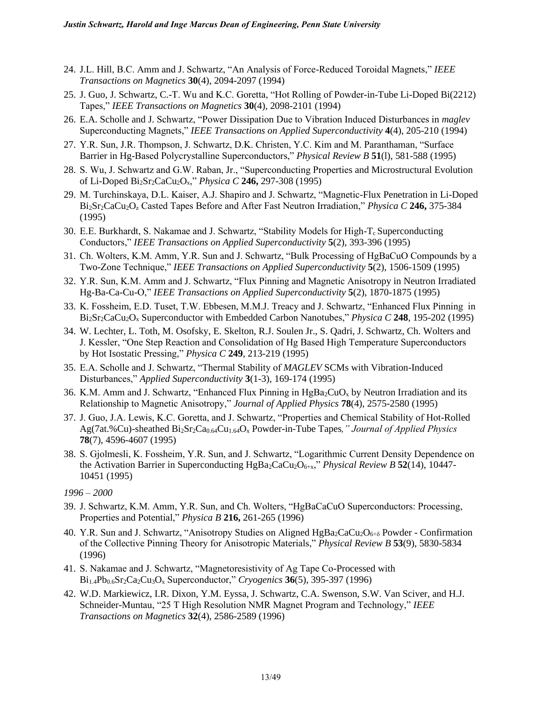- 24. J.L. Hill, B.C. Amm and J. Schwartz, "An Analysis of Force-Reduced Toroidal Magnets," *IEEE Transactions on Magnetics* **30**(4), 2094-2097 (1994)
- 25. J. Guo, J. Schwartz, C.-T. Wu and K.C. Goretta, "Hot Rolling of Powder-in-Tube Li-Doped Bi(2212) Tapes," *IEEE Transactions on Magnetics* **30**(4), 2098-2101 (1994)
- 26. E.A. Scholle and J. Schwartz, "Power Dissipation Due to Vibration Induced Disturbances in *maglev*  Superconducting Magnets," *IEEE Transactions on Applied Superconductivity* **4**(4), 205-210 (1994)
- 27. Y.R. Sun, J.R. Thompson, J. Schwartz, D.K. Christen, Y.C. Kim and M. Paranthaman, "Surface Barrier in Hg-Based Polycrystalline Superconductors," *Physical Review B* **51**(l), 581-588 (1995)
- 28. S. Wu, J. Schwartz and G.W. Raban, Jr., "Superconducting Properties and Microstructural Evolution of Li-Doped Bi2Sr2CaCu2Ox," *Physica C* **246,** 297-308 (1995)
- 29. M. Turchinskaya, D.L. Kaiser, A.J. Shapiro and J. Schwartz, "Magnetic-Flux Penetration in Li-Doped Bi2Sr2CaCu2O<sup>z</sup> Casted Tapes Before and After Fast Neutron Irradiation," *Physica C* **246,** 375-384 (1995)
- 30. E.E. Burkhardt, S. Nakamae and J. Schwartz, "Stability Models for High- $T_c$  Superconducting Conductors," *IEEE Transactions on Applied Superconductivity* **5**(2), 393-396 (1995)
- 31. Ch. Wolters, K.M. Amm, Y.R. Sun and J. Schwartz, "Bulk Processing of HgBaCuO Compounds by a Two-Zone Technique," *IEEE Transactions on Applied Superconductivity* **5**(2), 1506-1509 (1995)
- 32. Y.R. Sun, K.M. Amm and J. Schwartz, "Flux Pinning and Magnetic Anisotropy in Neutron Irradiated Hg-Ba-Ca-Cu-O," *IEEE Transactions on Applied Superconductivity* **5**(2), 1870-1875 (1995)
- 33. K. Fossheim, E.D. Tuset, T.W. Ebbesen, M.M.J. Treacy and J. Schwartz, "Enhanced Flux Pinning in Bi2Sr2CaCu2O<sup>x</sup> Superconductor with Embedded Carbon Nanotubes," *Physica C* **248**, 195-202 (1995)
- 34. W. Lechter, L. Toth, M. Osofsky, E. Skelton, R.J. Soulen Jr., S. Qadri, J. Schwartz, Ch. Wolters and J. Kessler, "One Step Reaction and Consolidation of Hg Based High Temperature Superconductors by Hot Isostatic Pressing," *Physica C* **249**, 213-219 (1995)
- 35. E.A. Scholle and J. Schwartz, "Thermal Stability of *MAGLEV* SCMs with Vibration-Induced Disturbances," *Applied Superconductivity* **3**(1-3), 169-174 (1995)
- 36. K.M. Amm and J. Schwartz, "Enhanced Flux Pinning in  $HgBa_2CuO_x$  by Neutron Irradiation and its Relationship to Magnetic Anisotropy," *Journal of Applied Physics* **78**(4), 2575-2580 (1995)
- 37. J. Guo, J.A. Lewis, K.C. Goretta, and J. Schwartz, "Properties and Chemical Stability of Hot-Rolled Ag(7at.%Cu)-sheathed Bi2Sr2Ca0.64Cu1.64O<sup>x</sup> Powder-in-Tube Tapes*," Journal of Applied Physics*  **78**(7), 4596-4607 (1995)
- 38. S. Gjolmesli, K. Fossheim, Y.R. Sun, and J. Schwartz, "Logarithmic Current Density Dependence on the Activation Barrier in Superconducting HgBa<sub>2</sub>CaCu<sub>2</sub>O<sub>6+x</sub>," *Physical Review B* **52**(14), 10447-10451 (1995)

- 39. J. Schwartz, K.M. Amm, Y.R. Sun, and Ch. Wolters, "HgBaCaCuO Superconductors: Processing, Properties and Potential," *Physica B* **216,** 261-265 (1996)
- 40. Y.R. Sun and J. Schwartz, "Anisotropy Studies on Aligned  $HgBa_2CaCu_2O<sub>6+\delta</sub>$  Powder Confirmation of the Collective Pinning Theory for Anisotropic Materials," *Physical Review B* **53**(9), 5830-5834 (1996)
- 41. S. Nakamae and J. Schwartz, "Magnetoresistivity of Ag Tape Co-Processed with Bi1.4Pb0.6Sr2Ca2Cu3O<sup>x</sup> Superconductor," *Cryogenics* **36**(5), 395-397 (1996)
- 42. W.D. Markiewicz, I.R. Dixon, Y.M. Eyssa, J. Schwartz, C.A. Swenson, S.W. Van Sciver, and H.J. Schneider-Muntau, "25 T High Resolution NMR Magnet Program and Technology," *IEEE Transactions on Magnetics* **32**(4), 2586-2589 (1996)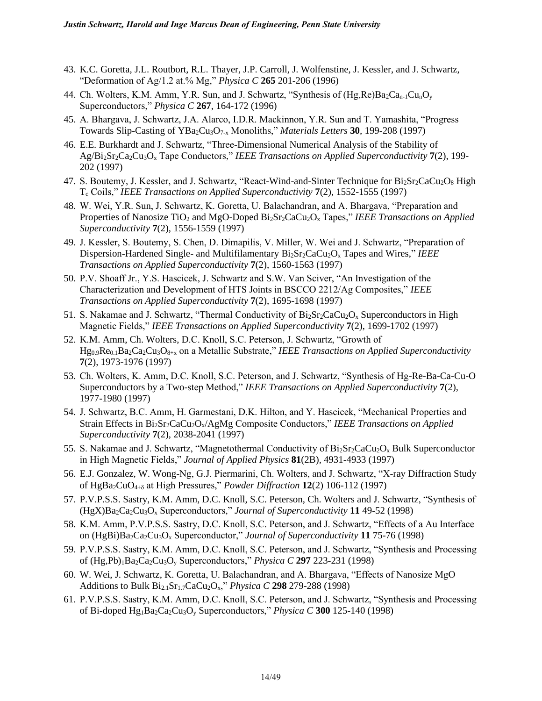- 43. K.C. Goretta, J.L. Routbort, R.L. Thayer, J.P. Carroll, J. Wolfenstine, J. Kessler, and J. Schwartz, "Deformation of Ag/1.2 at.% Mg," *Physica C* **265** 201-206 (1996)
- 44. Ch. Wolters, K.M. Amm, Y.R. Sun, and J. Schwartz, "Synthesis of  $(Hg,Re)Ba_2Ca_{n-1}Cu_1O_v$ Superconductors," *Physica C* **267**, 164-172 (1996)
- 45. A. Bhargava, J. Schwartz, J.A. Alarco, I.D.R. Mackinnon, Y.R. Sun and T. Yamashita, "Progress Towards Slip-Casting of YBa2Cu3O7-x Monoliths," *Materials Letters* **30**, 199-208 (1997)
- 46. E.E. Burkhardt and J. Schwartz, "Three-Dimensional Numerical Analysis of the Stability of Ag/Bi2Sr2Ca2Cu3O<sup>x</sup> Tape Conductors," *IEEE Transactions on Applied Superconductivity* **7**(2), 199- 202 (1997)
- 47. S. Boutemy, J. Kessler, and J. Schwartz, "React-Wind-and-Sinter Technique for  $Bi_2Sr_2CaCu_2O_8$  High T<sup>c</sup> Coils," *IEEE Transactions on Applied Superconductivity* **7**(2), 1552-1555 (1997)
- 48. W. Wei, Y.R. Sun, J. Schwartz, K. Goretta, U. Balachandran, and A. Bhargava, "Preparation and Properties of Nanosize TiO<sub>2</sub> and MgO-Doped Bi<sub>2</sub>Sr<sub>2</sub>CaCu<sub>2</sub>O<sub>x</sub> Tapes," *IEEE Transactions on Applied Superconductivity* **7**(2), 1556-1559 (1997)
- 49. J. Kessler, S. Boutemy, S. Chen, D. Dimapilis, V. Miller, W. Wei and J. Schwartz, "Preparation of Dispersion-Hardened Single- and Multifilamentary Bi<sub>2</sub>Sr<sub>2</sub>CaCu<sub>2</sub>O<sub>x</sub> Tapes and Wires," *IEEE Transactions on Applied Superconductivity* **7**(2), 1560-1563 (1997)
- 50. P.V. Shoaff Jr., Y.S. Hascicek, J. Schwartz and S.W. Van Sciver, "An Investigation of the Characterization and Development of HTS Joints in BSCCO 2212/Ag Composites," *IEEE Transactions on Applied Superconductivity* **7**(2), 1695-1698 (1997)
- 51. S. Nakamae and J. Schwartz, "Thermal Conductivity of  $Bi<sub>2</sub>Sr<sub>2</sub>CaCu<sub>2</sub>O<sub>x</sub>$  Superconductors in High Magnetic Fields," *IEEE Transactions on Applied Superconductivity* **7**(2), 1699-1702 (1997)
- 52. K.M. Amm, Ch. Wolters, D.C. Knoll, S.C. Peterson, J. Schwartz, "Growth of Hg0.9Re0.1Ba2Ca2Cu3O8+x on a Metallic Substrate," *IEEE Transactions on Applied Superconductivity* **7**(2), 1973-1976 (1997)
- 53. Ch. Wolters, K. Amm, D.C. Knoll, S.C. Peterson, and J. Schwartz, "Synthesis of Hg-Re-Ba-Ca-Cu-O Superconductors by a Two-step Method," *IEEE Transactions on Applied Superconductivity* **7**(2), 1977-1980 (1997)
- 54. J. Schwartz, B.C. Amm, H. Garmestani, D.K. Hilton, and Y. Hascicek, "Mechanical Properties and Strain Effects in Bi2Sr2CaCu2Ox/AgMg Composite Conductors," *IEEE Transactions on Applied Superconductivity* **7**(2), 2038-2041 (1997)
- 55. S. Nakamae and J. Schwartz, "Magnetothermal Conductivity of  $Bi_2Sr_2CaCu_2O_x$  Bulk Superconductor in High Magnetic Fields," *Journal of Applied Physics* **81**(2B), 4931-4933 (1997)
- 56. E.J. Gonzalez, W. Wong-Ng, G.J. Piermarini, Ch. Wolters, and J. Schwartz, "X-ray Diffraction Study of HgBa2CuO4+ at High Pressures," *Powder Diffraction* **12**(2) 106-112 (1997)
- 57. P.V.P.S.S. Sastry, K.M. Amm, D.C. Knoll, S.C. Peterson, Ch. Wolters and J. Schwartz, "Synthesis of (HgX)Ba2Ca2Cu3O<sup>x</sup> Superconductors," *Journal of Superconductivity* **11** 49-52 (1998)
- 58. K.M. Amm, P.V.P.S.S. Sastry, D.C. Knoll, S.C. Peterson, and J. Schwartz, "Effects of a Au Interface on (HgBi)Ba2Ca2Cu3O<sup>x</sup> Superconductor," *Journal of Superconductivity* **11** 75-76 (1998)
- 59. P.V.P.S.S. Sastry, K.M. Amm, D.C. Knoll, S.C. Peterson, and J. Schwartz, "Synthesis and Processing of (Hg,Pb)1Ba2Ca2Cu3O<sup>y</sup> Superconductors," *Physica C* **297** 223-231 (1998)
- 60. W. Wei, J. Schwartz, K. Goretta, U. Balachandran, and A. Bhargava, "Effects of Nanosize MgO Additions to Bulk Bi2.1Sr1.7CaCu2Ox," *Physica C* **298** 279-288 (1998)
- 61. P.V.P.S.S. Sastry, K.M. Amm, D.C. Knoll, S.C. Peterson, and J. Schwartz, "Synthesis and Processing of Bi-doped Hg1Ba2Ca2Cu3O<sup>y</sup> Superconductors," *Physica C* **300** 125-140 (1998)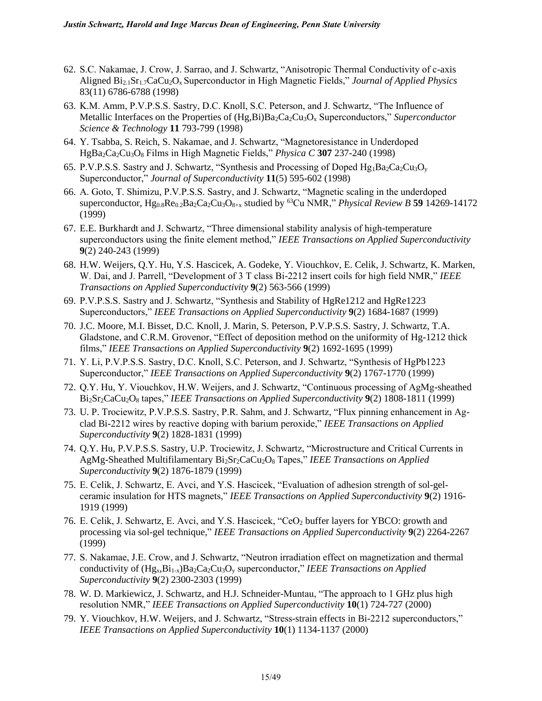- 62. S.C. Nakamae, J. Crow, J. Sarrao, and J. Schwartz, "Anisotropic Thermal Conductivity of c-axis Aligned Bi2.1Sr1.7CaCu2Ox Superconductor in High Magnetic Fields," *Journal of Applied Physics* 83(11) 6786-6788 (1998)
- 63. K.M. Amm, P.V.P.S.S. Sastry, D.C. Knoll, S.C. Peterson, and J. Schwartz, "The Influence of Metallic Interfaces on the Properties of (Hg,Bi)Ba<sub>2</sub>Ca<sub>2</sub>Cu<sub>3</sub>O<sub>x</sub> Superconductors," *Superconductor Science & Technology* **11** 793-799 (1998)
- 64. Y. Tsabba, S. Reich, S. Nakamae, and J. Schwartz, "Magnetoresistance in Underdoped HgBa2Ca2Cu3O<sup>8</sup> Films in High Magnetic Fields," *Physica C* **307** 237-240 (1998)
- 65. P.V.P.S.S. Sastry and J. Schwartz, "Synthesis and Processing of Doped  $Hg_1Ba_2Ca_2Cu_3O_v$ Superconductor," *Journal of Superconductivity* **11**(5) 595-602 (1998)
- 66. A. Goto, T. Shimizu, P.V.P.S.S. Sastry, and J. Schwartz, "Magnetic scaling in the underdoped superconductor,  $Hg_{0.8}$  $Re_{0.2}Ba_2Ca_2Cu_3O_{8+x}$  studied by <sup>63</sup>Cu NMR," *Physical Review B* **59** 14269-14172 (1999)
- 67. E.E. Burkhardt and J. Schwartz, "Three dimensional stability analysis of high-temperature superconductors using the finite element method," *IEEE Transactions on Applied Superconductivity* **9**(2) 240-243 (1999)
- 68. H.W. Weijers, Q.Y. Hu, Y.S. Hascicek, A. Godeke, Y. Viouchkov, E. Celik, J. Schwartz, K. Marken, W. Dai, and J. Parrell, "Development of 3 T class Bi-2212 insert coils for high field NMR," *IEEE Transactions on Applied Superconductivity* **9**(2) 563-566 (1999)
- 69. P.V.P.S.S. Sastry and J. Schwartz, "Synthesis and Stability of HgRe1212 and HgRe1223 Superconductors," *IEEE Transactions on Applied Superconductivity* **9**(2) 1684-1687 (1999)
- 70. J.C. Moore, M.I. Bisset, D.C. Knoll, J. Marin, S. Peterson, P.V.P.S.S. Sastry, J. Schwartz, T.A. Gladstone, and C.R.M. Grovenor, "Effect of deposition method on the uniformity of Hg-1212 thick films," *IEEE Transactions on Applied Superconductivity* **9**(2) 1692-1695 (1999)
- 71. Y. Li, P.V.P.S.S. Sastry, D.C. Knoll, S.C. Peterson, and J. Schwartz, "Synthesis of HgPb1223 Superconductor," *IEEE Transactions on Applied Superconductivity* **9**(2) 1767-1770 (1999)
- 72. Q.Y. Hu, Y. Viouchkov, H.W. Weijers, and J. Schwartz, "Continuous processing of AgMg-sheathed Bi2Sr2CaCu2O<sup>8</sup> tapes," *IEEE Transactions on Applied Superconductivity* **9**(2) 1808-1811 (1999)
- 73. U. P. Trociewitz, P.V.P.S.S. Sastry, P.R. Sahm, and J. Schwartz, "Flux pinning enhancement in Agclad Bi-2212 wires by reactive doping with barium peroxide," *IEEE Transactions on Applied Superconductivity* **9**(2) 1828-1831 (1999)
- 74. Q.Y. Hu, P.V.P.S.S. Sastry, U.P. Trociewitz, J. Schwartz, "Microstructure and Critical Currents in AgMg-Sheathed Multifilamentary Bi2Sr2CaCu2O<sup>8</sup> Tapes," *IEEE Transactions on Applied Superconductivity* **9**(2) 1876-1879 (1999)
- 75. E. Celik, J. Schwartz, E. Avci, and Y.S. Hascicek, "Evaluation of adhesion strength of sol-gelceramic insulation for HTS magnets," *IEEE Transactions on Applied Superconductivity* **9**(2) 1916- 1919 (1999)
- 76. E. Celik, J. Schwartz, E. Avci, and Y.S. Hascicek, "CeO<sub>2</sub> buffer layers for YBCO: growth and processing via sol-gel technique," *IEEE Transactions on Applied Superconductivity* **9**(2) 2264-2267 (1999)
- 77. S. Nakamae, J.E. Crow, and J. Schwartz, "Neutron irradiation effect on magnetization and thermal conductivity of (Hgx,Bi1-x)Ba2Ca2Cu3O<sup>y</sup> superconductor," *IEEE Transactions on Applied Superconductivity* **9**(2) 2300-2303 (1999)
- 78. W. D. Markiewicz, J. Schwartz, and H.J. Schneider-Muntau, "The approach to 1 GHz plus high resolution NMR," *IEEE Transactions on Applied Superconductivity* **10**(1) 724-727 (2000)
- 79. Y. Viouchkov, H.W. Weijers, and J. Schwartz, "Stress-strain effects in Bi-2212 superconductors," *IEEE Transactions on Applied Superconductivity* **10**(1) 1134-1137 (2000)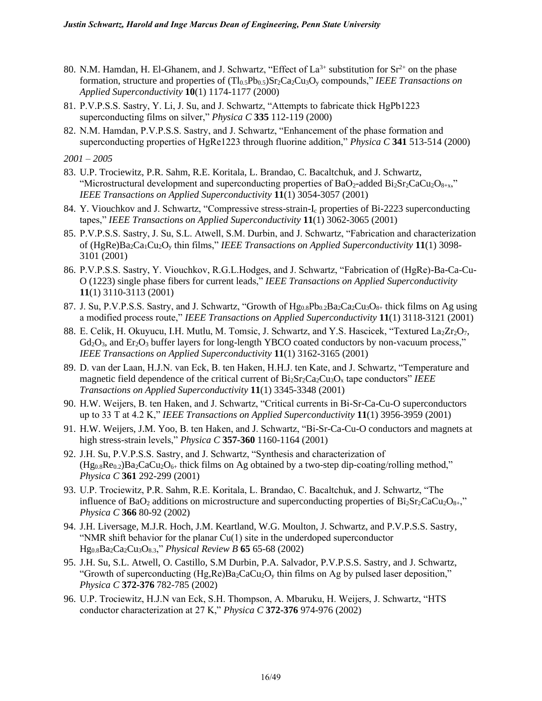- 80. N.M. Hamdan, H. El-Ghanem, and J. Schwartz, "Effect of  $La^{3+}$  substitution for  $Sr^{2+}$  on the phase formation, structure and properties of  $(Tl_{0.5}Pb_{0.5})Sr_2Ca_2Cu_3O_y$  compounds," *IEEE Transactions on Applied Superconductivity* **10**(1) 1174-1177 (2000)
- 81. P.V.P.S.S. Sastry, Y. Li, J. Su, and J. Schwartz, "Attempts to fabricate thick HgPb1223 superconducting films on silver," *Physica C* **335** 112-119 (2000)
- 82. N.M. Hamdan, P.V.P.S.S. Sastry, and J. Schwartz, "Enhancement of the phase formation and superconducting properties of HgRe1223 through fluorine addition," *Physica C* **341** 513-514 (2000)

- 83. U.P. Trociewitz, P.R. Sahm, R.E. Koritala, L. Brandao, C. Bacaltchuk, and J. Schwartz, "Microstructural development and superconducting properties of  $BaO<sub>2</sub>$ -added  $Bi<sub>2</sub>Sr<sub>2</sub>CaCu<sub>2</sub>O<sub>8+x</sub>$ " *IEEE Transactions on Applied Superconductivity* **11**(1) 3054-3057 (2001)
- 84. Y. Viouchkov and J. Schwartz, "Compressive stress-strain-I<sup>c</sup> properties of Bi-2223 superconducting tapes," *IEEE Transactions on Applied Superconductivity* **11**(1) 3062-3065 (2001)
- 85. P.V.P.S.S. Sastry, J. Su, S.L. Atwell, S.M. Durbin, and J. Schwartz, "Fabrication and characterization of (HgRe)Ba2Ca1Cu2O<sup>y</sup> thin films," *IEEE Transactions on Applied Superconductivity* **11**(1) 3098- 3101 (2001)
- 86. P.V.P.S.S. Sastry, Y. Viouchkov, R.G.L.Hodges, and J. Schwartz, "Fabrication of (HgRe)-Ba-Ca-Cu-O (1223) single phase fibers for current leads," *IEEE Transactions on Applied Superconductivity*  **11**(1) 3110-3113 (2001)
- 87. J. Su, P.V.P.S.S. Sastry, and J. Schwartz, "Growth of  $Hg_{0.8}Pb_{0.2}Ba_2Ca_2Cu_3O_{8+}$  thick films on Ag using a modified process route," *IEEE Transactions on Applied Superconductivity* **11**(1) 3118-3121 (2001)
- 88. E. Celik, H. Okuyucu, I.H. Mutlu, M. Tomsic, J. Schwartz, and Y.S. Hascicek, "Textured La<sub>2</sub>Zr<sub>2</sub>O<sub>7</sub>,  $Gd_2O_3$ , and  $Er_2O_3$  buffer layers for long-length YBCO coated conductors by non-vacuum process," *IEEE Transactions on Applied Superconductivity* **11**(1) 3162-3165 (2001)
- 89. D. van der Laan, H.J.N. van Eck, B. ten Haken, H.H.J. ten Kate, and J. Schwartz, "Temperature and magnetic field dependence of the critical current of  $Bi_2Sr_2Ca_2Cu_3O_x$  tape conductors" *IEEE Transactions on Applied Superconductivity* **11**(1) 3345-3348 (2001)
- 90. H.W. Weijers, B. ten Haken, and J. Schwartz, "Critical currents in Bi-Sr-Ca-Cu-O superconductors up to 33 T at 4.2 K," *IEEE Transactions on Applied Superconductivity* **11**(1) 3956-3959 (2001)
- 91. H.W. Weijers, J.M. Yoo, B. ten Haken, and J. Schwartz, "Bi-Sr-Ca-Cu-O conductors and magnets at high stress-strain levels," *Physica C* **357-360** 1160-1164 (2001)
- 92. J.H. Su, P.V.P.S.S. Sastry, and J. Schwartz, "Synthesis and characterization of  $(Hg_{0.8}Re_{0.2})Ba_2CaCu_2O<sub>6+</sub>$  thick films on Ag obtained by a two-step dip-coating/rolling method," *Physica C* **361** 292-299 (2001)
- 93. U.P. Trociewitz, P.R. Sahm, R.E. Koritala, L. Brandao, C. Bacaltchuk, and J. Schwartz, "The influence of BaO<sub>2</sub> additions on microstructure and superconducting properties of Bi<sub>2</sub>Sr<sub>2</sub>CaCu<sub>2</sub>O<sub>8+</sub>," *Physica C* **366** 80-92 (2002)
- 94. J.H. Liversage, M.J.R. Hoch, J.M. Keartland, W.G. Moulton, J. Schwartz, and P.V.P.S.S. Sastry, "NMR shift behavior for the planar Cu(1) site in the underdoped superconductor Hg0.8Ba2Ca2Cu3O8.3," *Physical Review B* **65** 65-68 (2002)
- 95. J.H. Su, S.L. Atwell, O. Castillo, S.M Durbin, P.A. Salvador, P.V.P.S.S. Sastry, and J. Schwartz, "Growth of superconducting  $(Hg, Re)Ba_2CaCu_2O_y$  thin films on Ag by pulsed laser deposition," *Physica C* **372-376** 782-785 (2002)
- 96. U.P. Trociewitz, H.J.N van Eck, S.H. Thompson, A. Mbaruku, H. Weijers, J. Schwartz, "HTS conductor characterization at 27 K," *Physica C* **372-376** 974-976 (2002)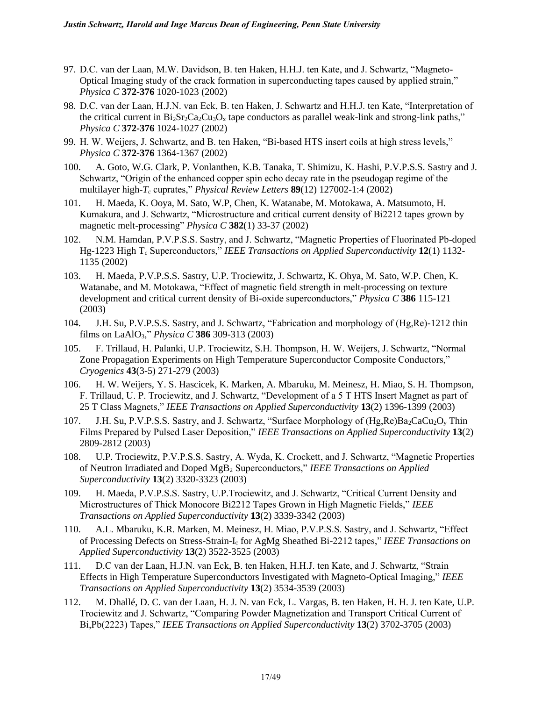- 97. D.C. van der Laan, M.W. Davidson, B. ten Haken, H.H.J. ten Kate, and J. Schwartz, "Magneto-Optical Imaging study of the crack formation in superconducting tapes caused by applied strain," *Physica C* **372-376** 1020-1023 (2002)
- 98. D.C. van der Laan, H.J.N. van Eck, B. ten Haken, J. Schwartz and H.H.J. ten Kate, "Interpretation of the critical current in  $Bi_2Sr_2Ca_2Cu_3O_x$  tape conductors as parallel weak-link and strong-link paths," *Physica C* **372-376** 1024-1027 (2002)
- 99. H. W. Weijers, J. Schwartz, and B. ten Haken, "Bi-based HTS insert coils at high stress levels," *Physica C* **372-376** 1364-1367 (2002)
- 100. A. Goto, W.G. Clark, P. Vonlanthen, K.B. Tanaka, T. Shimizu, K. Hashi, P.V.P.S.S. Sastry and J. Schwartz, "Origin of the enhanced copper spin echo decay rate in the pseudogap regime of the multilayer high-*T<sup>c</sup>* cuprates," *Physical Review Letters* **89**(12) 127002-1:4 (2002)
- 101. H. Maeda, K. Ooya, M. Sato, W.P, Chen, K. Watanabe, M. Motokawa, A. Matsumoto, H. Kumakura, and J. Schwartz, "Microstructure and critical current density of Bi2212 tapes grown by magnetic melt-processing" *Physica C* **382**(1) 33-37 (2002)
- 102. N.M. Hamdan, P.V.P.S.S. Sastry, and J. Schwartz, "Magnetic Properties of Fluorinated Pb-doped Hg-1223 High T<sub>c</sub> Superconductors," IEEE Transactions on Applied Superconductivity 12(1) 1132-1135 (2002)
- 103. H. Maeda, P.V.P.S.S. Sastry, U.P. Trociewitz, J. Schwartz, K. Ohya, M. Sato, W.P. Chen, K. Watanabe, and M. Motokawa, "Effect of magnetic field strength in melt-processing on texture development and critical current density of Bi-oxide superconductors," *Physica C* **386** 115-121 (2003)
- 104. J.H. Su, P.V.P.S.S. Sastry, and J. Schwartz, "Fabrication and morphology of (Hg,Re)-1212 thin films on LaAlO3," *Physica C* **386** 309-313 (2003)
- 105. F. Trillaud, H. Palanki, U.P. Trociewitz, S.H. Thompson, H. W. Weijers, J. Schwartz, "Normal Zone Propagation Experiments on High Temperature Superconductor Composite Conductors," *Cryogenics* **43**(3-5) 271-279 (2003)
- 106. H. W. Weijers, Y. S. Hascicek, K. Marken, A. Mbaruku, M. Meinesz, H. Miao, S. H. Thompson, F. Trillaud, U. P. Trociewitz, and J. Schwartz, "Development of a 5 T HTS Insert Magnet as part of 25 T Class Magnets," *IEEE Transactions on Applied Superconductivity* **13**(2) 1396-1399 (2003)
- 107. J.H. Su, P.V.P.S.S. Sastry, and J. Schwartz, "Surface Morphology of (Hg,Re)Ba2CaCu2O<sub>y</sub> Thin Films Prepared by Pulsed Laser Deposition," *IEEE Transactions on Applied Superconductivity* **13**(2) 2809-2812 (2003)
- 108. U.P. Trociewitz*,* P.V.P.S.S. Sastry, A. Wyda, K. Crockett, and J. Schwartz, "Magnetic Properties of Neutron Irradiated and Doped MgB<sup>2</sup> Superconductors," *IEEE Transactions on Applied Superconductivity* **13**(2) 3320-3323 (2003)
- 109. H. Maeda, P.V.P.S.S. Sastry, U.P.Trociewitz, and J. Schwartz, "Critical Current Density and Microstructures of Thick Monocore Bi2212 Tapes Grown in High Magnetic Fields," *IEEE Transactions on Applied Superconductivity* **13**(2) 3339-3342 (2003)
- 110. A.L. Mbaruku, K.R. Marken, M. Meinesz, H. Miao, P.V.P.S.S. Sastry, and J. Schwartz, "Effect of Processing Defects on Stress-Strain-I<sup>c</sup> for AgMg Sheathed Bi-2212 tapes," *IEEE Transactions on Applied Superconductivity* **13**(2) 3522-3525 (2003)
- 111. D.C van der Laan, H.J.N. van Eck, B. ten Haken, H.H.J. ten Kate, and J. Schwartz, "Strain Effects in High Temperature Superconductors Investigated with Magneto-Optical Imaging," *IEEE Transactions on Applied Superconductivity* **13**(2) 3534-3539 (2003)
- 112. M. Dhallé, D. C. van der Laan, H. J. N. van Eck, L. Vargas, B. ten Haken, H. H. J. ten Kate, U.P. Trociewitz and J. Schwartz, "Comparing Powder Magnetization and Transport Critical Current of Bi,Pb(2223) Tapes," *IEEE Transactions on Applied Superconductivity* **13**(2) 3702-3705 (2003)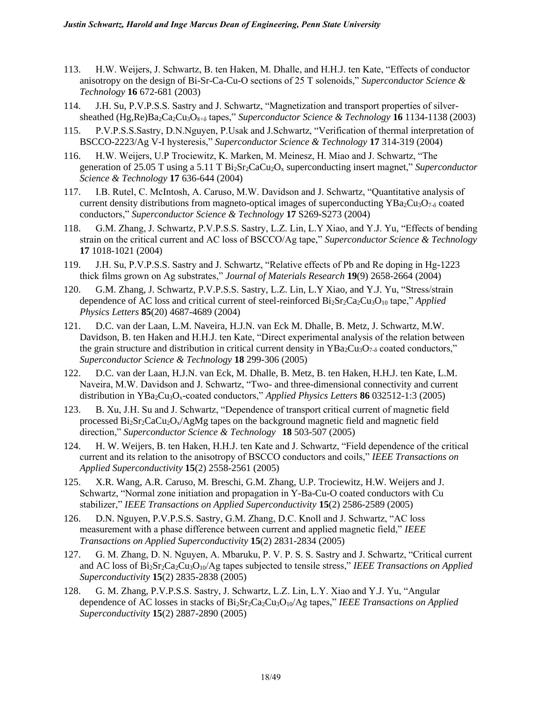- 113. H.W. Weijers, J. Schwartz, B. ten Haken, M. Dhalle, and H.H.J. ten Kate, "Effects of conductor anisotropy on the design of Bi-Sr-Ca-Cu-O sections of 25 T solenoids," *Superconductor Science & Technology* **16** 672-681 (2003)
- 114. J.H. Su, P.V.P.S.S. Sastry and J. Schwartz, "Magnetization and transport properties of silversheathed (Hg,Re)Ba2Ca2Cu3O8+δ tapes," *Superconductor Science & Technology* **16** 1134-1138 (2003)
- 115. P.V.P.S.S.Sastry, D.N.Nguyen, P.Usak and J.Schwartz, "Verification of thermal interpretation of BSCCO-2223/Ag V-I hysteresis," *Superconductor Science & Technology* **17** 314-319 (2004)
- 116. H.W. Weijers, U.P Trociewitz, K. Marken, M. Meinesz, H. Miao and J. Schwartz, "The generation of 25.05 T using a 5.11 T  $Bi_2Sr_2CaCu_2O_x$  superconducting insert magnet," *Superconductor Science & Technology* **17** 636-644 (2004)
- 117. I.B. Rutel, C. McIntosh, A. Caruso, M.W. Davidson and J. Schwartz, "Quantitative analysis of current density distributions from magneto-optical images of superconducting  $YBa_2Cu_3O_{7-\delta}$  coated conductors," *Superconductor Science & Technology* **17** S269-S273 (2004)
- 118. G.M. Zhang, J. Schwartz, P.V.P.S.S. Sastry, L.Z. Lin, L.Y Xiao, and Y.J. Yu, "Effects of bending strain on the critical current and AC loss of BSCCO/Ag tape," *Superconductor Science & Technology* **17** 1018-1021 (2004)
- 119. J.H. Su, P.V.P.S.S. Sastry and J. Schwartz, "Relative effects of Pb and Re doping in Hg-1223 thick films grown on Ag substrates," *Journal of Materials Research* **19**(9) 2658-2664 (2004)
- 120. G.M. Zhang, J. Schwartz, P.V.P.S.S. Sastry, L.Z. Lin, L.Y Xiao, and Y.J. Yu, "Stress/strain dependence of AC loss and critical current of steel-reinforced Bi<sub>2</sub>Sr<sub>2</sub>Ca<sub>2</sub>Cu<sub>3</sub>O<sub>10</sub> tape," *Applied Physics Letters* **85**(20) 4687-4689 (2004)
- 121. D.C. van der Laan, L.M. Naveira, H.J.N. van Eck M. Dhalle, B. Metz, J. Schwartz, M.W. Davidson, B. ten Haken and H.H.J. ten Kate, "Direct experimental analysis of the relation between the grain structure and distribution in critical current density in  $YBa_2Cu_3O_{7-\delta}$  coated conductors," *Superconductor Science & Technology* **18** 299-306 (2005)
- 122. D.C. van der Laan, H.J.N. van Eck, M. Dhalle, B. Metz, B. ten Haken, H.H.J. ten Kate, L.M. Naveira, M.W. Davidson and J. Schwartz, "Two- and three-dimensional connectivity and current distribution in YBa<sub>2</sub>Cu<sub>3</sub>O<sub>x</sub>-coated conductors," *Applied Physics Letters* **86** 032512-1:3 (2005)
- 123. B. Xu, J.H. Su and J. Schwartz, "Dependence of transport critical current of magnetic field processed  $Bi_2Sr_2CaCu_2O_x/AgMg$  tapes on the background magnetic field and magnetic field direction," *Superconductor Science & Technology* **18** 503-507 (2005)
- 124. H. W. Weijers, B. ten Haken, H.H.J. ten Kate and J. Schwartz, "Field dependence of the critical current and its relation to the anisotropy of BSCCO conductors and coils," *IEEE Transactions on Applied Superconductivity* **15**(2) 2558-2561 (2005)
- 125. X.R. Wang, A.R. Caruso, M. Breschi, G.M. Zhang, U.P. Trociewitz, H.W. Weijers and J. Schwartz, "Normal zone initiation and propagation in Y-Ba-Cu-O coated conductors with Cu stabilizer," *IEEE Transactions on Applied Superconductivity* **15**(2) 2586-2589 (2005)
- 126. D.N. Nguyen, P.V.P.S.S. Sastry, G.M. Zhang, D.C. Knoll and J. Schwartz, "AC loss measurement with a phase difference between current and applied magnetic field," *IEEE Transactions on Applied Superconductivity* **15**(2) 2831-2834 (2005)
- 127. G. M. Zhang, D. N. Nguyen, A. Mbaruku, P. V. P. S. S. Sastry and J. Schwartz, "Critical current and AC loss of Bi2Sr2Ca2Cu3O10/Ag tapes subjected to tensile stress," *IEEE Transactions on Applied Superconductivity* **15**(2) 2835-2838 (2005)
- 128. G. M. Zhang, P.V.P.S.S. Sastry, J. Schwartz, L.Z. Lin, L.Y. Xiao and Y.J. Yu, "Angular dependence of AC losses in stacks of Bi2Sr2Ca2Cu3O10/Ag tapes," *IEEE Transactions on Applied Superconductivity* **15**(2) 2887-2890 (2005)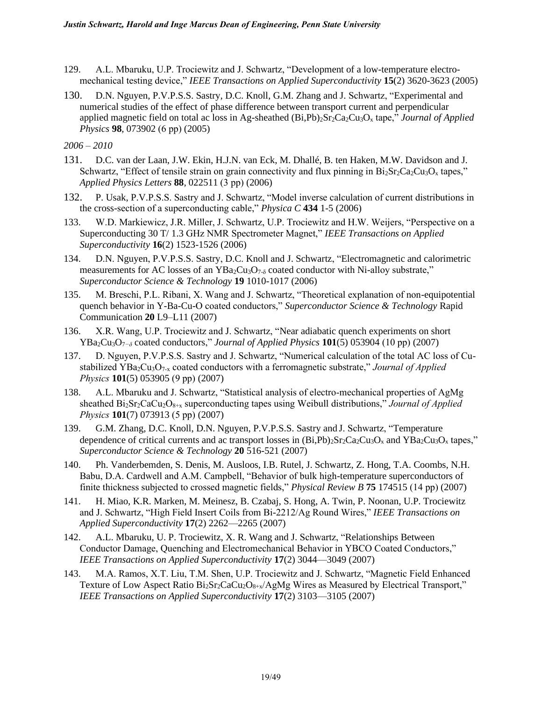- 129. A.L. Mbaruku, U.P. Trociewitz and J. Schwartz, "Development of a low-temperature electromechanical testing device," *IEEE Transactions on Applied Superconductivity* **15**(2) 3620-3623 (2005)
- 130. D.N. Nguyen, P.V.P.S.S. Sastry, D.C. Knoll, G.M. Zhang and J. Schwartz, "Experimental and numerical studies of the effect of phase difference between transport current and perpendicular applied magnetic field on total ac loss in Ag-sheathed (Bi,Pb)2Sr2Ca2Cu3O<sup>x</sup> tape," *Journal of Applied Physics* **98**, 073902 (6 pp) (2005)

- 131. D.C. van der Laan, J.W. Ekin, H.J.N. van Eck, M. Dhallé, B. ten Haken, M.W. Davidson and J. Schwartz, "Effect of tensile strain on grain connectivity and flux pinning in  $Bi_2Sr_2Ca_2Cu_3O_x$  tapes," *Applied Physics Letters* **88**, 022511 (3 pp) (2006)
- 132. P. Usak, P.V.P.S.S. Sastry and J. Schwartz, "Model inverse calculation of current distributions in the cross-section of a superconducting cable," *Physica C* **434** 1-5 (2006)
- 133. W.D. Markiewicz, J.R. Miller, J. Schwartz, U.P. Trociewitz and H.W. Weijers, "Perspective on a Superconducting 30 T/ 1.3 GHz NMR Spectrometer Magnet," *IEEE Transactions on Applied Superconductivity* **16**(2) 1523-1526 (2006)
- 134. D.N. Nguyen, P.V.P.S.S. Sastry, D.C. Knoll and J. Schwartz, "Electromagnetic and calorimetric measurements for AC losses of an  $YBa_2Cu_3O_{7-\delta}$  coated conductor with Ni-alloy substrate," *Superconductor Science & Technology* **19** 1010-1017 (2006)
- 135. M. Breschi, P.L. Ribani, X. Wang and J. Schwartz, "Theoretical explanation of non-equipotential quench behavior in Y-Ba-Cu-O coated conductors," *Superconductor Science & Technology* Rapid Communication **20** L9–L11 (2007)
- 136. X.R. Wang, U.P. Trociewitz and J. Schwartz, "Near adiabatic quench experiments on short YBa2Cu3O7*−δ* coated conductors," *Journal of Applied Physics* **101**(5) 053904 (10 pp) (2007)
- 137. D. Nguyen, P.V.P.S.S. Sastry and J. Schwartz, "Numerical calculation of the total AC loss of Custabilized YBa<sub>2</sub>Cu<sub>3</sub>O<sub>7-x</sub> coated conductors with a ferromagnetic substrate," *Journal of Applied Physics* **101**(5) 053905 (9 pp) (2007)
- 138. A.L. Mbaruku and J. Schwartz, "Statistical analysis of electro-mechanical properties of AgMg sheathed Bi<sub>2</sub>Sr<sub>2</sub>CaCu<sub>2</sub>O<sub>8+x</sub> superconducting tapes using Weibull distributions," *Journal of Applied Physics* **101**(7) 073913 (5 pp) (2007)
- 139. G.M. Zhang, D.C. Knoll, D.N. Nguyen, P.V.P.S.S. Sastry and J. Schwartz, "Temperature dependence of critical currents and ac transport losses in  $(Bi.Pb)_{2}Sr_{2}Ca_{2}Cu_{3}O_{x}$  and  $YBa_{2}Cu_{3}O_{x}$  tapes," *Superconductor Science & Technology* **20** 516-521 (2007)
- 140. Ph. Vanderbemden, S. Denis, M. Ausloos, I.B. Rutel, J. Schwartz, Z. Hong, T.A. Coombs, N.H. Babu, D.A. Cardwell and A.M. Campbell, "Behavior of bulk high-temperature superconductors of finite thickness subjected to crossed magnetic fields," *Physical Review B* **75** 174515 (14 pp) (2007)
- 141. H. Miao, K.R. Marken, M. Meinesz, B. Czabaj, S. Hong, A. Twin, P. Noonan, U.P. Trociewitz and J. Schwartz, "High Field Insert Coils from Bi-2212/Ag Round Wires," *IEEE Transactions on Applied Superconductivity* **17**(2) 2262—2265 (2007)
- 142. A.L. Mbaruku, U. P. Trociewitz, X. R. Wang and J. Schwartz, "Relationships Between Conductor Damage, Quenching and Electromechanical Behavior in YBCO Coated Conductors," *IEEE Transactions on Applied Superconductivity* **17**(2) 3044—3049 (2007)
- 143. M.A. Ramos, X.T. Liu, T.M. Shen, U.P. Trociewitz and J. Schwartz, "Magnetic Field Enhanced Texture of Low Aspect Ratio  $Bi_2Sr_2CaCu_2O_{8+x}/AgMg$  Wires as Measured by Electrical Transport," *IEEE Transactions on Applied Superconductivity* **17**(2) 3103—3105 (2007)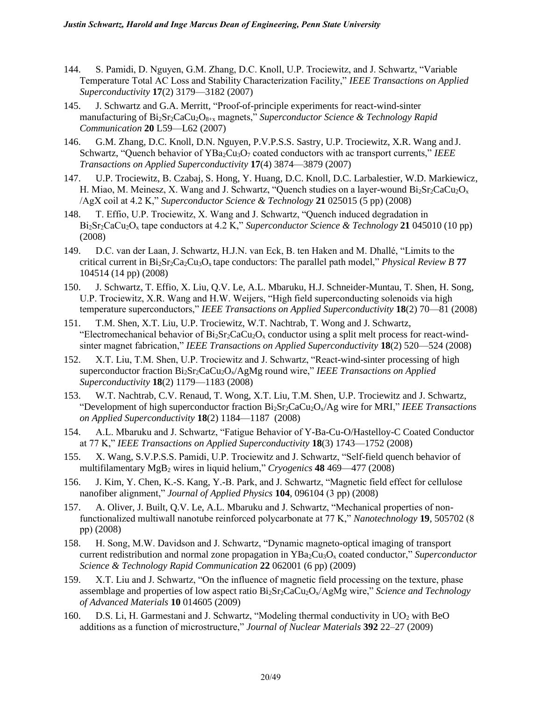- 144. S. Pamidi, D. Nguyen, G.M. Zhang, D.C. Knoll, U.P. Trociewitz, and J. Schwartz, "Variable Temperature Total AC Loss and Stability Characterization Facility," *IEEE Transactions on Applied Superconductivity* **17**(2) 3179—3182 (2007)
- 145. J. Schwartz and G.A. Merritt, "Proof-of-principle experiments for react-wind-sinter manufacturing of Bi<sub>2</sub>Sr<sub>2</sub>CaCu<sub>2</sub>O<sub>8+x</sub> magnets," *Superconductor Science & Technology Rapid Communication* **20** L59—L62 (2007)
- 146. G.M. Zhang, D.C. Knoll, D.N. Nguyen, P.V.P.S.S. Sastry, U.P. Trociewitz, X.R. Wang and J. Schwartz, "Quench behavior of YBa<sub>2</sub>Cu<sub>3</sub>O<sub>7</sub> coated conductors with ac transport currents," *IEEE Transactions on Applied Superconductivity* **17**(4) 3874—3879 (2007)
- 147. U.P. Trociewitz, B. Czabaj, S. Hong, Y. Huang, D.C. Knoll, D.C. Larbalestier, W.D. Markiewicz, H. Miao, M. Meinesz, X. Wang and J. Schwartz, "Quench studies on a layer-wound  $Bi<sub>2</sub>Sr<sub>2</sub>CaCu<sub>2</sub>O<sub>x</sub>$ /AgX coil at 4.2 K," *Superconductor Science & Technology* **21** 025015 (5 pp) (2008)
- 148. T. Effio, U.P. Trociewitz, X. Wang and J. Schwartz, "Quench induced degradation in Bi2Sr2CaCu2O<sup>x</sup> tape conductors at 4.2 K," *Superconductor Science & Technology* **21** 045010 (10 pp) (2008)
- 149. D.C. van der Laan, J. Schwartz, H.J.N. van Eck, B. ten Haken and M. Dhallé, "Limits to the critical current in Bi2Sr2Ca2Cu3Ox tape conductors: The parallel path model," *Physical Review B* **77** 104514 (14 pp) (2008)
- 150. J. Schwartz, T. Effio, X. Liu, Q.V. Le, A.L. Mbaruku, H.J. Schneider-Muntau, T. Shen, H. Song, U.P. Trociewitz, X.R. Wang and H.W. Weijers, "High field superconducting solenoids via high temperature superconductors," *IEEE Transactions on Applied Superconductivity* **18**(2) 70—81 (2008)
- 151. T.M. Shen, X.T. Liu, U.P. Trociewitz, W.T. Nachtrab, T. Wong and J. Schwartz, "Electromechanical behavior of  $Bi_2Sr_2CaCu_2O_x$  conductor using a split melt process for react-windsinter magnet fabrication," *IEEE Transactions on Applied Superconductivity* **18**(2) 520—524 (2008)
- 152. X.T. Liu, T.M. Shen, U.P. Trociewitz and J. Schwartz, "React-wind-sinter processing of high superconductor fraction Bi2Sr2CaCu2Ox/AgMg round wire," *IEEE Transactions on Applied Superconductivity* **18**(2) 1179—1183 (2008)
- 153. W.T. Nachtrab, C.V. Renaud, T. Wong, X.T. Liu, T.M. Shen, U.P. Trociewitz and J. Schwartz, "Development of high superconductor fraction Bi2Sr2CaCu2Ox/Ag wire for MRI," *IEEE Transactions on Applied Superconductivity* **18**(2) 1184—1187 (2008)
- 154. A.L. Mbaruku and J. Schwartz, "Fatigue Behavior of Y-Ba-Cu-O/Hastelloy-C Coated Conductor at 77 K," *IEEE Transactions on Applied Superconductivity* **18**(3) 1743—1752 (2008)
- 155. X. Wang, S.V.P.S.S. Pamidi, U.P. Trociewitz and J. Schwartz, "Self-field quench behavior of multifilamentary MgB<sup>2</sup> wires in liquid helium," *Cryogenics* **48** 469—477 (2008)
- 156. J. Kim, Y. Chen, K.-S. Kang, Y.-B. Park, and J. Schwartz, "Magnetic field effect for cellulose nanofiber alignment," *Journal of Applied Physics* **104**, 096104 (3 pp) (2008)
- 157. A. Oliver, J. Built, Q.V. Le, A.L. Mbaruku and J. Schwartz, "Mechanical properties of nonfunctionalized multiwall nanotube reinforced polycarbonate at 77 K," *Nanotechnology* **19**, 505702 (8 pp) (2008)
- 158. H. Song, M.W. Davidson and J. Schwartz, "Dynamic magneto-optical imaging of transport current redistribution and normal zone propagation in YBa<sub>2</sub>Cu<sub>3</sub>O<sub>x</sub> coated conductor," *Superconductor Science & Technology Rapid Communication* **22** 062001 (6 pp) (2009)
- 159. X.T. Liu and J. Schwartz, "On the influence of magnetic field processing on the texture, phase assemblage and properties of low aspect ratio Bi2Sr2CaCu2Ox/AgMg wire," *Science and Technology of Advanced Materials* **10** 014605 (2009)
- 160. D.S. Li, H. Garmestani and J. Schwartz, "Modeling thermal conductivity in  $UO<sub>2</sub>$  with BeO additions as a function of microstructure," *Journal of Nuclear Materials* **392** 22–27 (2009)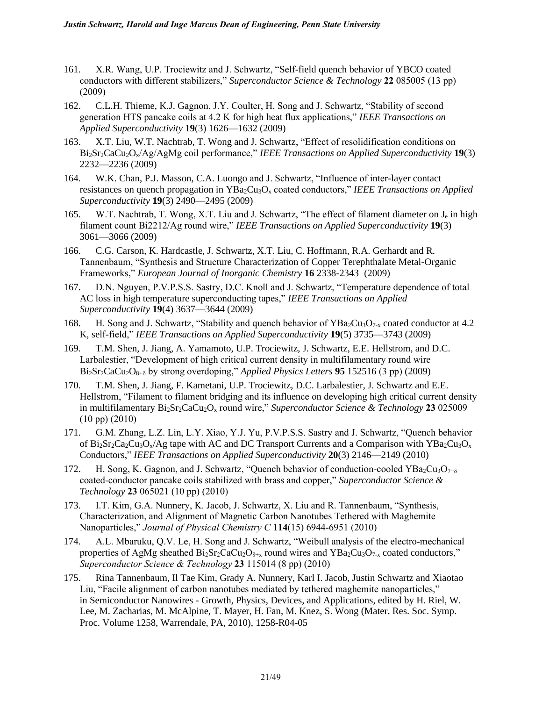- 161. X.R. Wang, U.P. Trociewitz and J. Schwartz, "Self-field quench behavior of YBCO coated conductors with different stabilizers," *Superconductor Science & Technology* **22** 085005 (13 pp) (2009)
- 162. C.L.H. Thieme, K.J. Gagnon, J.Y. Coulter, H. Song and J. Schwartz, "Stability of second generation HTS pancake coils at 4.2 K for high heat flux applications," *IEEE Transactions on Applied Superconductivity* **19**(3) 1626—1632 (2009)
- 163. X.T. Liu, W.T. Nachtrab, T. Wong and J. Schwartz, "Effect of resolidification conditions on Bi2Sr2CaCu2Ox/Ag/AgMg coil performance," *IEEE Transactions on Applied Superconductivity* **19**(3) 2232—2236 (2009)
- 164. W.K. Chan, P.J. Masson, C.A. Luongo and J. Schwartz, "Influence of inter-layer contact resistances on quench propagation in YBa<sub>2</sub>Cu<sub>3</sub>O<sub>x</sub> coated conductors," *IEEE Transactions on Applied Superconductivity* **19**(3) 2490—2495 (2009)
- 165. W.T. Nachtrab, T. Wong, X.T. Liu and J. Schwartz, "The effect of filament diameter on J<sub>e</sub> in high filament count Bi2212/Ag round wire," *IEEE Transactions on Applied Superconductivity* **19**(3) 3061—3066 (2009)
- 166. C.G. Carson, K. Hardcastle, J. Schwartz, X.T. Liu, C. Hoffmann, R.A. Gerhardt and R. Tannenbaum, "Synthesis and Structure Characterization of Copper Terephthalate Metal-Organic Frameworks," *European Journal of Inorganic Chemistry* **16** 2338-2343 (2009)
- 167. D.N. Nguyen, P.V.P.S.S. Sastry, D.C. Knoll and J. Schwartz, "Temperature dependence of total AC loss in high temperature superconducting tapes," *IEEE Transactions on Applied Superconductivity* **19**(4) 3637—3644 (2009)
- 168. H. Song and J. Schwartz, "Stability and quench behavior of  $YBa_2Cu_3O_{7-x}$  coated conductor at 4.2 K, self-field," *IEEE Transactions on Applied Superconductivity* **19**(5) 3735—3743 (2009)
- 169. T.M. Shen, J. Jiang, A. Yamamoto, U.P. Trociewitz, J. Schwartz, E.E. Hellstrom, and D.C. Larbalestier, "Development of high critical current density in multifilamentary round wire  $Bi<sub>2</sub>Sr<sub>2</sub>CaCu<sub>2</sub>O<sub>8+\delta</sub>$  by strong overdoping," *Applied Physics Letters* **95** 152516 (3 pp) (2009)
- 170. T.M. Shen, J. Jiang, F. Kametani, U.P. Trociewitz, D.C. Larbalestier, J. Schwartz and E.E. Hellstrom, "Filament to filament bridging and its influence on developing high critical current density in multifilamentary Bi2Sr2CaCu2O<sup>x</sup> round wire," *Superconductor Science & Technology* **23** 025009 (10 pp) (2010)
- 171. G.M. Zhang, L.Z. Lin, L.Y. Xiao, Y.J. Yu, P.V.P.S.S. Sastry and J. Schwartz, "Quench behavior of Bi<sub>2</sub>Sr<sub>2</sub>Ca<sub>2</sub>Cu<sub>3</sub>O<sub>x</sub>/Ag tape with AC and DC Transport Currents and a Comparison with YBa<sub>2</sub>Cu<sub>3</sub>O<sub>x</sub> Conductors," *IEEE Transactions on Applied Superconductivity* **20**(3) 2146—2149 (2010)
- 172. H. Song, K. Gagnon, and J. Schwartz, "Quench behavior of conduction-cooled YBa<sub>2</sub>Cu<sub>3</sub>O<sub>7</sub><sup>-δ</sup> coated-conductor pancake coils stabilized with brass and copper," *Superconductor Science & Technology* **23** 065021 (10 pp) (2010)
- 173. I.T. Kim, G.A. Nunnery, K. Jacob, J. Schwartz, X. Liu and R. Tannenbaum, "Synthesis, Characterization, and Alignment of Magnetic Carbon Nanotubes Tethered with Maghemite Nanoparticles," *Journal of Physical Chemistry C* **114**(15) 6944-6951 (2010)
- 174. A.L. Mbaruku, Q.V. Le, H. Song and J. Schwartz, "Weibull analysis of the electro-mechanical properties of AgMg sheathed  $Bi_2Sr_2CaCu_2O_{8+x}$  round wires and  $YBa_2Cu_3O_{7-x}$  coated conductors," *Superconductor Science & Technology* **23** 115014 (8 pp) (2010)
- 175. Rina Tannenbaum, Il Tae Kim, Grady A. Nunnery, Karl I. Jacob, Justin Schwartz and Xiaotao Liu, "Facile alignment of carbon nanotubes mediated by tethered maghemite nanoparticles," in Semiconductor Nanowires - Growth, Physics, Devices, and Applications, edited by H. Riel, W. Lee, M. Zacharias, M. McAlpine, T. Mayer, H. Fan, M. Knez, S. Wong (Mater. Res. Soc. Symp. Proc. Volume 1258, Warrendale, PA, 2010), 1258-R04-05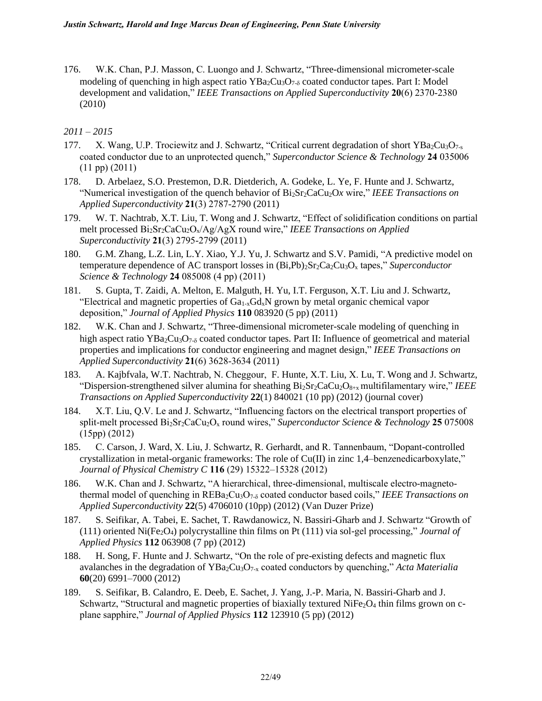176. W.K. Chan, P.J. Masson, C. Luongo and J. Schwartz, "Three-dimensional micrometer-scale modeling of quenching in high aspect ratio  $YBa_2Cu_3O_{7-\delta}$  coated conductor tapes. Part I: Model development and validation," *IEEE Transactions on Applied Superconductivity* **20**(6) 2370-2380 (2010)

- 177. X. Wang, U.P. Trociewitz and J. Schwartz, "Critical current degradation of short YBa2Cu<sub>3</sub>O<sub>7-s</sub> coated conductor due to an unprotected quench," *Superconductor Science & Technology* **24** 035006 (11 pp) (2011)
- 178. D. Arbelaez, S.O. Prestemon, D.R. Dietderich, A. Godeke, L. Ye, F. Hunte and J. Schwartz, "Numerical investigation of the quench behavior of Bi2Sr2CaCu2O*x* wire," *IEEE Transactions on Applied Superconductivity* **21**(3) 2787-2790 (2011)
- 179. W. T. Nachtrab, X.T. Liu, T. Wong and J. Schwartz, "Effect of solidification conditions on partial melt processed Bi<sub>2</sub>Sr<sub>2</sub>CaCu<sub>2</sub>O<sub>x</sub>/Ag/AgX round wire," *IEEE Transactions on Applied Superconductivity* **21**(3) 2795-2799 (2011)
- 180. G.M. Zhang, L.Z. Lin, L.Y. Xiao, Y.J. Yu, J. Schwartz and S.V. Pamidi, "A predictive model on temperature dependence of AC transport losses in  $(Bi,Pb)_{2}Sr_{2}Ca_{2}Cu_{3}O_{x}$  tapes," *Superconductor Science & Technology* **24** 085008 (4 pp) (2011)
- 181. S. Gupta, T. Zaidi, A. Melton, E. Malguth, H. Yu, I.T. Ferguson, X.T. Liu and J. Schwartz, "Electrical and magnetic properties of  $Ga_{1-x}Ga_xN$  grown by metal organic chemical vapor deposition," *Journal of Applied Physics* **110** 083920 (5 pp) (2011)
- 182. W.K. Chan and J. Schwartz, "Three-dimensional micrometer-scale modeling of quenching in high aspect ratio  $YBa_2Cu_3O_{7-\delta}$  coated conductor tapes. Part II: Influence of geometrical and material properties and implications for conductor engineering and magnet design," *IEEE Transactions on Applied Superconductivity* **21**(6) 3628-3634 (2011)
- 183. A. Kajbfvala, W.T. Nachtrab, N. Cheggour, F. Hunte, X.T. Liu, X. Lu, T. Wong and J. Schwartz, "Dispersion-strengthened silver alumina for sheathing Bi2Sr2CaCu2O8+x multifilamentary wire," *IEEE Transactions on Applied Superconductivity* **22**(1) 840021 (10 pp) (2012) (journal cover)
- 184. X.T. Liu, Q.V. Le and J. Schwartz, "Influencing factors on the electrical transport properties of split-melt processed Bi2Sr2CaCu2O<sup>x</sup> round wires," *Superconductor Science & Technology* **25** 075008 (15pp) (2012)
- 185. C. Carson, J. Ward, X. Liu, J. Schwartz, R. Gerhardt, and R. Tannenbaum, "Dopant-controlled crystallization in metal-organic frameworks: The role of Cu(II) in zinc 1,4–benzenedicarboxylate," *Journal of Physical Chemistry C* **116** (29) 15322–15328 (2012)
- 186. W.K. Chan and J. Schwartz, "A hierarchical, three-dimensional, multiscale electro-magnetothermal model of quenching in REBa2Cu3O7-<sup>δ</sup> coated conductor based coils," *IEEE Transactions on Applied Superconductivity* **22**(5) 4706010 (10pp) (2012) (Van Duzer Prize)
- 187. S. Seifikar, A. Tabei, E. Sachet, T. Rawdanowicz, N. Bassiri-Gharb and J. Schwartz "Growth of  $(111)$  oriented Ni(Fe<sub>2</sub>O<sub>4</sub>) polycrystalline thin films on Pt  $(111)$  via sol-gel processing," *Journal of Applied Physics* **112** 063908 (7 pp) (2012)
- 188. H. Song, F. Hunte and J. Schwartz, "On the role of pre-existing defects and magnetic flux avalanches in the degradation of YBa2Cu3O7-x coated conductors by quenching," *Acta Materialia*  **60**(20) 6991–7000 (2012)
- 189. S. Seifikar, B. Calandro, E. Deeb, E. Sachet, J. Yang, J.-P. Maria, N. Bassiri-Gharb and J. Schwartz, "Structural and magnetic properties of biaxially textured NiFe<sub>2</sub>O<sub>4</sub> thin films grown on cplane sapphire," *Journal of Applied Physics* **112** 123910 (5 pp) (2012)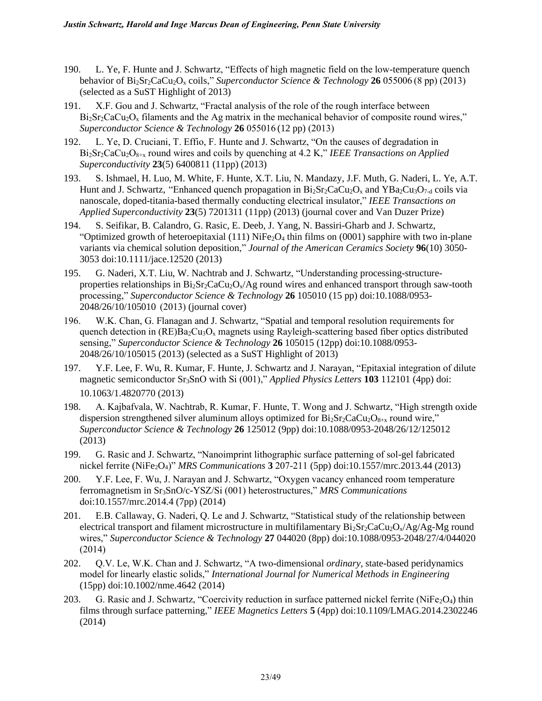- 190. L. Ye, F. Hunte and J. Schwartz, "Effects of high magnetic field on the low-temperature quench behavior of Bi2Sr2CaCu2O<sup>x</sup> coils," *Superconductor Science & Technology* **26** 055006 (8 pp) (2013) (selected as a SuST Highlight of 2013)
- 191. X.F. Gou and J. Schwartz, "Fractal analysis of the role of the rough interface between  $Bi<sub>2</sub>Sr<sub>2</sub>CaCu<sub>2</sub>O<sub>x</sub>$  filaments and the Ag matrix in the mechanical behavior of composite round wires," *Superconductor Science & Technology* **26** 055016 (12 pp) (2013)
- 192. L. Ye, D. Cruciani, T. Effio, F. Hunte and J. Schwartz, "On the causes of degradation in Bi2Sr2CaCu2O8+x round wires and coils by quenching at 4.2 K," *IEEE Transactions on Applied Superconductivity* **23**(5) 6400811 (11pp) (2013)
- 193. S. Ishmael, H. Luo, M. White, F. Hunte, X.T. Liu, N. Mandazy, J.F. Muth, G. Naderi, L. Ye, A.T. Hunt and J. Schwartz, "Enhanced quench propagation in  $Bi_2Sr_2CaCu_2O_x$  and  $YBa_2Cu_3O_{7-d}$  coils via nanoscale, doped-titania-based thermally conducting electrical insulator," *IEEE Transactions on Applied Superconductivity* **23**(5) 7201311 (11pp) (2013) (journal cover and Van Duzer Prize)
- 194. S. Seifikar, B. Calandro, G. Rasic, E. Deeb, J. Yang, N. Bassiri-Gharb and J. Schwartz, "Optimized growth of heteroepitaxial (111) NiFe<sub>2</sub>O<sub>4</sub> thin films on (0001) sapphire with two in-plane variants via chemical solution deposition," *Journal of the American Ceramics Society* **96**(10) 3050- 3053 doi:10.1111/jace.12520 (2013)
- 195. G. Naderi, X.T. Liu, W. Nachtrab and J. Schwartz, "Understanding processing-structureproperties relationships in  $Bi_2Sr_2CaCu_2O_x/Ag$  round wires and enhanced transport through saw-tooth processing," *Superconductor Science & Technology* **26** 105010 (15 pp) doi:10.1088/0953- 2048/26/10/105010 (2013) (journal cover)
- 196. W.K. Chan, G. Flanagan and J. Schwartz, "Spatial and temporal resolution requirements for quench detection in  $(RE)Ba_2Cu_3O_x$  magnets using Rayleigh-scattering based fiber optics distributed sensing," *Superconductor Science & Technology* **26** 105015 (12pp) doi:10.1088/0953- 2048/26/10/105015 (2013) (selected as a SuST Highlight of 2013)
- 197. Y.F. Lee, F. Wu, R. Kumar, F. Hunte, J. Schwartz and J. Narayan, "Epitaxial integration of dilute magnetic semiconductor Sr3SnO with Si (001)," *Applied Physics Letters* **103** 112101 (4pp) doi: 10.1063/1.4820770 (2013)
- 198. A. Kajbafvala, W. Nachtrab, R. Kumar, F. Hunte, T. Wong and J. Schwartz, "High strength oxide dispersion strengthened silver aluminum alloys optimized for  $Bi_2Sr_2CaCu_2O_{8+x}$  round wire," *Superconductor Science & Technology* **26** 125012 (9pp) doi:10.1088/0953-2048/26/12/125012 (2013)
- 199. G. Rasic and J. Schwartz, "Nanoimprint lithographic surface patterning of sol-gel fabricated nickel ferrite (NiFe2O4)" *MRS Communications* **3** 207-211 (5pp) doi[:10.1557/mrc.2013.44](http://dx.doi.org/10.1557/mrc.2013.44) (2013)
- 200. Y.F. Lee, F. Wu, J. Narayan and J. Schwartz, "Oxygen vacancy enhanced room temperature ferromagnetism in Sr3SnO/c-YSZ/Si (001) heterostructures," *MRS Communications*  doi:10.1557/mrc.2014.4 (7pp) (2014)
- 201. E.B. Callaway, G. Naderi, Q. Le and J. Schwartz, "Statistical study of the relationship between electrical transport and filament microstructure in multifilamentary  $Bi_2Sr_2CaCu_2O_x/Ag/Ag$ -Mg round wires," *Superconductor Science & Technology* **27** 044020 (8pp) doi:10.1088/0953-2048/27/4/044020 (2014)
- 202. Q.V. Le, W.K. Chan and J. Schwartz, "A two-dimensional *ordinary*, state-based peridynamics model for linearly elastic solids," *International Journal for Numerical Methods in Engineering*  (15pp) doi:10.1002/nme.4642 (2014)
- 203. G. Rasic and J. Schwartz, "Coercivity reduction in surface patterned nickel ferrite (NiFe<sub>2</sub>O<sub>4</sub>) thin films through surface patterning," *IEEE Magnetics Letters* **5** (4pp) doi[:10.1109/LMAG.2014.2302246](http://dx.doi.org/10.1109/LMAG.2014.2302246) (2014)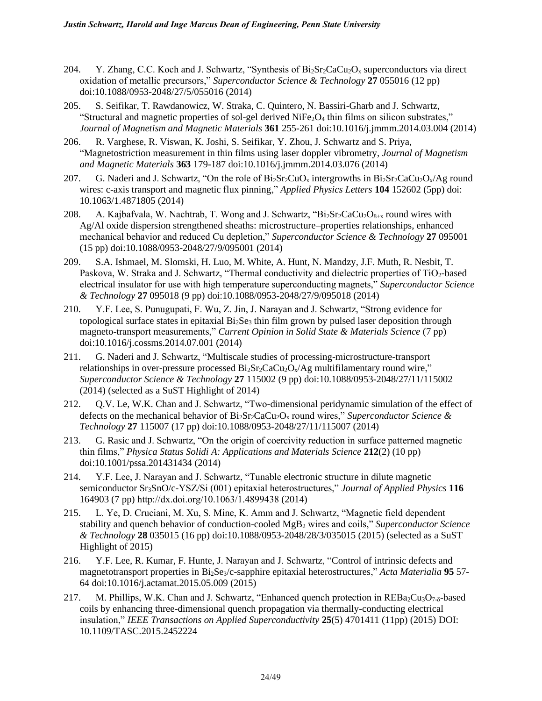- 204. Y. Zhang, C.C. Koch and J. Schwartz, "Synthesis of  $Bi_2Sr_2CaCu_2O_x$  superconductors via direct oxidation of metallic precursors," *Superconductor Science & Technology* **27** 055016 (12 pp) doi:10.1088/0953-2048/27/5/055016 (2014)
- 205. S. Seifikar, T. Rawdanowicz, W. Straka, C. Quintero, N. Bassiri-Gharb and J. Schwartz, "Structural and magnetic properties of sol-gel derived NiFe<sub>2</sub>O<sub>4</sub> thin films on silicon substrates," *Journal of Magnetism and Magnetic Materials* **361** 255-261 doi:10.1016/j.jmmm.2014.03.004 (2014)
- 206. R. Varghese, R. Viswan, K. Joshi, S. Seifikar, Y. Zhou, J. Schwartz and S. Priya, "Magnetostriction measurement in thin films using laser doppler vibrometry, *Journal of Magnetism and Magnetic Materials* **363** 179-187 doi:10.1016/j.jmmm.2014.03.076 (2014)
- 207. G. Naderi and J. Schwartz, "On the role of  $Bi_2Sr_2CuO_x$  intergrowths in  $Bi_2Sr_2CaCu_2O_x/Ag$  round wires: c-axis transport and magnetic flux pinning," *Applied Physics Letters* **104** 152602 (5pp) doi: 10.1063/1.4871805 (2014)
- 208. A. Kajbafvala, W. Nachtrab, T. Wong and J. Schwartz, "Bi<sub>2</sub>Sr<sub>2</sub>CaCu<sub>2</sub>O<sub>8+x</sub> round wires with Ag/Al oxide dispersion strengthened sheaths: microstructure–properties relationships, enhanced mechanical behavior and reduced Cu depletion," *Superconductor Science & Technology* **27** 095001 (15 pp) doi:10.1088/0953-2048/27/9/095001 (2014)
- 209. S.A. Ishmael, M. Slomski, H. Luo, M. White, A. Hunt, N. Mandzy, J.F. Muth, R. Nesbit, T. Paskova, W. Straka and J. Schwartz, "Thermal conductivity and dielectric properties of TiO<sub>2</sub>-based electrical insulator for use with high temperature superconducting magnets," *Superconductor Science & Technology* **27** 095018 (9 pp) doi:10.1088/0953-2048/27/9/095018 (2014)
- 210. Y.F. Lee, S. Punugupati, F. Wu, Z. Jin, J. Narayan and J. Schwartz, "Strong evidence for topological surface states in epitaxial  $Bi<sub>2</sub>Se<sub>3</sub>$  thin film grown by pulsed laser deposition through magneto-transport measurements," *Current Opinion in Solid State & Materials Science* (7 pp) doi:10.1016/j.cossms.2014.07.001 (2014)
- 211. G. Naderi and J. Schwartz, "Multiscale studies of processing-microstructure-transport relationships in over-pressure processed  $Bi_2Sr_2CaCu_2O_x/Ag$  multifilamentary round wire," *Superconductor Science & Technology* **27** 115002 (9 pp) doi:10.1088/0953-2048/27/11/115002 (2014) (selected as a SuST Highlight of 2014)
- 212. Q.V. Le, W.K. Chan and J. Schwartz, "Two-dimensional peridynamic simulation of the effect of defects on the mechanical behavior of  $Bi_2Sr_2CaCu_2O_x$  round wires," *Superconductor Science & Technology* **27** 115007 (17 pp) doi:10.1088/0953-2048/27/11/115007 (2014)
- 213. G. Rasic and J. Schwartz, "On the origin of coercivity reduction in surface patterned magnetic thin films," *Physica Status Solidi A: Applications and Materials Science* **212**(2) (10 pp) doi:10.1001/pssa.201431434 (2014)
- 214. Y.F. Lee, J. Narayan and J. Schwartz, "Tunable electronic structure in dilute magnetic semiconductor Sr3SnO/c-YSZ/Si (001) epitaxial heterostructures," *Journal of Applied Physics* **116** 164903 (7 pp) <http://dx.doi.org/10.1063/1.4899438> (2014)
- 215. L. Ye, D. Cruciani, M. Xu, S. Mine, K. Amm and J. Schwartz, "Magnetic field dependent stability and quench behavior of conduction-cooled MgB<sup>2</sup> wires and coils," *Superconductor Science & Technology* **28** 035015 (16 pp) doi:10.1088/0953-2048/28/3/035015 (2015) (selected as a SuST Highlight of 2015)
- 216. Y.F. Lee, R. Kumar, F. Hunte, J. Narayan and J. Schwartz, "Control of intrinsic defects and magnetotransport properties in Bi<sub>2</sub>Se<sub>3</sub>/c-sapphire epitaxial heterostructures," *Acta Materialia* **95** 57-64 [doi:10.1016/j.actamat.2015.05.009](http://dx.doi.org/10.1016/j.actamat.2015.05.009) (2015)
- 217. M. Phillips, W.K. Chan and J. Schwartz, "Enhanced quench protection in  $REBa_2Cu_3O_{7-8}$ -based coils by enhancing three-dimensional quench propagation via thermally-conducting electrical insulation," *IEEE Transactions on Applied Superconductivity* **25**(5) 4701411 (11pp) (2015) DOI: 10.1109/TASC.2015.2452224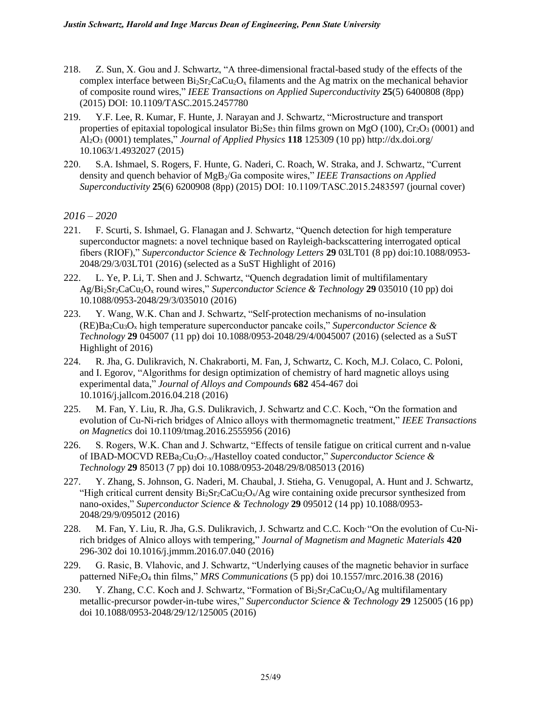- 218. Z. Sun, X. Gou and J. Schwartz, "A three-dimensional fractal-based study of the effects of the complex interface between  $Bi_2Sr_2CaCu_2O_x$  filaments and the Ag matrix on the mechanical behavior of composite round wires," *IEEE Transactions on Applied Superconductivity* **25**(5) 6400808 (8pp) (2015) DOI: [10.1109/TASC.2015.2457780](http://dx.doi.org.prox.lib.ncsu.edu/10.1109/TASC.2015.2457780)
- 219. Y.F. Lee, R. Kumar, F. Hunte, J. Narayan and J. Schwartz, "Microstructure and transport properties of epitaxial topological insulator  $Bi_2Se_3$  thin films grown on MgO (100),  $Cr_2O_3$  (0001) and Al2O<sup>3</sup> (0001) templates," *Journal of Applied Physics* **118** 125309 (10 pp[\) http://dx.doi.org/](http://dx.doi.org/10.1063/1.4899438)  [10.1063/1.4932027](http://dx.doi.org/10.1063/1.4899438) (2015)
- 220. S.A. Ishmael, S. Rogers, F. Hunte, G. Naderi, C. Roach, W. Straka, and J. Schwartz, "Current density and quench behavior of MgB2/Ga composite wires," *IEEE Transactions on Applied Superconductivity* **25**(6) 6200908 (8pp) (2015) DOI: 10.1109/TASC.2015.2483597 (journal cover)

- 221. F. Scurti, S. Ishmael, G. Flanagan and J. Schwartz, "Quench detection for high temperature superconductor magnets: a novel technique based on Rayleigh-backscattering interrogated optical fibers (RIOF)," *Superconductor Science & Technology Letters* **29** 03LT01 (8 pp) doi:10.1088/0953- 2048/29/3/03LT01 (2016) (selected as a SuST Highlight of 2016)
- 222. L. Ye, P. Li, T. Shen and J. Schwartz, "Quench degradation limit of multifilamentary Ag/Bi2Sr2CaCu2O<sup>x</sup> round wires," *Superconductor Science & Technology* **29** 035010 (10 pp) doi 10.1088/0953-2048/29/3/035010 (2016)
- 223. Y. Wang, W.K. Chan and J. Schwartz, "Self-protection mechanisms of no-insulation  $(RE)Ba_2Cu_3O_x$  high temperature superconductor pancake coils," *Superconductor Science & Technology* **29** 045007 (11 pp) doi 10.1088/0953-2048/29/4/0045007 (2016) (selected as a SuST Highlight of 2016)
- 224. R. Jha, G. Dulikravich, N. Chakraborti, M. Fan, J, Schwartz, C. Koch, M.J. Colaco, C. Poloni, and I. Egorov, "Algorithms for design optimization of chemistry of hard magnetic alloys using experimental data," *Journal of Alloys and Compounds* **682** 454-467 doi 10.1016/j.jallcom.2016.04.218 (2016)
- 225. M. Fan, Y. Liu, R. Jha, G.S. Dulikravich, J. Schwartz and C.C. Koch, "On the formation and evolution of Cu-Ni-rich bridges of Alnico alloys with thermomagnetic treatment," *IEEE Transactions on Magnetics* doi 10.1109/tmag.2016.2555956 (2016)
- 226. S. Rogers, W.K. Chan and J. Schwartz, "Effects of tensile fatigue on critical current and n-value of IBAD-MOCVD REBa2Cu3O7-x/Hastelloy coated conductor," *Superconductor Science & Technology* **29** 85013 (7 pp) doi [10.1088/0953-2048/29/8/085013](http://dx.doi.org/10.1088/0953-2048/29/8/085013) (2016)
- 227. Y. Zhang, S. Johnson, G. Naderi, M. Chaubal, J. Stieha, G. Venugopal, A. Hunt and J. Schwartz, "High critical current density  $Bi_2Sr_2CaCu_2O_x/Ag$  wire containing oxide precursor synthesized from nano-oxides," *Superconductor Science & Technology* **29** 095012 (14 pp) [10.1088/0953-](http://dx.doi.org/10.1088/0953-2048/29/8/085013) [2048/29/9/095012](http://dx.doi.org/10.1088/0953-2048/29/8/085013) (2016)
- 228. M. Fan, Y. Liu, R. Jha, G.S. Dulikravich, J. Schwartz and C.C. Koch<sup>, "</sup>On the evolution of Cu-Nirich bridges of Alnico alloys with tempering," *Journal of Magnetism and Magnetic Materials* **420** 296-302 doi [10.1016/j.jmmm.2016.07.040](http://dx.doi.org/10.1016/j.jmmm.2016.07.040) (2016)
- 229. G. Rasic, B. Vlahovic, and J. Schwartz, "Underlying causes of the magnetic behavior in surface patterned NiFe2O<sup>4</sup> thin films," *MRS Communications* (5 pp) doi [10.1557/mrc.2016.38](http://dx.doi.org/10.1557/mrc.2016.38) (2016)
- 230. Y. Zhang, C.C. Koch and J. Schwartz, "Formation of  $Bi_2Sr_2CaCu_2O_x/Ag$  multifilamentary metallic-precursor powder-in-tube wires," *Superconductor Science & Technology* **29** 125005 (16 pp) doi [10.1088/0953-2048/29/12/125005](http://dx.doi.org/10.1088/0953-2048/29/8/085013) (2016)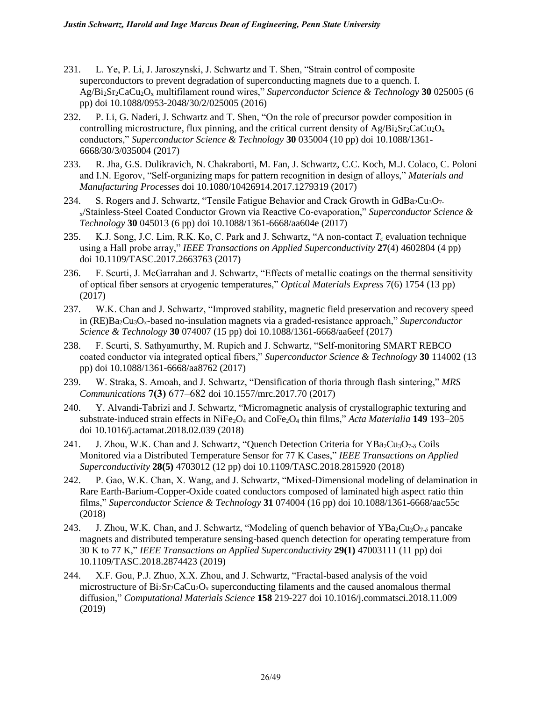- 231. L. Ye, P. Li, J. Jaroszynski, J. Schwartz and T. Shen, "Strain control of composite superconductors to prevent degradation of superconducting magnets due to a quench. I. Ag/Bi2Sr2CaCu2O<sup>x</sup> multifilament round wires," *Superconductor Science & Technology* **30** 025005 (6 pp) doi [10.1088/0953-2048/30/2/025005](http://dx.doi.org/10.1088/0953-2048/29/8/085013) (2016)
- 232. P. Li, G. Naderi, J. Schwartz and T. Shen, "On the role of precursor powder composition in controlling microstructure, flux pinning, and the critical current density of  $Ag/Bi_2Sr_2CaCu_2O_x$ conductors," *Superconductor Science & Technology* **30** 035004 (10 pp) doi [10.1088/1361-](http://dx.doi.org/10.1088/1361-6668/30/3/035004) [6668/30/3/035004](http://dx.doi.org/10.1088/1361-6668/30/3/035004) (2017)
- 233. R. Jha, G.S. Dulikravich, N. Chakraborti, M. Fan, J. Schwartz, C.C. Koch, M.J. Colaco, C. Poloni and I.N. Egorov, "Self-organizing maps for pattern recognition in design of alloys," *Materials and Manufacturing Processes* doi 10.1080/10426914.2017.1279319 (2017)
- 234. S. Rogers and J. Schwartz, "Tensile Fatigue Behavior and Crack Growth in  $GdBa_2Cu_3O_7$ . <sup>x</sup>/Stainless-Steel Coated Conductor Grown via Reactive Co-evaporation," *Superconductor Science & Technology* **30** 045013 (6 pp) doi [10.1088/1361-6668/aa604e](http://dx.doi.org/10.1088/1361-6668/30/3/035004) (2017)
- 235. K.J. Song, J.C. Lim, R.K. Ko, C. Park and J. Schwartz, "A non-contact *T<sup>c</sup>* evaluation technique using a Hall probe array," *IEEE Transactions on Applied Superconductivity* **27**(4) 4602804 (4 pp) doi 10.1109/TASC.2017.2663763 (2017)
- 236. F. Scurti, J. McGarrahan and J. Schwartz, "Effects of metallic coatings on the thermal sensitivity of optical fiber sensors at cryogenic temperatures," *Optical Materials Express* 7(6) 1754 (13 pp) (2017)
- 237. W.K. Chan and J. Schwartz, "Improved stability, magnetic field preservation and recovery speed in (RE)Ba2Cu3Ox-based no-insulation magnets via a graded-resistance approach," *Superconductor Science & Technology* **30** 074007 (15 pp) doi 10.1088/1361-6668/aa6eef (2017)
- 238. F. Scurti, S. Sathyamurthy, M. Rupich and J. Schwartz, "Self-monitoring SMART REBCO coated conductor via integrated optical fibers," *Superconductor Science & Technology* **30** 114002 (13 pp) doi 10.1088/1361-6668/aa8762 (2017)
- 239. W. Straka, S. Amoah, and J. Schwartz, "Densification of thoria through flash sintering," *MRS Communications* **7(3)** 677–682 doi 10.1557/mrc.2017.70 (2017)
- 240. Y. Alvandi-Tabrizi and J. Schwartz, "Micromagnetic analysis of crystallographic texturing and substrate-induced strain effects in NiFe2O<sup>4</sup> and CoFe2O<sup>4</sup> thin films," *Acta Materialia* **149** 193–205 doi 10.1016/j.actamat.2018.02.039 (2018)
- 241. J. Zhou, W.K. Chan and J. Schwartz, "Quench Detection Criteria for  $YBa_2Cu_3O_{7-\delta}$  Coils Monitored via a Distributed Temperature Sensor for 77 K Cases," *IEEE Transactions on Applied Superconductivity* **28(5)** 4703012 (12 pp) doi 10.1109/TASC.2018.2815920 (2018)
- 242. P. Gao, W.K. Chan, X. Wang, and J. Schwartz, "Mixed-Dimensional modeling of delamination in Rare Earth-Barium-Copper-Oxide coated conductors composed of laminated high aspect ratio thin films," *Superconductor Science & Technology* **31** 074004 (16 pp) doi 10.1088/1361-6668/aac55c (2018)
- 243. J. Zhou, W.K. Chan, and J. Schwartz, "Modeling of quench behavior of YBa<sub>2</sub>Cu<sub>3</sub>O<sub>7-δ</sub> pancake magnets and distributed temperature sensing-based quench detection for operating temperature from 30 K to 77 K," *IEEE Transactions on Applied Superconductivity* **29(1)** 47003111 (11 pp) doi 10.1109/TASC.2018.2874423 (2019)
- 244. X.F. Gou, P.J. Zhuo, X.X. Zhou, and J. Schwartz, "Fractal-based analysis of the void microstructure of  $Bi_2Sr_2CaCu_2O_x$  superconducting filaments and the caused anomalous thermal diffusion," *Computational Materials Science* **158** 219-227 doi [10.1016/j.commatsci.2018.11.009](https://doi.org/10.1016/j.commatsci.2018.11.009) (2019)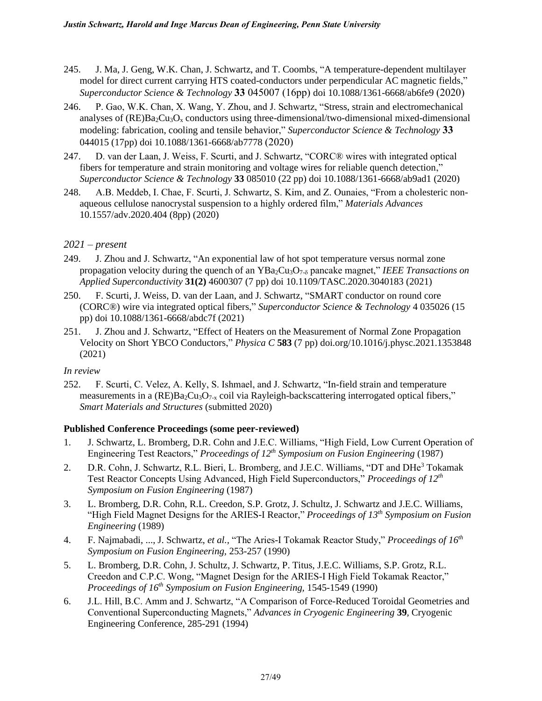- 245. J. Ma, J. Geng, W.K. Chan, J. Schwartz, and T. Coombs, "A temperature-dependent multilayer model for direct current carrying HTS coated-conductors under perpendicular AC magnetic fields," *Superconductor Science & Technology* **33** 045007 (16pp) doi 10.1088/1361-6668/ab6fe9 (2020)
- 246. P. Gao, W.K. Chan, X. Wang, Y. Zhou, and J. Schwartz, "Stress, strain and electromechanical analyses of  $(RE)Ba<sub>2</sub>Cu<sub>3</sub>O<sub>x</sub>$  conductors using three-dimensional/two-dimensional mixed-dimensional modeling: fabrication, cooling and tensile behavior," *Superconductor Science & Technology* **33** 044015 (17pp) doi 10.1088/1361-6668/ab7778 (2020)
- 247. D. van der Laan, J. Weiss, F. Scurti, and J. Schwartz, "CORC® wires with integrated optical fibers for temperature and strain monitoring and voltage wires for reliable quench detection," *Superconductor Science & Technology* **33** 085010 (22 pp) doi 10.1088/1361-6668/ab9ad1 (2020)
- 248. A.B. Meddeb, I. Chae, F. Scurti, J. Schwartz, S. Kim, and Z. Ounaies, "From a cholesteric nonaqueous cellulose nanocrystal suspension to a highly ordered film," *Materials Advances* 10.1557/adv.2020.404 (8pp) (2020)

# *2021 – present*

- 249. J. Zhou and J. Schwartz, "An exponential law of hot spot temperature versus normal zone propagation velocity during the quench of an  $YBa_2Cu_3O_{7-6}$  pancake magnet," *IEEE Transactions on Applied Superconductivity* **31(2)** 4600307 (7 pp) doi 10.1109/TASC.2020.3040183 (2021)
- 250. F. Scurti, J. Weiss, D. van der Laan, and J. Schwartz, "SMART conductor on round core (CORC®) wire via integrated optical fibers," *Superconductor Science & Technology* 4 035026 (15 pp) doi 10.1088/1361-6668/abdc7f (2021)
- 251. J. Zhou and J. Schwartz, "Effect of Heaters on the Measurement of Normal Zone Propagation Velocity on Short YBCO Conductors," *Physica C* **583** (7 pp[\) doi.org/10.1016/j.physc.2021.1353848](https://doi.org/10.1016/j.physc.2021.1353848) (2021)

#### *In review*

252. F. Scurti, C. Velez, A. Kelly, S. Ishmael, and J. Schwartz, "In-field strain and temperature measurements in a  $(RE)Ba<sub>2</sub>Cu<sub>3</sub>O<sub>7-x</sub>$  coil via Rayleigh-backscattering interrogated optical fibers," *Smart Materials and Structures* (submitted 2020)

# **Published Conference Proceedings (some peer-reviewed)**

- 1. J. Schwartz, L. Bromberg, D.R. Cohn and J.E.C. Williams, "High Field, Low Current Operation of Engineering Test Reactors," *Proceedings of 12th Symposium on Fusion Engineering* (1987)
- 2. D.R. Cohn, J. Schwartz, R.L. Bieri, L. Bromberg, and J.E.C. Williams, "DT and DHe<sup>3</sup> Tokamak Test Reactor Concepts Using Advanced, High Field Superconductors," *Proceedings of 12th Symposium on Fusion Engineering* (1987)
- 3. L. Bromberg, D.R. Cohn, R.L. Creedon, S.P. Grotz, J. Schultz, J. Schwartz and J.E.C. Williams, "High Field Magnet Designs for the ARIES-I Reactor," *Proceedings of 13th Symposium on Fusion Engineering* (1989)
- 4. F. Najmabadi, ..., J. Schwartz, *et al.,* "The Aries-I Tokamak Reactor Study," *Proceedings of 16th Symposium on Fusion Engineering,* 253-257 (1990)
- 5. L. Bromberg, D.R. Cohn, J. Schultz, J. Schwartz, P. Titus, J.E.C. Williams, S.P. Grotz, R.L. Creedon and C.P.C. Wong, "Magnet Design for the ARIES-I High Field Tokamak Reactor," *Proceedings of 16th Symposium on Fusion Engineering,* 1545-1549 (1990)
- 6. J.L. Hill, B.C. Amm and J. Schwartz, "A Comparison of Force-Reduced Toroidal Geometries and Conventional Superconducting Magnets," *Advances in Cryogenic Engineering* **39***,* Cryogenic Engineering Conference, 285-291 (1994)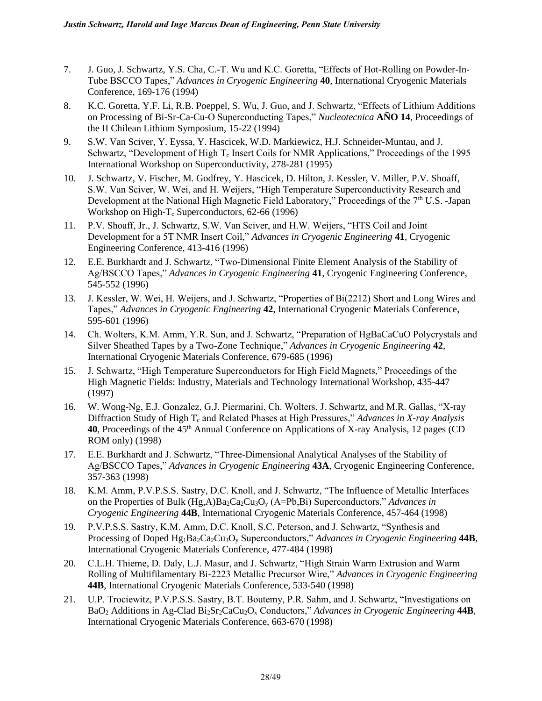- 7. J. Guo, J. Schwartz, Y.S. Cha, C.-T. Wu and K.C. Goretta, "Effects of Hot-Rolling on Powder-In-Tube BSCCO Tapes," *Advances in Cryogenic Engineering* **40***,* International Cryogenic Materials Conference, 169-176 (1994)
- 8. K.C. Goretta, Y.F. Li, R.B. Poeppel, S. Wu, J. Guo, and J. Schwartz, "Effects of Lithium Additions on Processing of Bi-Sr-Ca-Cu-O Superconducting Tapes," *Nucleotecnica* **AÑO 14**, Proceedings of the II Chilean Lithium Symposium, 15-22 (1994)
- 9. S.W. Van Sciver, Y. Eyssa, Y. Hascicek, W.D. Markiewicz, H.J. Schneider-Muntau, and J. Schwartz, "Development of High  $T_c$  Insert Coils for NMR Applications," Proceedings of the 1995 International Workshop on Superconductivity, 278-281 (1995)
- 10. J. Schwartz, V. Fischer, M. Godfrey, Y. Hascicek, D. Hilton, J. Kessler, V. Miller, P.V. Shoaff, S.W. Van Sciver, W. Wei, and H. Weijers, "High Temperature Superconductivity Research and Development at the National High Magnetic Field Laboratory," Proceedings of the 7<sup>th</sup> U.S. -Japan Workshop on High- $T_c$  Superconductors, 62-66 (1996)
- 11. P.V. Shoaff, Jr., J. Schwartz, S.W. Van Sciver, and H.W. Weijers, "HTS Coil and Joint Development for a 5T NMR Insert Coil," *Advances in Cryogenic Engineering* **41**, Cryogenic Engineering Conference, 413-416 (1996)
- 12. E.E. Burkhardt and J. Schwartz, "Two-Dimensional Finite Element Analysis of the Stability of Ag/BSCCO Tapes," *Advances in Cryogenic Engineering* **41**, Cryogenic Engineering Conference, 545-552 (1996)
- 13. J. Kessler, W. Wei, H. Weijers, and J. Schwartz, "Properties of Bi(2212) Short and Long Wires and Tapes," *Advances in Cryogenic Engineering* **42**, International Cryogenic Materials Conference, 595-601 (1996)
- 14. Ch. Wolters, K.M. Amm, Y.R. Sun, and J. Schwartz, "Preparation of HgBaCaCuO Polycrystals and Silver Sheathed Tapes by a Two-Zone Technique," *Advances in Cryogenic Engineering* **42***,*  International Cryogenic Materials Conference, 679-685 (1996)
- 15. J. Schwartz, "High Temperature Superconductors for High Field Magnets," Proceedings of the High Magnetic Fields: Industry, Materials and Technology International Workshop, 435-447 (1997)
- 16. W. Wong-Ng, E.J. Gonzalez, G.J. Piermarini, Ch. Wolters, J. Schwartz, and M.R. Gallas, "X-ray Diffraction Study of High T<sup>c</sup> and Related Phases at High Pressures," *Advances in X-ray Analysis*  40, Proceedings of the 45<sup>th</sup> Annual Conference on Applications of X-ray Analysis, 12 pages (CD) ROM only) (1998)
- 17. E.E. Burkhardt and J. Schwartz, "Three-Dimensional Analytical Analyses of the Stability of Ag/BSCCO Tapes," *Advances in Cryogenic Engineering* **43A***,* Cryogenic Engineering Conference, 357-363 (1998)
- 18. K.M. Amm, P.V.P.S.S. Sastry, D.C. Knoll, and J. Schwartz, "The Influence of Metallic Interfaces on the Properties of Bulk (Hg,A)Ba2Ca2Cu3O<sup>y</sup> (A=Pb,Bi) Superconductors," *Advances in Cryogenic Engineering* **44B***,* International Cryogenic Materials Conference, 457-464 (1998)
- 19. P.V.P.S.S. Sastry, K.M. Amm, D.C. Knoll, S.C. Peterson, and J. Schwartz, "Synthesis and Processing of Doped Hg<sub>1</sub>Ba<sub>2</sub>Ca<sub>2</sub>Cu<sub>3</sub>O<sub>y</sub> Superconductors," *Advances in Cryogenic Engineering* **44B***,* International Cryogenic Materials Conference, 477-484 (1998)
- 20. C.L.H. Thieme, D. Daly, L.J. Masur, and J. Schwartz, "High Strain Warm Extrusion and Warm Rolling of Multifilamentary Bi-2223 Metallic Precursor Wire," *Advances in Cryogenic Engineering*  **44B***,* International Cryogenic Materials Conference, 533-540 (1998)
- 21. U.P. Trociewitz, P.V.P.S.S. Sastry, B.T. Boutemy, P.R. Sahm, and J. Schwartz, "Investigations on BaO<sup>2</sup> Additions in Ag-Clad Bi2Sr2CaCu2O<sup>x</sup> Conductors," *Advances in Cryogenic Engineering* **44B***,*  International Cryogenic Materials Conference, 663-670 (1998)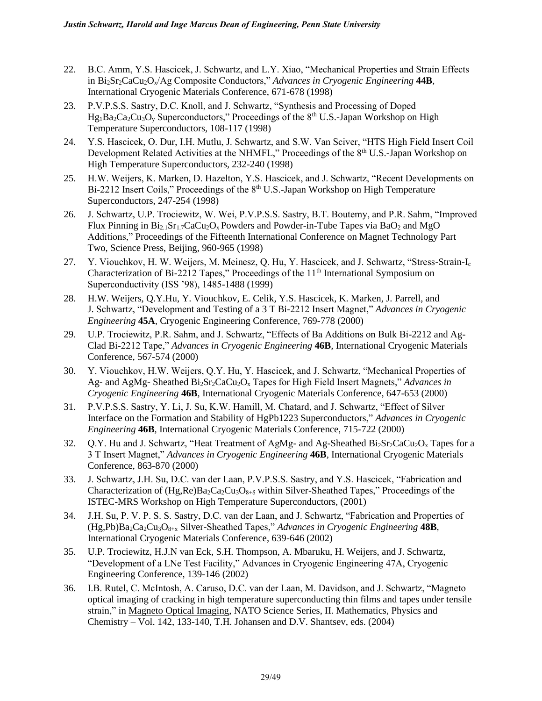- 22. B.C. Amm, Y.S. Hascicek, J. Schwartz, and L.Y. Xiao, "Mechanical Properties and Strain Effects in Bi2Sr2CaCu2Ox/Ag Composite Conductors," *Advances in Cryogenic Engineering* **44B***,*  International Cryogenic Materials Conference, 671-678 (1998)
- 23. P.V.P.S.S. Sastry, D.C. Knoll, and J. Schwartz, "Synthesis and Processing of Doped  $Hg_1Ba_2Ca_2Cu_3O_y$  Superconductors," Proceedings of the 8<sup>th</sup> U.S.-Japan Workshop on High Temperature Superconductors, 108-117 (1998)
- 24. Y.S. Hascicek, O. Dur, I.H. Mutlu, J. Schwartz, and S.W. Van Sciver, "HTS High Field Insert Coil Development Related Activities at the NHMFL," Proceedings of the 8<sup>th</sup> U.S.-Japan Workshop on High Temperature Superconductors, 232-240 (1998)
- 25. H.W. Weijers, K. Marken, D. Hazelton, Y.S. Hascicek, and J. Schwartz, "Recent Developments on Bi-2212 Insert Coils," Proceedings of the  $8<sup>th</sup>$  U.S.-Japan Workshop on High Temperature Superconductors, 247-254 (1998)
- 26. J. Schwartz, U.P. Trociewitz, W. Wei, P.V.P.S.S. Sastry, B.T. Boutemy, and P.R. Sahm, "Improved Flux Pinning in  $Bi_{2,1}Sr_{1,7}CaCu_2O_x$  Powders and Powder-in-Tube Tapes via BaO<sub>2</sub> and MgO Additions," Proceedings of the Fifteenth International Conference on Magnet Technology Part Two, Science Press, Beijing, 960-965 (1998)
- 27. Y. Viouchkov, H. W. Weijers, M. Meinesz, Q. Hu, Y. Hascicek, and J. Schwartz, "Stress-Strain-I<sup>c</sup> Characterization of Bi-2212 Tapes," Proceedings of the 11<sup>th</sup> International Symposium on Superconductivity (ISS '98), 1485-1488 (1999)
- 28. H.W. Weijers, Q.Y.Hu, Y. Viouchkov, E. Celik, Y.S. Hascicek, K. Marken, J. Parrell, and J. Schwartz, "Development and Testing of a 3 T Bi-2212 Insert Magnet," *Advances in Cryogenic Engineering* **45A***,* Cryogenic Engineering Conference, 769-778 (2000)
- 29. U.P. Trociewitz, P.R. Sahm, and J. Schwartz, "Effects of Ba Additions on Bulk Bi-2212 and Ag-Clad Bi-2212 Tape," *Advances in Cryogenic Engineering* **46B***,* International Cryogenic Materials Conference, 567-574 (2000)
- 30. Y. Viouchkov, H.W. Weijers, Q.Y. Hu, Y. Hascicek, and J. Schwartz, "Mechanical Properties of Ag- and AgMg- Sheathed Bi2Sr2CaCu2O<sup>x</sup> Tapes for High Field Insert Magnets," *Advances in Cryogenic Engineering* **46B***,* International Cryogenic Materials Conference, 647-653 (2000)
- 31. P.V.P.S.S. Sastry, Y. Li, J. Su, K.W. Hamill, M. Chatard, and J. Schwartz, "Effect of Silver Interface on the Formation and Stability of HgPb1223 Superconductors," *Advances in Cryogenic Engineering* **46B***,* International Cryogenic Materials Conference, 715-722 (2000)
- 32. Q.Y. Hu and J. Schwartz, "Heat Treatment of AgMg- and Ag-Sheathed  $Bi_2Sr_2CaCu_2O_x$  Tapes for a 3 T Insert Magnet," *Advances in Cryogenic Engineering* **46B***,* International Cryogenic Materials Conference, 863-870 (2000)
- 33. J. Schwartz, J.H. Su, D.C. van der Laan, P.V.P.S.S. Sastry, and Y.S. Hascicek, "Fabrication and Characterization of  $(Hg, Re)Ba_2Ca_2Cu_3O_{8+\delta}$  within Silver-Sheathed Tapes," Proceedings of the ISTEC-MRS Workshop on High Temperature Superconductors, (2001)
- 34. J.H. Su, P. V. P. S. S. Sastry, D.C. van der Laan, and J. Schwartz, "Fabrication and Properties of (Hg,Pb)Ba2Ca2Cu3O8+x Silver-Sheathed Tapes," *Advances in Cryogenic Engineering* **48B***,*  International Cryogenic Materials Conference, 639-646 (2002)
- 35. U.P. Trociewitz, H.J.N van Eck, S.H. Thompson, A. Mbaruku, H. Weijers, and J. Schwartz, "Development of a LNe Test Facility," Advances in Cryogenic Engineering 47A, Cryogenic Engineering Conference, 139-146 (2002)
- 36. I.B. Rutel, C. McIntosh, A. Caruso, D.C. van der Laan, M. Davidson, and J. Schwartz, "Magneto optical imaging of cracking in high temperature superconducting thin films and tapes under tensile strain," in Magneto Optical Imaging, NATO Science Series, II. Mathematics, Physics and Chemistry – Vol. 142, 133-140, T.H. Johansen and D.V. Shantsev, eds. (2004)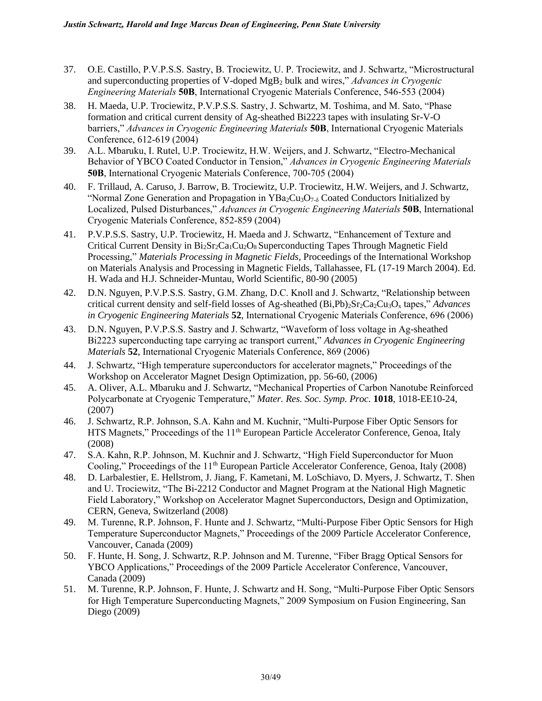- 37. O.E. Castillo, P.V.P.S.S. Sastry, B. Trociewitz, U. P. Trociewitz, and J. Schwartz, "Microstructural and superconducting properties of V-doped MgB<sup>2</sup> bulk and wires," *Advances in Cryogenic Engineering Materials* **50B**, International Cryogenic Materials Conference, 546-553 (2004)
- 38. H. Maeda, U.P. Trociewitz, P.V.P.S.S. Sastry, J. Schwartz, M. Toshima, and M. Sato, "Phase formation and critical current density of Ag-sheathed Bi2223 tapes with insulating Sr-V-O barriers," *Advances in Cryogenic Engineering Materials* **50B**, International Cryogenic Materials Conference, 612-619 (2004)
- 39. A.L. Mbaruku, I. Rutel, U.P. Trociewitz, H.W. Weijers, and J. Schwartz, "Electro-Mechanical Behavior of YBCO Coated Conductor in Tension," *Advances in Cryogenic Engineering Materials*  **50B**, International Cryogenic Materials Conference, 700-705 (2004)
- 40. F. Trillaud, A. Caruso, J. Barrow, B. Trociewitz, U.P. Trociewitz, H.W. Weijers, and J. Schwartz, "Normal Zone Generation and Propagation in  $YBa_2Cu_3O_{7-\delta}$  Coated Conductors Initialized by Localized, Pulsed Disturbances," *Advances in Cryogenic Engineering Materials* **50B**, International Cryogenic Materials Conference, 852-859 (2004)
- 41. P.V.P.S.S. Sastry, U.P. Trociewitz, H. Maeda and J. Schwartz, "Enhancement of Texture and Critical Current Density in  $Bi_2Sr_2Ca_1Cu_2O_8$  Superconducting Tapes Through Magnetic Field Processing," *Materials Processing in Magnetic Fields*, Proceedings of the International Workshop on Materials Analysis and Processing in Magnetic Fields, Tallahassee, FL (17-19 March 2004). Ed. H. Wada and H.J. Schneider-Muntau, World Scientific, 80-90 (2005)
- 42. D.N. Nguyen, P.V.P.S.S. Sastry, G.M. Zhang, D.C. Knoll and J. Schwartz, "Relationship between critical current density and self-field losses of Ag-sheathed (Bi,Pb)2Sr2Ca2Cu3O<sup>x</sup> tapes," *Advances in Cryogenic Engineering Materials* **52**, International Cryogenic Materials Conference, 696 (2006)
- 43. D.N. Nguyen, P.V.P.S.S. Sastry and J. Schwartz, "Waveform of loss voltage in Ag-sheathed Bi2223 superconducting tape carrying ac transport current," *Advances in Cryogenic Engineering Materials* **52**, International Cryogenic Materials Conference, 869 (2006)
- 44. J. Schwartz, "High temperature superconductors for accelerator magnets," Proceedings of the Workshop on Accelerator Magnet Design Optimization, pp. 56-60, (2006)
- 45. A. Oliver, A.L. Mbaruku and J. Schwartz, "Mechanical Properties of Carbon Nanotube Reinforced Polycarbonate at Cryogenic Temperature," *Mater. Res. Soc. Symp. Proc.* **1018**, 1018-EE10-24, (2007)
- 46. J. Schwartz, R.P. Johnson, S.A. Kahn and M. Kuchnir, "Multi-Purpose Fiber Optic Sensors for HTS Magnets," Proceedings of the 11<sup>th</sup> European Particle Accelerator Conference, Genoa, Italy (2008)
- 47. S.A. Kahn, R.P. Johnson, M. Kuchnir and J. Schwartz, "High Field Superconductor for Muon Cooling," Proceedings of the 11<sup>th</sup> European Particle Accelerator Conference, Genoa, Italy (2008)
- 48. D. Larbalestier, E. Hellstrom, J. Jiang, F. Kametani, M. LoSchiavo, D. Myers, J. Schwartz, T. Shen and U. Trociewitz, "The Bi-2212 Conductor and Magnet Program at the National High Magnetic Field Laboratory," Workshop on Accelerator Magnet Superconductors, Design and Optimization, CERN, Geneva, Switzerland (2008)
- 49. M. Turenne, R.P. Johnson, F. Hunte and J. Schwartz, "Multi-Purpose Fiber Optic Sensors for High Temperature Superconductor Magnets," Proceedings of the 2009 Particle Accelerator Conference, Vancouver, Canada (2009)
- 50. F. Hunte, H. Song, J. Schwartz, R.P. Johnson and M. Turenne, "Fiber Bragg Optical Sensors for YBCO Applications," Proceedings of the 2009 Particle Accelerator Conference, Vancouver, Canada (2009)
- 51. M. Turenne, R.P. Johnson, F. Hunte, J. Schwartz and H. Song, "Multi-Purpose Fiber Optic Sensors for High Temperature Superconducting Magnets," 2009 Symposium on Fusion Engineering, San Diego (2009)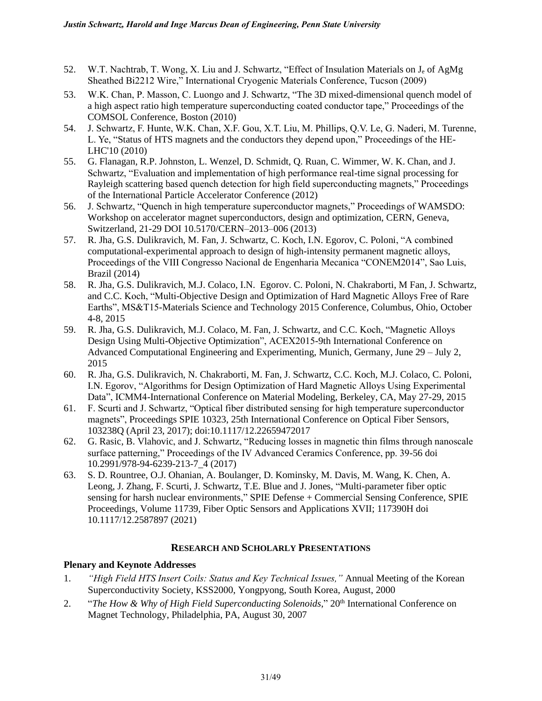- 52. W.T. Nachtrab, T. Wong, X. Liu and J. Schwartz, "Effect of Insulation Materials on J<sup>e</sup> of AgMg Sheathed Bi2212 Wire," International Cryogenic Materials Conference, Tucson (2009)
- 53. W.K. Chan, P. Masson, C. Luongo and J. Schwartz, "The 3D mixed-dimensional quench model of a high aspect ratio high temperature superconducting coated conductor tape," Proceedings of the COMSOL Conference, Boston (2010)
- 54. J. Schwartz, F. Hunte, W.K. Chan, X.F. Gou, X.T. Liu, M. Phillips, Q.V. Le, G. Naderi, M. Turenne, L. Ye, "Status of HTS magnets and the conductors they depend upon," Proceedings of the HE-LHC'10 (2010)
- 55. G. Flanagan, R.P. Johnston, L. Wenzel, D. Schmidt, Q. Ruan, C. Wimmer, W. K. Chan, and J. Schwartz, "Evaluation and implementation of high performance real-time signal processing for Rayleigh scattering based quench detection for high field superconducting magnets," Proceedings of the International Particle Accelerator Conference (2012)
- 56. J. Schwartz, "Quench in high temperature superconductor magnets," Proceedings of WAMSDO: Workshop on accelerator magnet superconductors, design and optimization, CERN, Geneva, Switzerland, 21-29 DOI 10.5170/CERN–2013–006 (2013)
- 57. R. Jha, G.S. Dulikravich, M. Fan, J. Schwartz, C. Koch, I.N. Egorov, C. Poloni, "A combined computational-experimental approach to design of high-intensity permanent magnetic alloys, Proceedings of the VIII Congresso Nacional de Engenharia Mecanica "CONEM2014", Sao Luis, Brazil (2014)
- 58. R. Jha, G.S. Dulikravich, M.J. Colaco, I.N. Egorov. C. Poloni, N. Chakraborti, M Fan, J. Schwartz, and C.C. Koch, "Multi-Objective Design and Optimization of Hard Magnetic Alloys Free of Rare Earths", MS&T15-Materials Science and Technology 2015 Conference, Columbus, Ohio, October 4-8, 2015
- 59. R. Jha, G.S. Dulikravich, M.J. Colaco, M. Fan, J. Schwartz, and C.C. Koch, "Magnetic Alloys Design Using Multi-Objective Optimization", ACEX2015-9th International Conference on Advanced Computational Engineering and Experimenting, Munich, Germany, June 29 – July 2, 2015
- 60. R. Jha, G.S. Dulikravich, N. Chakraborti, M. Fan, J. Schwartz, C.C. Koch, M.J. Colaco, C. Poloni, I.N. Egorov, "Algorithms for Design Optimization of Hard Magnetic Alloys Using Experimental Data", ICMM4-International Conference on Material Modeling, Berkeley, CA, May 27-29, 2015
- 61. F. Scurti and J. Schwartz, "Optical fiber distributed sensing for high temperature superconductor magnets", Proceedings SPIE 10323, 25th International Conference on Optical Fiber Sensors, 103238Q (April 23, 2017); doi:10.1117/12.22659472017
- 62. G. Rasic, B. Vlahovic, and J. Schwartz, "Reducing losses in magnetic thin films through nanoscale surface patterning," Proceedings of the IV Advanced Ceramics Conference, pp. 39-56 doi 10.2991/978-94-6239-213-7\_4 (2017)
- 63. S. D. Rountree, O.J. Ohanian, A. Boulanger, D. Kominsky, M. Davis, M. Wang, K. Chen, A. Leong, J. Zhang, F. Scurti, J. Schwartz, T.E. Blue and J. Jones, "Multi-parameter fiber optic sensing for harsh nuclear environments," SPIE Defense + Commercial Sensing Conference, SPIE [Proceedings, Volume 11739, Fiber Optic Sensors and Applications XVII;](https://www.spiedigitallibrary.org/conference-proceedings-of-spie/11739.toc) 117390H doi 10.1117/12.2587897 (2021)

# **RESEARCH AND SCHOLARLY PRESENTATIONS**

# **Plenary and Keynote Addresses**

- 1. *"High Field HTS Insert Coils: Status and Key Technical Issues,"* Annual Meeting of the Korean Superconductivity Society, KSS2000, Yongpyong, South Korea, August, 2000
- 2. "*The How & Why of High Field Superconducting Solenoids*," 20<sup>th</sup> International Conference on Magnet Technology, Philadelphia, PA, August 30, 2007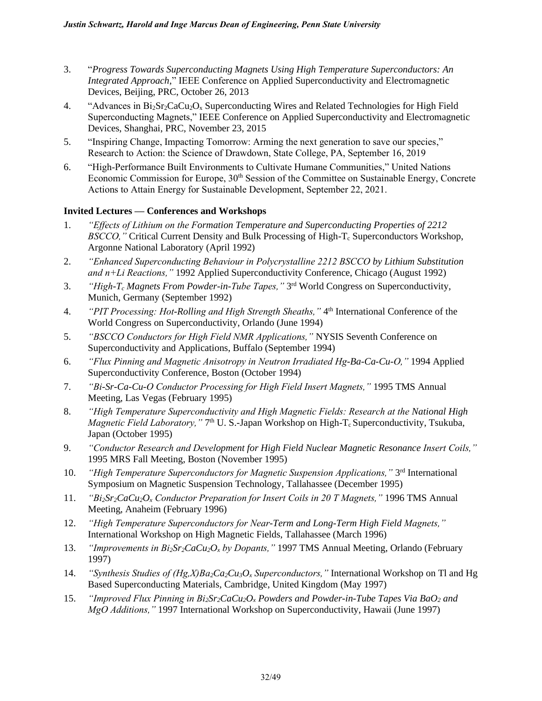- 3. "*Progress Towards Superconducting Magnets Using High Temperature Superconductors: An Integrated Approach*," IEEE Conference on Applied Superconductivity and Electromagnetic Devices, Beijing, PRC, October 26, 2013
- 4. "Advances in Bi<sub>2</sub>Sr<sub>2</sub>CaCu<sub>2</sub>O<sub>x</sub> Superconducting Wires and Related Technologies for High Field Superconducting Magnets," IEEE Conference on Applied Superconductivity and Electromagnetic Devices, Shanghai, PRC, November 23, 2015
- 5. "Inspiring Change, Impacting Tomorrow: Arming the next generation to save our species," Research to Action: the Science of Drawdown, State College, PA, September 16, 2019
- 6. "High-Performance Built Environments to Cultivate Humane Communities," United Nations Economic Commission for Europe, 30<sup>th</sup> Session of the Committee on Sustainable Energy, Concrete Actions to Attain Energy for Sustainable Development, September 22, 2021.

# **Invited Lectures — Conferences and Workshops**

- 1. *"Effects of Lithium on the Formation Temperature and Superconducting Properties of 2212 BSCCO,"* Critical Current Density and Bulk Processing of High-T<sub>c</sub> Superconductors Workshop, Argonne National Laboratory (April 1992)
- 2. *"Enhanced Superconducting Behaviour in Polycrystalline 2212 BSCCO by Lithium Substitution and n+Li Reactions,"* 1992 Applied Superconductivity Conference, Chicago (August 1992)
- 3. *"High-T<sup>c</sup> Magnets From Powder-in-Tube Tapes,"* 3 rd World Congress on Superconductivity, Munich, Germany (September 1992)
- 4. *"PIT Processing: Hot-Rolling and High Strength Sheaths,"* 4<sup>th</sup> International Conference of the World Congress on Superconductivity, Orlando (June 1994)
- 5. *"BSCCO Conductors for High Field NMR Applications,"* NYSIS Seventh Conference on Superconductivity and Applications, Buffalo (September 1994)
- 6. *"Flux Pinning and Magnetic Anisotropy in Neutron Irradiated Hg-Ba-Ca-Cu-O,"* 1994 Applied Superconductivity Conference, Boston (October 1994)
- 7. *"Bi-Sr-Ca-Cu-O Conductor Processing for High Field Insert Magnets,"* 1995 TMS Annual Meeting, Las Vegas (February 1995)
- 8. *"High Temperature Superconductivity and High Magnetic Fields: Research at the National High Magnetic Field Laboratory,*" 7<sup>th</sup> U. S.-Japan Workshop on High-T<sub>c</sub> Superconductivity, Tsukuba, Japan (October 1995)
- 9. *"Conductor Research and Development for High Field Nuclear Magnetic Resonance Insert Coils,"*  1995 MRS Fall Meeting, Boston (November 1995)
- 10. *"High Temperature Superconductors for Magnetic Suspension Applications,"* 3<sup>rd</sup> International Symposium on Magnetic Suspension Technology, Tallahassee (December 1995)
- 11. *"Bi2Sr2CaCu2O<sup>x</sup> Conductor Preparation for Insert Coils in 20 T Magnets,"* 1996 TMS Annual Meeting, Anaheim (February 1996)
- 12. *"High Temperature Superconductors for Near-Term and Long-Term High Field Magnets,"* International Workshop on High Magnetic Fields, Tallahassee (March 1996)
- 13. *"Improvements in Bi2Sr2CaCu2O<sup>x</sup> by Dopants,"* 1997 TMS Annual Meeting, Orlando (February 1997)
- 14. *"Synthesis Studies of (Hg,X)Ba2Ca2Cu3O<sup>x</sup> Superconductors,"* International Workshop on Tl and Hg Based Superconducting Materials, Cambridge, United Kingdom (May 1997)
- 15. *"Improved Flux Pinning in Bi2Sr2CaCu2O<sup>x</sup> Powders and Powder-in-Tube Tapes Via BaO<sup>2</sup> and MgO Additions,"* 1997 International Workshop on Superconductivity, Hawaii (June 1997)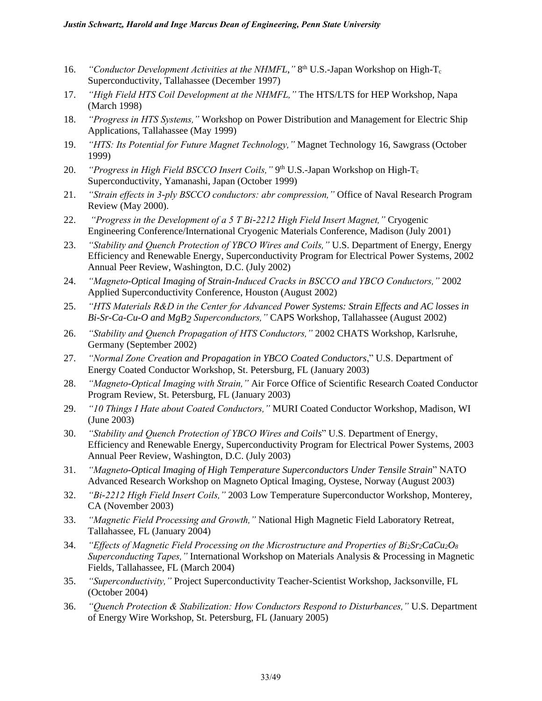- 16. *"Conductor Development Activities at the NHMFL,"* 8<sup>th</sup> U.S.-Japan Workshop on High-T<sub>c</sub> Superconductivity, Tallahassee (December 1997)
- 17. *"High Field HTS Coil Development at the NHMFL,"* The HTS/LTS for HEP Workshop, Napa (March 1998)
- 18. *"Progress in HTS Systems,"* Workshop on Power Distribution and Management for Electric Ship Applications, Tallahassee (May 1999)
- 19. *"HTS: Its Potential for Future Magnet Technology,"* Magnet Technology 16, Sawgrass (October 1999)
- 20. *"Progress in High Field BSCCO Insert Coils,"* 9<sup>th</sup> U.S.-Japan Workshop on High-T<sub>c</sub> Superconductivity, Yamanashi, Japan (October 1999)
- 21. *"Strain effects in 3-ply BSCCO conductors: abr compression,"* Office of Naval Research Program Review (May 2000).
- 22. *"Progress in the Development of a 5 T Bi-2212 High Field Insert Magnet,"* Cryogenic Engineering Conference/International Cryogenic Materials Conference, Madison (July 2001)
- 23. *"Stability and Quench Protection of YBCO Wires and Coils,"* U.S. Department of Energy, Energy Efficiency and Renewable Energy, Superconductivity Program for Electrical Power Systems, 2002 Annual Peer Review, Washington, D.C. (July 2002)
- 24. *"Magneto-Optical Imaging of Strain-Induced Cracks in BSCCO and YBCO Conductors,"* 2002 Applied Superconductivity Conference, Houston (August 2002)
- 25. *"HTS Materials R&D in the Center for Advanced Power Systems: Strain Effects and AC losses in Bi-Sr-Ca-Cu-O and MgB2 Superconductors,"* CAPS Workshop, Tallahassee (August 2002)
- 26. *"Stability and Quench Propagation of HTS Conductors,"* 2002 CHATS Workshop, Karlsruhe, Germany (September 2002)
- 27. *"Normal Zone Creation and Propagation in YBCO Coated Conductors*," U.S. Department of Energy Coated Conductor Workshop, St. Petersburg, FL (January 2003)
- 28. *"Magneto-Optical Imaging with Strain,"* Air Force Office of Scientific Research Coated Conductor Program Review, St. Petersburg, FL (January 2003)
- 29. *"10 Things I Hate about Coated Conductors,"* MURI Coated Conductor Workshop, Madison, WI (June 2003)
- 30. *"Stability and Quench Protection of YBCO Wires and Coils*" U.S. Department of Energy, Efficiency and Renewable Energy, Superconductivity Program for Electrical Power Systems, 2003 Annual Peer Review, Washington, D.C. (July 2003)
- 31. *"Magneto-Optical Imaging of High Temperature Superconductors Under Tensile Strain*" NATO Advanced Research Workshop on Magneto Optical Imaging, Oystese, Norway (August 2003)
- 32. *"Bi-2212 High Field Insert Coils,"* 2003 Low Temperature Superconductor Workshop, Monterey, CA (November 2003)
- 33. *"Magnetic Field Processing and Growth,"* National High Magnetic Field Laboratory Retreat, Tallahassee, FL (January 2004)
- 34. *"Effects of Magnetic Field Processing on the Microstructure and Properties of Bi2Sr2CaCu2O<sup>8</sup> Superconducting Tapes,"* International Workshop on Materials Analysis & Processing in Magnetic Fields, Tallahassee, FL (March 2004)
- 35. *"Superconductivity,"* Project Superconductivity Teacher-Scientist Workshop, Jacksonville, FL (October 2004)
- 36. *"Quench Protection & Stabilization: How Conductors Respond to Disturbances,"* U.S. Department of Energy Wire Workshop, St. Petersburg, FL (January 2005)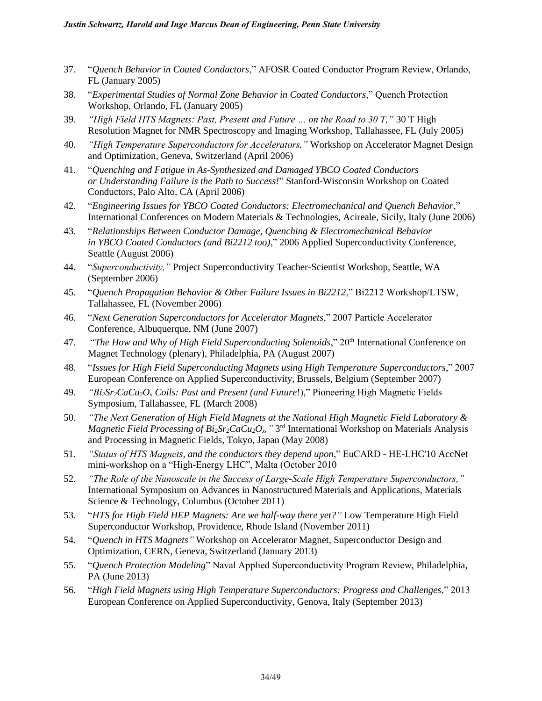- 37. "*Quench Behavior in Coated Conductors*," AFOSR Coated Conductor Program Review, Orlando, FL (January 2005)
- 38. "*Experimental Studies of Normal Zone Behavior in Coated Conductors*," Quench Protection Workshop, Orlando, FL (January 2005)
- 39. *"High Field HTS Magnets: Past, Present and Future … on the Road to 30 T,"* 30 T High Resolution Magnet for NMR Spectroscopy and Imaging Workshop, Tallahassee, FL (July 2005)
- 40. *"High Temperature Superconductors for Accelerators,"* Workshop on Accelerator Magnet Design and Optimization, Geneva, Switzerland (April 2006)
- 41. "*Quenching and Fatigue in As-Synthesized and Damaged YBCO Coated Conductors or Understanding Failure is the Path to Success!*" Stanford-Wisconsin Workshop on Coated Conductors, Palo Alto, CA (April 2006)
- 42. "*Engineering Issues for YBCO Coated Conductors: Electromechanical and Quench Behavior*," International Conferences on Modern Materials & Technologies, Acireale, Sicily, Italy (June 2006)
- 43. "*Relationships Between Conductor Damage, Quenching & Electromechanical Behavior in YBCO Coated Conductors (and Bi2212 too)*," 2006 Applied Superconductivity Conference, Seattle (August 2006)
- 44. "*Superconductivity,"* Project Superconductivity Teacher-Scientist Workshop, Seattle, WA (September 2006)
- 45. "*Quench Propagation Behavior & Other Failure Issues in Bi2212*," Bi2212 Workshop/LTSW, Tallahassee, FL (November 2006)
- 46. "*Next Generation Superconductors for Accelerator Magnets*," 2007 Particle Accelerator Conference, Albuquerque, NM (June 2007)
- 47. "*The How and Why of High Field Superconducting Solenoids*," 20<sup>th</sup> International Conference on Magnet Technology (plenary), Philadelphia, PA (August 2007)
- 48. "*Issues for High Field Superconducting Magnets using High Temperature Superconductors*," 2007 European Conference on Applied Superconductivity, Brussels, Belgium (September 2007)
- 49. *"Bi2Sr2CaCu2O<sup>x</sup> Coils: Past and Present (and Future*!)," Pioneering High Magnetic Fields Symposium, Tallahassee, FL (March 2008)
- 50. *"The Next Generation of High Field Magnets at the National High Magnetic Field Laboratory & Magnetic Field Processing of Bi2Sr2CaCu2Ox,"* 3 rd International Workshop on Materials Analysis and Processing in Magnetic Fields, Tokyo, Japan (May 2008)
- 51. *"Status of HTS Magnets, and the conductors they depend upon*," EuCARD HE-LHC'10 AccNet mini-workshop on a "High-Energy LHC", Malta (October 2010
- 52. *"The Role of the Nanoscale in the Success of Large-Scale High Temperature Superconductors,"*  International Symposium on Advances in Nanostructured Materials and Applications, Materials Science & Technology, Columbus (October 2011)
- 53. "*HTS for High Field HEP Magnets: Are we half-way there yet?"* Low Temperature High Field Superconductor Workshop, Providence, Rhode Island (November 2011)
- 54. "*Quench in HTS Magnets"* Workshop on Accelerator Magnet, Superconductor Design and Optimization, CERN, Geneva, Switzerland (January 2013)
- 55. "*Quench Protection Modeling*" Naval Applied Superconductivity Program Review, Philadelphia, PA (June 2013)
- 56. "*High Field Magnets using High Temperature Superconductors: Progress and Challenges*," 2013 European Conference on Applied Superconductivity, Genova, Italy (September 2013)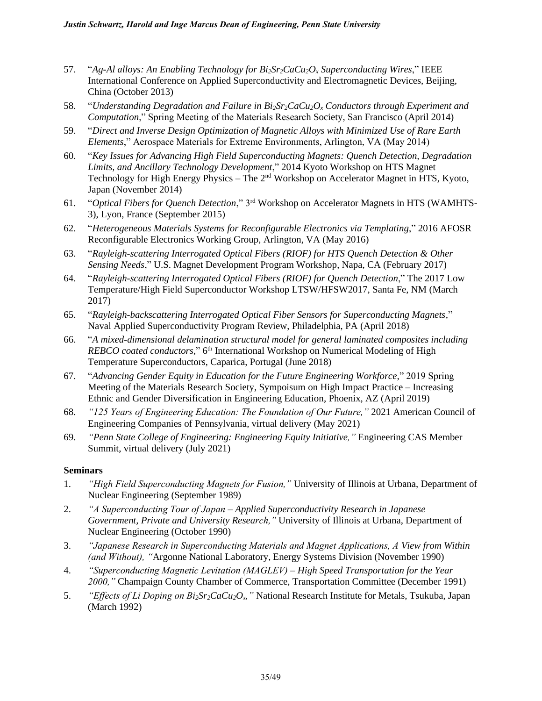- 57. "*Ag-Al alloys: An Enabling Technology for Bi2Sr2CaCu2O<sup>x</sup> Superconducting Wires*," IEEE International Conference on Applied Superconductivity and Electromagnetic Devices, Beijing, China (October 2013)
- 58. "*Understanding Degradation and Failure in Bi2Sr2CaCu2O<sup>x</sup> Conductors through Experiment and Computation*," Spring Meeting of the Materials Research Society, San Francisco (April 2014)
- 59. "*Direct and Inverse Design Optimization of Magnetic Alloys with Minimized Use of Rare Earth Elements*," Aerospace Materials for Extreme Environments, Arlington, VA (May 2014)
- 60. "*Key Issues for Advancing High Field Superconducting Magnets: Quench Detection, Degradation Limits, and Ancillary Technology Development*," 2014 Kyoto Workshop on HTS Magnet Technology for High Energy Physics – The 2nd Workshop on Accelerator Magnet in HTS, Kyoto, Japan (November 2014)
- 61. "*Optical Fibers for Quench Detection*," 3rd Workshop on Accelerator Magnets in HTS (WAMHTS-3), Lyon, France (September 2015)
- 62. "*Heterogeneous Materials Systems for Reconfigurable Electronics via Templating*," 2016 AFOSR Reconfigurable Electronics Working Group, Arlington, VA (May 2016)
- 63. "*Rayleigh-scattering Interrogated Optical Fibers (RIOF) for HTS Quench Detection & Other Sensing Needs*," U.S. Magnet Development Program Workshop, Napa, CA (February 2017)
- 64. "*Rayleigh-scattering Interrogated Optical Fibers (RIOF) for Quench Detection*," The 2017 Low Temperature/High Field Superconductor Workshop LTSW/HFSW2017, Santa Fe, NM (March 2017)
- 65. "*Rayleigh-backscattering Interrogated Optical Fiber Sensors for Superconducting Magnets,*" Naval Applied Superconductivity Program Review, Philadelphia, PA (April 2018)
- 66. "*A mixed-dimensional delamination structural model for general laminated composites including*  REBCO coated conductors," 6<sup>th</sup> International Workshop on Numerical Modeling of High Temperature Superconductors, Caparica, Portugal (June 2018)
- 67. "*Advancing Gender Equity in Education for the Future Engineering Workforce,*" 2019 Spring Meeting of the Materials Research Society, Sympoisum on High Impact Practice – Increasing Ethnic and Gender Diversification in Engineering Education, Phoenix, AZ (April 2019)
- 68. *"125 Years of Engineering Education: The Foundation of Our Future,"* 2021 American Council of Engineering Companies of Pennsylvania, virtual delivery (May 2021)
- 69. *"Penn State College of Engineering: Engineering Equity Initiative,"* Engineering CAS Member Summit, virtual delivery (July 2021)

#### **Seminars**

- 1. *"High Field Superconducting Magnets for Fusion,"* University of Illinois at Urbana, Department of Nuclear Engineering (September 1989)
- 2. *"A Superconducting Tour of Japan Applied Superconductivity Research in Japanese Government, Private and University Research,"* University of Illinois at Urbana, Department of Nuclear Engineering (October 1990)
- 3. *"Japanese Research in Superconducting Materials and Magnet Applications, A View from Within (and Without), "*Argonne National Laboratory, Energy Systems Division (November 1990)
- 4. *"Superconducting Magnetic Levitation (MAGLEV) High Speed Transportation for the Year 2000,"* Champaign County Chamber of Commerce, Transportation Committee (December 1991)
- 5. *"Effects of Li Doping on Bi2Sr2CaCu2Ox,"* National Research Institute for Metals, Tsukuba, Japan (March 1992)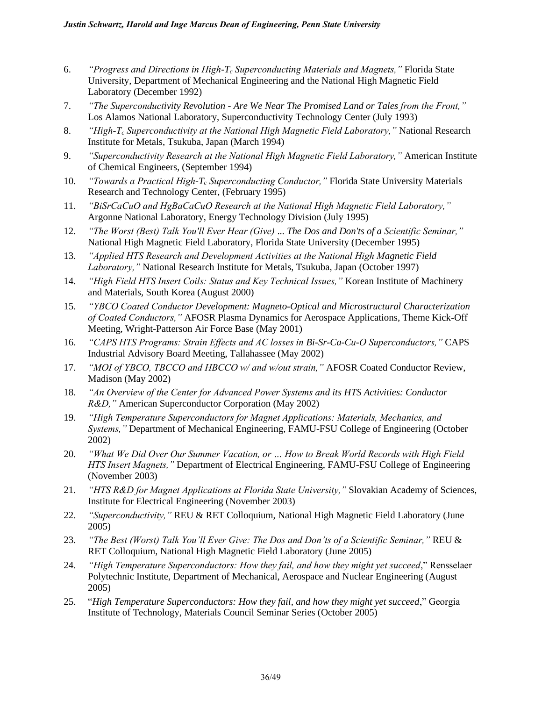- 6. *"Progress and Directions in High-T<sup>c</sup> Superconducting Materials and Magnets,"* Florida State University, Department of Mechanical Engineering and the National High Magnetic Field Laboratory (December 1992)
- 7. *"The Superconductivity Revolution - Are We Near The Promised Land or Tales from the Front,"*  Los Alamos National Laboratory, Superconductivity Technology Center (July 1993)
- 8. *"High-T<sup>c</sup> Superconductivity at the National High Magnetic Field Laboratory,"* National Research Institute for Metals, Tsukuba, Japan (March 1994)
- 9. *"Superconductivity Research at the National High Magnetic Field Laboratory,"* American Institute of Chemical Engineers, (September 1994)
- 10. *"Towards a Practical High-T<sup>c</sup> Superconducting Conductor,"* Florida State University Materials Research and Technology Center, (February 1995)
- 11. *"BiSrCaCuO and HgBaCaCuO Research at the National High Magnetic Field Laboratory,"*  Argonne National Laboratory, Energy Technology Division (July 1995)
- 12. *"The Worst (Best) Talk You'll Ever Hear (Give)* ... *The Dos and Don'ts of a Scientific Seminar,"*  National High Magnetic Field Laboratory, Florida State University (December 1995)
- 13. *"Applied HTS Research and Development Activities at the National High Magnetic Field Laboratory,"* National Research Institute for Metals, Tsukuba, Japan (October 1997)
- 14. *"High Field HTS Insert Coils: Status and Key Technical Issues,"* Korean Institute of Machinery and Materials, South Korea (August 2000)
- 15. *"YBCO Coated Conductor Development: Magneto-Optical and Microstructural Characterization of Coated Conductors,"* AFOSR Plasma Dynamics for Aerospace Applications, Theme Kick-Off Meeting, Wright-Patterson Air Force Base (May 2001)
- 16. *"CAPS HTS Programs: Strain Effects and AC losses in Bi-Sr-Ca-Cu-O Superconductors,"* CAPS Industrial Advisory Board Meeting, Tallahassee (May 2002)
- 17. *"MOI of YBCO, TBCCO and HBCCO w/ and w/out strain,"* AFOSR Coated Conductor Review, Madison (May 2002)
- 18. *"An Overview of the Center for Advanced Power Systems and its HTS Activities: Conductor R&D,"* American Superconductor Corporation (May 2002)
- 19. *"High Temperature Superconductors for Magnet Applications: Materials, Mechanics, and Systems,"* Department of Mechanical Engineering, FAMU-FSU College of Engineering (October 2002)
- 20. *"What We Did Over Our Summer Vacation, or … How to Break World Records with High Field HTS Insert Magnets,"* Department of Electrical Engineering, FAMU-FSU College of Engineering (November 2003)
- 21. *"HTS R&D for Magnet Applications at Florida State University,"* Slovakian Academy of Sciences, Institute for Electrical Engineering (November 2003)
- 22. *"Superconductivity,"* REU & RET Colloquium, National High Magnetic Field Laboratory (June 2005)
- 23. *"The Best (Worst) Talk You'll Ever Give: The Dos and Don'ts of a Scientific Seminar,"* REU & RET Colloquium, National High Magnetic Field Laboratory (June 2005)
- 24. *"High Temperature Superconductors: How they fail, and how they might yet succeed*," Rensselaer Polytechnic Institute, Department of Mechanical, Aerospace and Nuclear Engineering (August 2005)
- 25. "*High Temperature Superconductors: How they fail, and how they might yet succeed*," Georgia Institute of Technology, Materials Council Seminar Series (October 2005)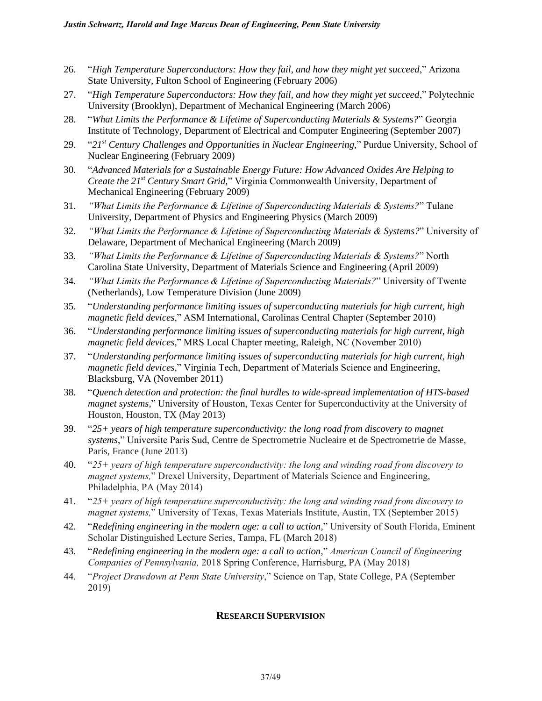- 26. "*High Temperature Superconductors: How they fail, and how they might yet succeed*," Arizona State University, Fulton School of Engineering (February 2006)
- 27. "*High Temperature Superconductors: How they fail, and how they might yet succeed*," Polytechnic University (Brooklyn), Department of Mechanical Engineering (March 2006)
- 28. "*What Limits the Performance & Lifetime of Superconducting Materials & Systems?*" Georgia Institute of Technology, Department of Electrical and Computer Engineering (September 2007)
- 29. "*21st Century Challenges and Opportunities in Nuclear Engineering,*" Purdue University, School of Nuclear Engineering (February 2009)
- 30. "*Advanced Materials for a Sustainable Energy Future: How Advanced Oxides Are Helping to Create the 21st Century Smart Grid,*" Virginia Commonwealth University, Department of Mechanical Engineering (February 2009)
- 31. *"What Limits the Performance & Lifetime of Superconducting Materials & Systems?*" Tulane University, Department of Physics and Engineering Physics (March 2009)
- 32. *"What Limits the Performance & Lifetime of Superconducting Materials & Systems?*" University of Delaware, Department of Mechanical Engineering (March 2009)
- 33. *"What Limits the Performance & Lifetime of Superconducting Materials & Systems?*" North Carolina State University, Department of Materials Science and Engineering (April 2009)
- 34. *"What Limits the Performance & Lifetime of Superconducting Materials?*" University of Twente (Netherlands), Low Temperature Division (June 2009)
- 35. "*Understanding performance limiting issues of superconducting materials for high current, high magnetic field devices*," ASM International, Carolinas Central Chapter (September 2010)
- 36. "*Understanding performance limiting issues of superconducting materials for high current, high magnetic field devices*," MRS Local Chapter meeting, Raleigh, NC (November 2010)
- 37. "*Understanding performance limiting issues of superconducting materials for high current, high magnetic field devices*," Virginia Tech, Department of Materials Science and Engineering, Blacksburg, VA (November 2011)
- 38. "*Quench detection and protection: the final hurdles to wide-spread implementation of HTS-based magnet systems,*" University of Houston, Texas Center for Superconductivity at the University of Houston, Houston, TX (May 2013)
- 39. "*25+ years of high temperature superconductivity: the long road from discovery to magnet systems*," Universite Paris Sud, Centre de Spectrometrie Nucleaire et de Spectrometrie de Masse, Paris, France (June 2013)
- 40. "*25+ years of high temperature superconductivity: the long and winding road from discovery to magnet systems,*" Drexel University, Department of Materials Science and Engineering, Philadelphia, PA (May 2014)
- 41. "*25+ years of high temperature superconductivity: the long and winding road from discovery to magnet systems,*" University of Texas, Texas Materials Institute, Austin, TX (September 2015)
- 42. "*Redefining engineering in the modern age: a call to action,*" University of South Florida, Eminent Scholar Distinguished Lecture Series, Tampa, FL (March 2018)
- 43. "*Redefining engineering in the modern age: a call to action,*" *American Council of Engineering Companies of Pennsylvania,* 2018 Spring Conference, Harrisburg, PA (May 2018)
- 44. "*Project Drawdown at Penn State University*," Science on Tap, State College, PA (September 2019)

# **RESEARCH SUPERVISION**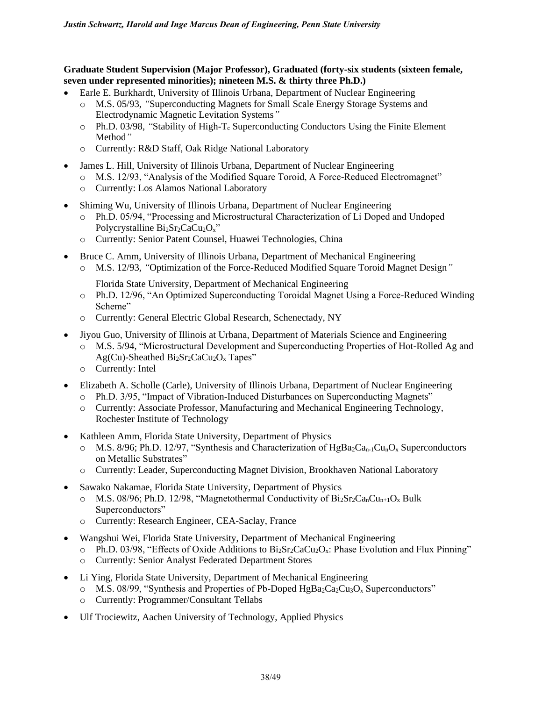#### **Graduate Student Supervision (Major Professor), Graduated (forty-six students (sixteen female, seven under represented minorities); nineteen M.S. & thirty three Ph.D.)**

- Earle E. Burkhardt, University of Illinois Urbana, Department of Nuclear Engineering
	- o M.S. 05/93, *"*Superconducting Magnets for Small Scale Energy Storage Systems and Electrodynamic Magnetic Levitation Systems*"*
	- o Ph.D. 03/98, "Stability of High-T<sub>c</sub> Superconducting Conductors Using the Finite Element Method*"*
	- o Currently: R&D Staff, Oak Ridge National Laboratory
- James L. Hill, University of Illinois Urbana, Department of Nuclear Engineering
	- o M.S. 12/93, "Analysis of the Modified Square Toroid, A Force-Reduced Electromagnet"
	- o Currently: Los Alamos National Laboratory
- Shiming Wu, University of Illinois Urbana, Department of Nuclear Engineering
	- o Ph.D. 05/94, "Processing and Microstructural Characterization of Li Doped and Undoped Polycrystalline  $Bi<sub>2</sub>Sr<sub>2</sub>CaCu<sub>2</sub>O<sub>x</sub>$ "
	- o Currently: Senior Patent Counsel, Huawei Technologies, China
- Bruce C. Amm, University of Illinois Urbana, Department of Mechanical Engineering
	- o M.S. 12/93, *"*Optimization of the Force-Reduced Modified Square Toroid Magnet Design*"*

Florida State University, Department of Mechanical Engineering

- o Ph.D. 12/96, "An Optimized Superconducting Toroidal Magnet Using a Force-Reduced Winding Scheme"
- o Currently: General Electric Global Research, Schenectady, NY
- Jiyou Guo, University of Illinois at Urbana, Department of Materials Science and Engineering
	- o M.S. 5/94, "Microstructural Development and Superconducting Properties of Hot-Rolled Ag and  $Ag(Cu)$ -Sheathed Bi<sub>2</sub>Sr<sub>2</sub>CaCu<sub>2</sub>O<sub>x</sub> Tapes"
	- o Currently: Intel
- Elizabeth A. Scholle (Carle), University of Illinois Urbana, Department of Nuclear Engineering
	- o Ph.D. 3/95, "Impact of Vibration-Induced Disturbances on Superconducting Magnets"
	- o Currently: Associate Professor, Manufacturing and Mechanical Engineering Technology, Rochester Institute of Technology
- Kathleen Amm, Florida State University, Department of Physics
	- $\circ$  M.S. 8/96; Ph.D. 12/97, "Synthesis and Characterization of HgBa<sub>2</sub>Ca<sub>n-1</sub>Cu<sub>n</sub>O<sub>x</sub> Superconductors on Metallic Substrates"
	- o Currently: Leader, Superconducting Magnet Division, Brookhaven National Laboratory
- Sawako Nakamae, Florida State University, Department of Physics
	- $\circ$  M.S. 08/96; Ph.D. 12/98, "Magnetothermal Conductivity of Bi<sub>2</sub>Sr<sub>2</sub>Ca<sub>n</sub>Cu<sub>n+1</sub>O<sub>x</sub> Bulk Superconductors"
	- o Currently: Research Engineer, CEA-Saclay, France
- Wangshui Wei, Florida State University, Department of Mechanical Engineering
	- $\circ$  Ph.D. 03/98, "Effects of Oxide Additions to Bi<sub>2</sub>Sr<sub>2</sub>CaCu<sub>2</sub>O<sub>x</sub>: Phase Evolution and Flux Pinning"
	- o Currently: Senior Analyst Federated Department Stores
- Li Ying, Florida State University, Department of Mechanical Engineering
	- $\circ$  M.S. 08/99, "Synthesis and Properties of Pb-Doped HgBa<sub>2</sub>Ca<sub>2</sub>Cu<sub>3</sub>O<sub>x</sub> Superconductors"
	- o Currently: Programmer/Consultant Tellabs
- Ulf Trociewitz, Aachen University of Technology, Applied Physics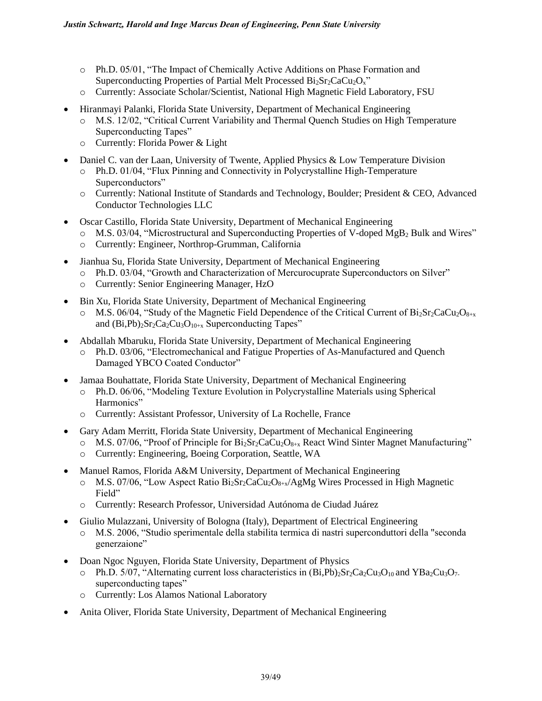- o Ph.D. 05/01, "The Impact of Chemically Active Additions on Phase Formation and Superconducting Properties of Partial Melt Processed  $Bi_2Sr_2CaCu_2O_x$ "
- o Currently: Associate Scholar/Scientist, National High Magnetic Field Laboratory, FSU
- Hiranmayi Palanki, Florida State University, Department of Mechanical Engineering
	- o M.S. 12/02, "Critical Current Variability and Thermal Quench Studies on High Temperature Superconducting Tapes"
	- o Currently: Florida Power & Light
- Daniel C. van der Laan, University of Twente, Applied Physics & Low Temperature Division
	- o Ph.D. 01/04, "Flux Pinning and Connectivity in Polycrystalline High-Temperature Superconductors"
	- o Currently: National Institute of Standards and Technology, Boulder; President & CEO, Advanced Conductor Technologies LLC
- Oscar Castillo, Florida State University, Department of Mechanical Engineering
	- o M.S. 03/04, "Microstructural and Superconducting Properties of V-doped MgB<sub>2</sub> Bulk and Wires"
	- o Currently: Engineer, Northrop-Grumman, California
- Jianhua Su, Florida State University, Department of Mechanical Engineering
	- o Ph.D. 03/04, "Growth and Characterization of Mercurocuprate Superconductors on Silver"
	- o Currently: Senior Engineering Manager, HzO
- Bin Xu, Florida State University, Department of Mechanical Engineering
	- $\circ$  M.S. 06/04, "Study of the Magnetic Field Dependence of the Critical Current of Bi<sub>2</sub>Sr<sub>2</sub>CaCu<sub>2</sub>O<sub>8+x</sub> and  $(Bi, Pb)_{2}Sr_{2}Ca_{2}Cu_{3}O_{10+x}$  Superconducting Tapes"
- Abdallah Mbaruku, Florida State University, Department of Mechanical Engineering
	- Ph.D. 03/06, "Electromechanical and Fatigue Properties of As-Manufactured and Quench Damaged YBCO Coated Conductor"
- Jamaa Bouhattate, Florida State University, Department of Mechanical Engineering
	- o Ph.D. 06/06, "Modeling Texture Evolution in Polycrystalline Materials using Spherical Harmonics"
	- o Currently: Assistant Professor, University of La Rochelle, France
- Gary Adam Merritt, Florida State University, Department of Mechanical Engineering
	- $\circ$  M.S. 07/06, "Proof of Principle for Bi<sub>2</sub>Sr<sub>2</sub>CaCu<sub>2</sub>O<sub>8+x</sub> React Wind Sinter Magnet Manufacturing"
	- o Currently: Engineering, Boeing Corporation, Seattle, WA
- Manuel Ramos, Florida A&M University, Department of Mechanical Engineering
	- o M.S. 07/06, "Low Aspect Ratio Bi2Sr2CaCu2O8+x/AgMg Wires Processed in High Magnetic Field"
	- o Currently: Research Professor, Universidad Autónoma de Ciudad Juárez
- Giulio Mulazzani, University of Bologna (Italy), Department of Electrical Engineering
	- o M.S. 2006, "Studio sperimentale della stabilita termica di nastri superconduttori della "seconda generzaione"
- Doan Ngoc Nguyen, Florida State University, Department of Physics
	- $\circ$  Ph.D. 5/07, "Alternating current loss characteristics in  $(Bi,Pb)_{2}Sr_{2}Ca_{2}Cu_{3}O_{10}$  and YBa<sub>2</sub>Cu<sub>3</sub>O<sub>7-</sub> superconducting tapes"
	- o Currently: Los Alamos National Laboratory
- Anita Oliver, Florida State University, Department of Mechanical Engineering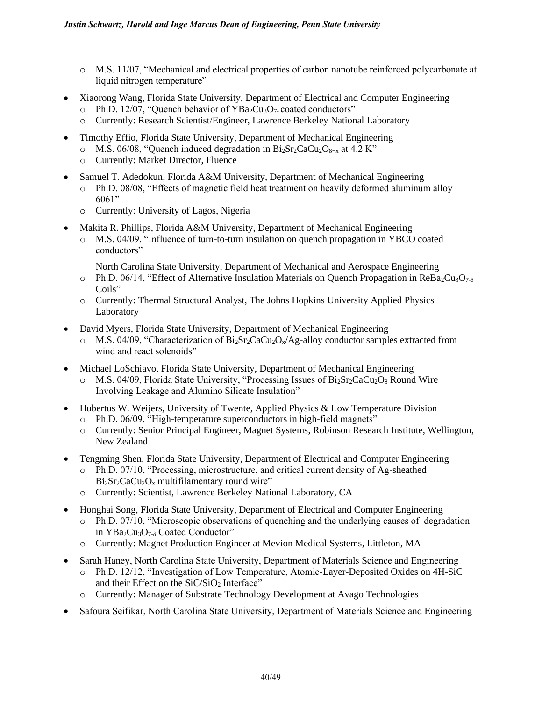- o M.S. 11/07, "Mechanical and electrical properties of carbon nanotube reinforced polycarbonate at liquid nitrogen temperature"
- Xiaorong Wang, Florida State University, Department of Electrical and Computer Engineering
	- Ph.D. 12/07, "Quench behavior of  $YBa<sub>2</sub>Cu<sub>3</sub>O<sub>7</sub>$  coated conductors"
	- o Currently: Research Scientist/Engineer, Lawrence Berkeley National Laboratory
- Timothy Effio, Florida State University, Department of Mechanical Engineering
	- $\circ$  M.S. 06/08, "Quench induced degradation in Bi<sub>2</sub>Sr<sub>2</sub>CaCu<sub>2</sub>O<sub>8+x</sub> at 4.2 K"
	- o Currently: Market Director, Fluence
- Samuel T. Adedokun, Florida A&M University, Department of Mechanical Engineering
	- o Ph.D. 08/08, "Effects of magnetic field heat treatment on heavily deformed aluminum alloy 6061"
	- o Currently: University of Lagos, Nigeria
- Makita R. Phillips, Florida A&M University, Department of Mechanical Engineering
	- o M.S. 04/09, "Influence of turn-to-turn insulation on quench propagation in YBCO coated conductors"
		- North Carolina State University, Department of Mechanical and Aerospace Engineering
	- $\circ$  Ph.D. 06/14, "Effect of Alternative Insulation Materials on Quench Propagation in ReBa<sub>2</sub>Cu<sub>3</sub>O<sub>7-δ</sub> Coils"
	- o Currently: Thermal Structural Analyst, The Johns Hopkins University Applied Physics Laboratory
- David Myers, Florida State University, Department of Mechanical Engineering
	- $\circ$  M.S. 04/09, "Characterization of Bi<sub>2</sub>Sr<sub>2</sub>CaCu<sub>2</sub>O<sub>x</sub>/Ag-alloy conductor samples extracted from wind and react solenoids"
- Michael LoSchiavo, Florida State University, Department of Mechanical Engineering
	- $\circ$  M.S. 04/09, Florida State University, "Processing Issues of Bi<sub>2</sub>Sr<sub>2</sub>CaCu<sub>2</sub>O<sub>8</sub> Round Wire Involving Leakage and Alumino Silicate Insulation"
- Hubertus W. Weijers, University of Twente, Applied Physics & Low Temperature Division o Ph.D. 06/09, "High-temperature superconductors in high-field magnets"
	- o Currently: Senior Principal Engineer, Magnet Systems, Robinson Research Institute, Wellington, New Zealand
- Tengming Shen, Florida State University, Department of Electrical and Computer Engineering
	- o Ph.D. 07/10, "Processing, microstructure, and critical current density of Ag-sheathed  $Bi<sub>2</sub>Sr<sub>2</sub>CaCu<sub>2</sub>O<sub>x</sub>$  multifilamentary round wire"
	- o Currently: Scientist, Lawrence Berkeley National Laboratory, CA
- Honghai Song, Florida State University, Department of Electrical and Computer Engineering
	- Ph.D. 07/10, "Microscopic observations of quenching and the underlying causes of degradation in YBa<sub>2</sub>Cu<sub>3</sub>O<sub>7-δ</sub> Coated Conductor"
	- o Currently: Magnet Production Engineer at Mevion Medical Systems, Littleton, MA
- Sarah Haney, North Carolina State University, Department of Materials Science and Engineering
	- o Ph.D. 12/12, "Investigation of Low Temperature, Atomic-Layer-Deposited Oxides on 4H-SiC and their Effect on the  $SiC/SiO<sub>2</sub>$  Interface"
	- o Currently: Manager of Substrate Technology Development at Avago Technologies
- Safoura Seifikar, North Carolina State University, Department of Materials Science and Engineering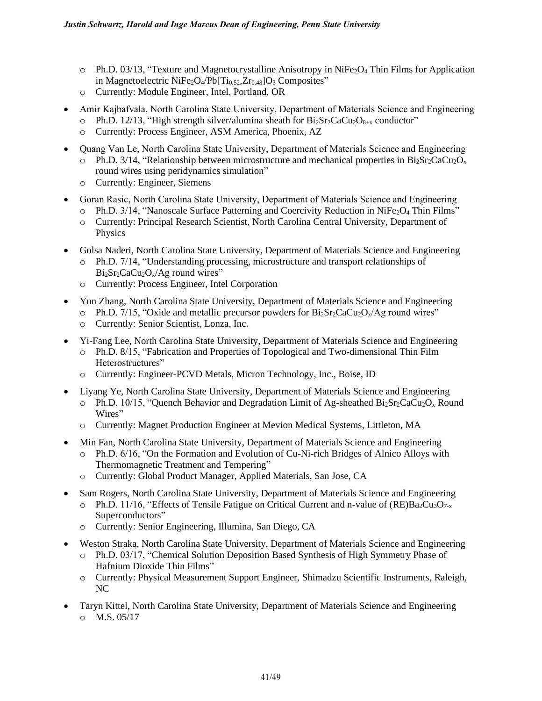- $\circ$  Ph.D. 03/13, "Texture and Magnetocrystalline Anisotropy in NiFe<sub>2</sub>O<sub>4</sub> Thin Films for Application in Magnetoelectric NiFe<sub>2</sub>O<sub>4</sub>/Pb[Ti<sub>0.52</sub>,Zr<sub>0.48</sub>]O<sub>3</sub> Composites"
- o Currently: Module Engineer, Intel, Portland, OR
- Amir Kajbafvala, North Carolina State University, Department of Materials Science and Engineering
	- $\circ$  Ph.D. 12/13, "High strength silver/alumina sheath for Bi<sub>2</sub>Sr<sub>2</sub>CaCu<sub>2</sub>O<sub>8+x</sub> conductor"
	- o Currently: Process Engineer, ASM America, Phoenix, AZ
- Quang Van Le, North Carolina State University, Department of Materials Science and Engineering  $\circ$  Ph.D. 3/14, "Relationship between microstructure and mechanical properties in Bi<sub>2</sub>Sr<sub>2</sub>CaCu<sub>2</sub>O<sub>x</sub> round wires using peridynamics simulation"
	- o Currently: Engineer, Siemens
- Goran Rasic, North Carolina State University, Department of Materials Science and Engineering
	- $\circ$  Ph.D. 3/14, "Nanoscale Surface Patterning and Coercivity Reduction in NiFe<sub>2</sub>O<sub>4</sub> Thin Films"
	- o Currently: Principal Research Scientist, North Carolina Central University, Department of Physics
- Golsa Naderi, North Carolina State University, Department of Materials Science and Engineering
	- o Ph.D. 7/14, "Understanding processing, microstructure and transport relationships of  $Bi<sub>2</sub>Sr<sub>2</sub>CaCu<sub>2</sub>O<sub>x</sub>/Ag$  round wires"
	- o Currently: Process Engineer, Intel Corporation
- Yun Zhang, North Carolina State University, Department of Materials Science and Engineering
	- $\circ$  Ph.D. 7/15, "Oxide and metallic precursor powders for Bi<sub>2</sub>Sr<sub>2</sub>CaCu<sub>2</sub>O<sub>x</sub>/Ag round wires"
		- o Currently: Senior Scientist, Lonza, Inc.
- Yi-Fang Lee, North Carolina State University, Department of Materials Science and Engineering o Ph.D. 8/15, "Fabrication and Properties of Topological and Two-dimensional Thin Film Heterostructures"
	- o Currently: Engineer-PCVD Metals, Micron Technology, Inc., Boise, ID
- Liyang Ye, North Carolina State University, Department of Materials Science and Engineering
	- $\circ$  Ph.D. 10/15, "Quench Behavior and Degradation Limit of Ag-sheathed Bi<sub>2</sub>Sr<sub>2</sub>CaCu<sub>2</sub>O<sub>x</sub> Round Wires"
	- o Currently: Magnet Production Engineer at Mevion Medical Systems, Littleton, MA
- Min Fan, North Carolina State University, Department of Materials Science and Engineering
	- o Ph.D. 6/16, "On the Formation and Evolution of Cu-Ni-rich Bridges of Alnico Alloys with Thermomagnetic Treatment and Tempering"
	- o Currently: Global Product Manager, Applied Materials, San Jose, CA
	- Sam Rogers, North Carolina State University, Department of Materials Science and Engineering
	- $\circ$  Ph.D. 11/16, "Effects of Tensile Fatigue on Critical Current and n-value of (RE)Ba<sub>2</sub>Cu<sub>3</sub>O<sub>7-x</sub> Superconductors"
	- o Currently: Senior Engineering, Illumina, San Diego, CA
- Weston Straka, North Carolina State University, Department of Materials Science and Engineering o Ph.D. 03/17, "Chemical Solution Deposition Based Synthesis of High Symmetry Phase of Hafnium Dioxide Thin Films"
	- o Currently: Physical Measurement Support Engineer, Shimadzu Scientific Instruments, Raleigh, NC
- Taryn Kittel, North Carolina State University, Department of Materials Science and Engineering  $O$  M.S. 05/17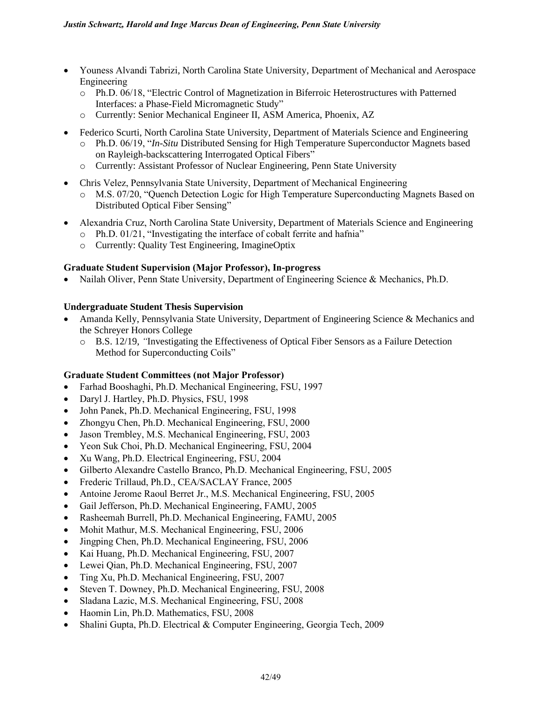- Youness Alvandi Tabrizi, North Carolina State University, Department of Mechanical and Aerospace Engineering
	- o Ph.D. 06/18, "Electric Control of Magnetization in Biferroic Heterostructures with Patterned Interfaces: a Phase-Field Micromagnetic Study"
	- o Currently: Senior Mechanical Engineer II, ASM America, Phoenix, AZ
- Federico Scurti, North Carolina State University, Department of Materials Science and Engineering
	- o Ph.D. 06/19, "*In-Situ* Distributed Sensing for High Temperature Superconductor Magnets based on Rayleigh-backscattering Interrogated Optical Fibers"
	- o Currently: Assistant Professor of Nuclear Engineering, Penn State University
- Chris Velez, Pennsylvania State University, Department of Mechanical Engineering
	- o M.S. 07/20, "Quench Detection Logic for High Temperature Superconducting Magnets Based on Distributed Optical Fiber Sensing"
- Alexandria Cruz, North Carolina State University, Department of Materials Science and Engineering
	- o Ph.D. 01/21, "Investigating the interface of cobalt ferrite and hafnia"
	- o Currently: Quality Test Engineering, ImagineOptix

### **Graduate Student Supervision (Major Professor), In-progress**

• Nailah Oliver, Penn State University, Department of Engineering Science & Mechanics, Ph.D.

#### **Undergraduate Student Thesis Supervision**

- Amanda Kelly, Pennsylvania State University, Department of Engineering Science & Mechanics and the Schreyer Honors College
	- o B.S. 12/19, *"*Investigating the Effectiveness of Optical Fiber Sensors as a Failure Detection Method for Superconducting Coils"

#### **Graduate Student Committees (not Major Professor)**

- Farhad Booshaghi, Ph.D. Mechanical Engineering, FSU, 1997
- Daryl J. Hartley, Ph.D. Physics, FSU, 1998
- John Panek, Ph.D. Mechanical Engineering, FSU, 1998
- Zhongyu Chen, Ph.D. Mechanical Engineering, FSU, 2000
- Jason Trembley, M.S. Mechanical Engineering, FSU, 2003
- Yeon Suk Choi, Ph.D. Mechanical Engineering, FSU, 2004
- Xu Wang, Ph.D. Electrical Engineering, FSU, 2004
- Gilberto Alexandre Castello Branco, Ph.D. Mechanical Engineering, FSU, 2005
- Frederic Trillaud, Ph.D., CEA/SACLAY France, 2005
- Antoine Jerome Raoul Berret Jr., M.S. Mechanical Engineering, FSU, 2005
- Gail Jefferson, Ph.D. Mechanical Engineering, FAMU, 2005
- Rasheemah Burrell, Ph.D. Mechanical Engineering, FAMU, 2005
- Mohit Mathur, M.S. Mechanical Engineering, FSU, 2006
- Jingping Chen, Ph.D. Mechanical Engineering, FSU, 2006
- Kai Huang, Ph.D. Mechanical Engineering, FSU, 2007
- Lewei Qian, Ph.D. Mechanical Engineering, FSU, 2007
- Ting Xu, Ph.D. Mechanical Engineering, FSU, 2007
- Steven T. Downey, Ph.D. Mechanical Engineering, FSU, 2008
- Sladana Lazic, M.S. Mechanical Engineering, FSU, 2008
- Haomin Lin, Ph.D. Mathematics, FSU, 2008
- Shalini Gupta, Ph.D. Electrical & Computer Engineering, Georgia Tech, 2009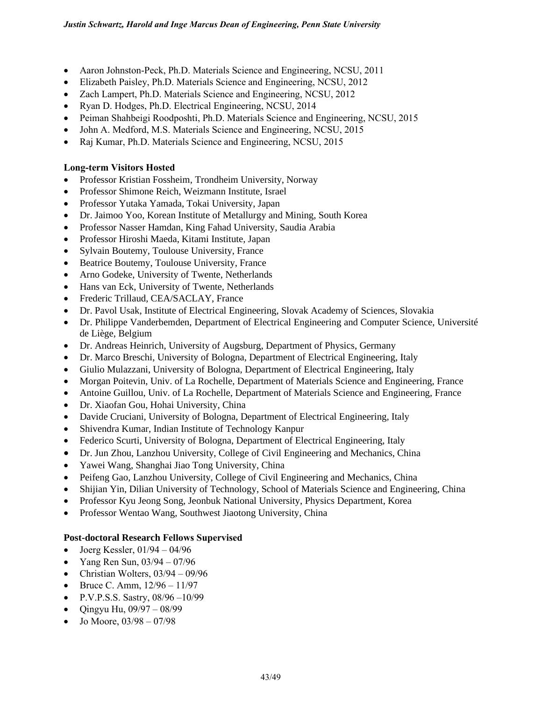- Aaron Johnston-Peck, Ph.D. Materials Science and Engineering, NCSU, 2011
- Elizabeth Paisley, Ph.D. Materials Science and Engineering, NCSU, 2012
- Zach Lampert, Ph.D. Materials Science and Engineering, NCSU, 2012
- Ryan D. Hodges, Ph.D. Electrical Engineering, NCSU, 2014
- [Peiman Shahbeigi Roodposhti,](https://plus.google.com/u/0/110756695402608341979?prsrc=4) Ph.D. Materials Science and Engineering, NCSU, 2015
- John A. Medford, M.S. Materials Science and Engineering, NCSU, 2015
- Raj Kumar, Ph.D. Materials Science and Engineering, NCSU, 2015

# **Long-term Visitors Hosted**

- Professor Kristian Fossheim, Trondheim University, Norway
- Professor Shimone Reich, Weizmann Institute, Israel
- Professor Yutaka Yamada, Tokai University, Japan
- Dr. Jaimoo Yoo, Korean Institute of Metallurgy and Mining, South Korea
- Professor Nasser Hamdan, King Fahad University, Saudia Arabia
- Professor Hiroshi Maeda, Kitami Institute, Japan
- Sylvain Boutemy, Toulouse University, France
- Beatrice Boutemy, Toulouse University, France
- Arno Godeke, University of Twente, Netherlands
- Hans van Eck, University of Twente, Netherlands
- Frederic Trillaud, CEA/SACLAY, France
- Dr. Pavol Usak, Institute of Electrical Engineering, Slovak Academy of Sciences, Slovakia
- Dr. Philippe Vanderbemden, Department of Electrical Engineering and Computer Science, Université de Liège, Belgium
- Dr. Andreas Heinrich, University of Augsburg, Department of Physics, Germany
- Dr. Marco Breschi, University of Bologna, Department of Electrical Engineering, Italy
- Giulio Mulazzani, University of Bologna, Department of Electrical Engineering, Italy
- Morgan Poitevin, Univ. of La Rochelle, Department of Materials Science and Engineering, France
- Antoine Guillou, Univ. of La Rochelle, Department of Materials Science and Engineering, France
- Dr. Xiaofan Gou, Hohai University, China
- Davide Cruciani, University of Bologna, Department of Electrical Engineering, Italy
- Shivendra Kumar, Indian Institute of Technology Kanpur
- Federico Scurti, University of Bologna, Department of Electrical Engineering, Italy
- Dr. Jun Zhou, Lanzhou University, College of Civil Engineering and Mechanics, China
- Yawei Wang, Shanghai Jiao Tong University, China
- Peifeng Gao, Lanzhou University, College of Civil Engineering and Mechanics, China
- Shijian Yin, Dilian University of Technology, School of Materials Science and Engineering, China
- Professor Kyu Jeong Song, Jeonbuk National University, Physics Department, Korea
- Professor Wentao Wang, Southwest Jiaotong University, China

# **Post-doctoral Research Fellows Supervised**

- Joerg Kessler,  $01/94 04/96$
- Yang Ren Sun,  $03/94 07/96$
- Christian Wolters,  $03/94 09/96$
- Bruce C. Amm,  $12/96 11/97$
- P.V.P.S.S. Sastry,  $08/96 10/99$
- Qingyu Hu, 09/97 08/99
- Jo Moore, 03/98 07/98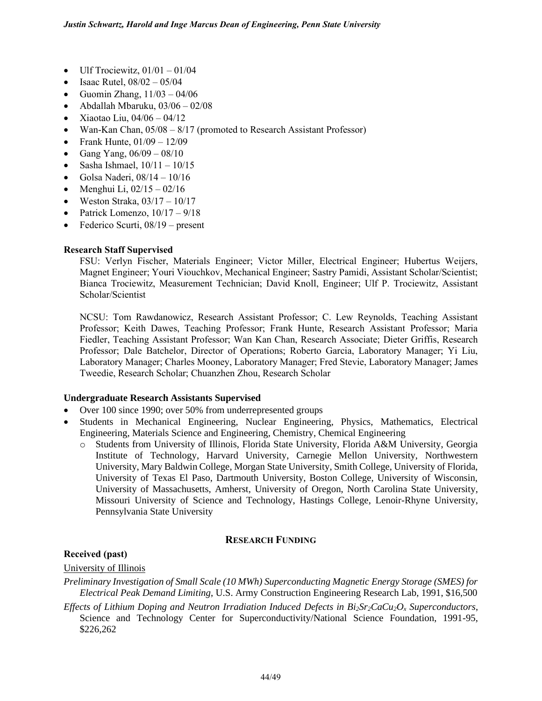- Ulf Trociewitz,  $01/01 01/04$
- Isaac Rutel,  $08/02 05/04$
- Guomin Zhang,  $11/03 04/06$
- Abdallah Mbaruku,  $03/06 02/08$
- Xiaotao Liu,  $04/06 04/12$
- Wan-Kan Chan, 05/08 8/17 (promoted to Research Assistant Professor)
- Frank Hunte,  $01/09 12/09$
- Gang Yang,  $06/09 08/10$
- Sasha Ishmael,  $10/11 10/15$
- Golsa Naderi, 08/14 10/16
- Menghui Li,  $02/15 02/16$
- Weston Straka,  $03/17 10/17$
- Patrick Lomenzo,  $10/17 9/18$
- Federico Scurti,  $08/19$  present

#### **Research Staff Supervised**

FSU: Verlyn Fischer, Materials Engineer; Victor Miller, Electrical Engineer; Hubertus Weijers, Magnet Engineer; Youri Viouchkov, Mechanical Engineer; Sastry Pamidi, Assistant Scholar/Scientist; Bianca Trociewitz, Measurement Technician; David Knoll, Engineer; Ulf P. Trociewitz, Assistant Scholar/Scientist

NCSU: Tom Rawdanowicz, Research Assistant Professor; C. Lew Reynolds, Teaching Assistant Professor; Keith Dawes, Teaching Professor; Frank Hunte, Research Assistant Professor; Maria Fiedler, Teaching Assistant Professor; Wan Kan Chan, Research Associate; Dieter Griffis, Research Professor; Dale Batchelor, Director of Operations; Roberto Garcia, Laboratory Manager; Yi Liu, Laboratory Manager; Charles Mooney, Laboratory Manager; Fred Stevie, Laboratory Manager; James Tweedie, Research Scholar; Chuanzhen Zhou, Research Scholar

#### **Undergraduate Research Assistants Supervised**

- Over 100 since 1990; over 50% from underrepresented groups
- Students in Mechanical Engineering, Nuclear Engineering, Physics, Mathematics, Electrical Engineering, Materials Science and Engineering, Chemistry, Chemical Engineering
	- o Students from University of Illinois, Florida State University, Florida A&M University, Georgia Institute of Technology, Harvard University, Carnegie Mellon University, Northwestern University, Mary Baldwin College, Morgan State University, Smith College, University of Florida, University of Texas El Paso, Dartmouth University, Boston College, University of Wisconsin, University of Massachusetts, Amherst, University of Oregon, North Carolina State University, Missouri University of Science and Technology, Hastings College, Lenoir-Rhyne University, Pennsylvania State University

# **RESEARCH FUNDING**

#### **Received (past)**

#### University of Illinois

*Preliminary Investigation of Small Scale (10 MWh) Superconducting Magnetic Energy Storage (SMES) for Electrical Peak Demand Limiting*, U.S. Army Construction Engineering Research Lab, 1991, \$16,500

*Effects of Lithium Doping and Neutron Irradiation Induced Defects in*  $Bi_2Sr_2CaCu_2O_x$  *Superconductors,* Science and Technology Center for Superconductivity/National Science Foundation, 1991-95, \$226,262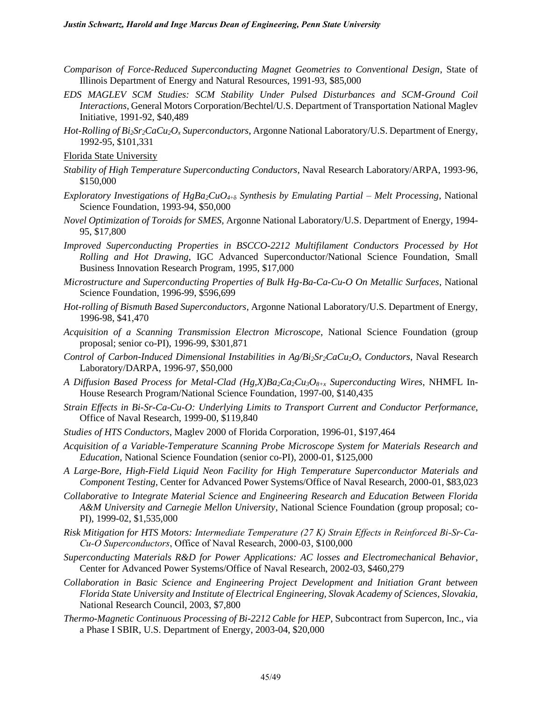- *Comparison of Force-Reduced Superconducting Magnet Geometries to Conventional Design*, State of Illinois Department of Energy and Natural Resources, 1991-93, \$85,000
- *EDS MAGLEV SCM Studies: SCM Stability Under Pulsed Disturbances and SCM-Ground Coil Interactions*, General Motors Corporation/Bechtel/U.S. Department of Transportation National Maglev Initiative, 1991-92, \$40,489
- *Hot-Rolling of Bi2Sr2CaCu2O<sup>x</sup> Superconductors*, Argonne National Laboratory/U.S. Department of Energy, 1992-95, \$101,331
- Florida State University
- *Stability of High Temperature Superconducting Conductors*, Naval Research Laboratory/ARPA, 1993-96, \$150,000
- *Exploratory Investigations of HgBa2CuO4*+ *Synthesis by Emulating Partial – Melt Processing*, National Science Foundation, 1993-94, \$50,000
- *Novel Optimization of Toroids for SMES*, Argonne National Laboratory/U.S. Department of Energy, 1994- 95, \$17,800
- *Improved Superconducting Properties in BSCCO-2212 Multifilament Conductors Processed by Hot Rolling and Hot Drawing*, IGC Advanced Superconductor/National Science Foundation, Small Business Innovation Research Program, 1995, \$17,000
- *Microstructure and Superconducting Properties of Bulk Hg-Ba-Ca-Cu-O On Metallic Surfaces*, National Science Foundation, 1996-99, \$596,699
- *Hot-rolling of Bismuth Based Superconductors*, Argonne National Laboratory/U.S. Department of Energy, 1996-98, \$41,470
- *Acquisition of a Scanning Transmission Electron Microscope*, National Science Foundation (group proposal; senior co-PI), 1996-99, \$301,871
- *Control of Carbon-Induced Dimensional Instabilities in Ag/Bi2Sr2CaCu2O<sup>x</sup> Conductors*, Naval Research Laboratory/DARPA, 1996-97, \$50,000
- *A Diffusion Based Process for Metal-Clad (Hg,X)Ba2Ca2Cu3O8+x Superconducting Wires*, NHMFL In-House Research Program/National Science Foundation, 1997-00, \$140,435
- *Strain Effects in Bi-Sr-Ca-Cu-O: Underlying Limits to Transport Current and Conductor Performance*, Office of Naval Research, 1999-00, \$119,840
- *Studies of HTS Conductors*, Maglev 2000 of Florida Corporation, 1996-01, \$197,464
- *Acquisition of a Variable-Temperature Scanning Probe Microscope System for Materials Research and Education*, National Science Foundation (senior co-PI), 2000-01, \$125,000
- *A Large-Bore, High-Field Liquid Neon Facility for High Temperature Superconductor Materials and Component Testing*, Center for Advanced Power Systems/Office of Naval Research, 2000-01, \$83,023
- *Collaborative to Integrate Material Science and Engineering Research and Education Between Florida A&M University and Carnegie Mellon University*, National Science Foundation (group proposal; co-PI), 1999-02, \$1,535,000
- *Risk Mitigation for HTS Motors: Intermediate Temperature (27 K) Strain Effects in Reinforced Bi-Sr-Ca-Cu-O Superconductors*, Office of Naval Research, 2000-03, \$100,000
- *Superconducting Materials R&D for Power Applications: AC losses and Electromechanical Behavior*, Center for Advanced Power Systems/Office of Naval Research, 2002-03, \$460,279
- *Collaboration in Basic Science and Engineering Project Development and Initiation Grant between Florida State University and Institute of Electrical Engineering, Slovak Academy of Sciences, Slovakia,*  National Research Council, 2003, \$7,800
- *Thermo-Magnetic Continuous Processing of Bi-2212 Cable for HEP,* Subcontract from Supercon, Inc., via a Phase I SBIR, U.S. Department of Energy, 2003-04, \$20,000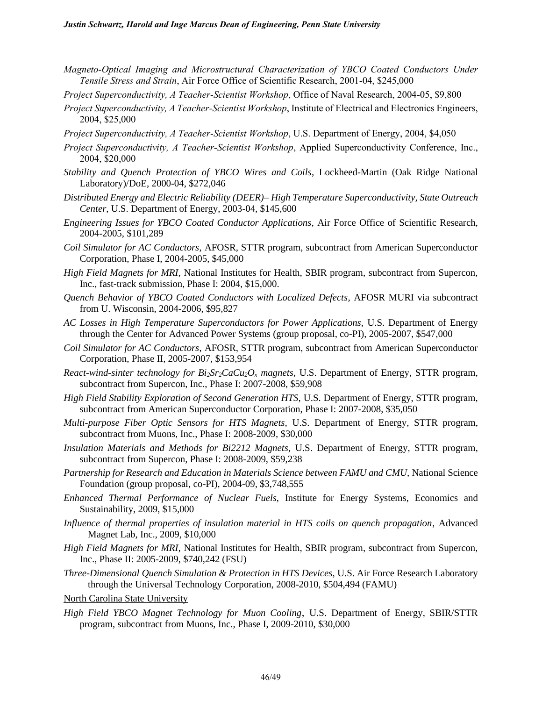- *Magneto-Optical Imaging and Microstructural Characterization of YBCO Coated Conductors Under Tensile Stress and Strain*, Air Force Office of Scientific Research, 2001-04, \$245,000
- *Project Superconductivity, A Teacher-Scientist Workshop*, Office of Naval Research, 2004-05, \$9,800
- *Project Superconductivity, A Teacher-Scientist Workshop*, Institute of Electrical and Electronics Engineers, 2004, \$25,000
- *Project Superconductivity, A Teacher-Scientist Workshop*, U.S. Department of Energy, 2004, \$4,050
- *Project Superconductivity, A Teacher-Scientist Workshop*, Applied Superconductivity Conference, Inc., 2004, \$20,000
- *Stability and Quench Protection of YBCO Wires and Coils*, Lockheed-Martin (Oak Ridge National Laboratory)/DoE, 2000-04, \$272,046
- *Distributed Energy and Electric Reliability (DEER)– High Temperature Superconductivity, State Outreach Center*, U.S. Department of Energy, 2003-04, \$145,600
- *Engineering Issues for YBCO Coated Conductor Applications,* Air Force Office of Scientific Research, 2004-2005, \$101,289
- *Coil Simulator for AC Conductors*, AFOSR, STTR program, subcontract from American Superconductor Corporation, Phase I, 2004-2005, \$45,000
- *High Field Magnets for MRI,* National Institutes for Health, SBIR program, subcontract from Supercon, Inc., fast-track submission, Phase I: 2004, \$15,000.
- *Quench Behavior of YBCO Coated Conductors with Localized Defects*, AFOSR MURI via subcontract from U. Wisconsin, 2004-2006, \$95,827
- *AC Losses in High Temperature Superconductors for Power Applications,* U.S. Department of Energy through the Center for Advanced Power Systems (group proposal, co-PI), 2005-2007, \$547,000
- *Coil Simulator for AC Conductors*, AFOSR, STTR program, subcontract from American Superconductor Corporation, Phase II, 2005-2007, \$153,954
- *React-wind-sinter technology for Bi2Sr2CaCu2O<sup>x</sup> magnets,* U.S. Department of Energy, STTR program, subcontract from Supercon, Inc., Phase I: 2007-2008, \$59,908
- *High Field Stability Exploration of Second Generation HTS,* U.S. Department of Energy, STTR program, subcontract from American Superconductor Corporation, Phase I: 2007-2008, \$35,050
- *Multi-purpose Fiber Optic Sensors for HTS Magnets,* U.S. Department of Energy, STTR program, subcontract from Muons, Inc., Phase I: 2008-2009, \$30,000
- *Insulation Materials and Methods for Bi2212 Magnets,* U.S. Department of Energy, STTR program, subcontract from Supercon, Phase I: 2008-2009, \$59,238
- *Partnership for Research and Education in Materials Science between FAMU and CMU,* National Science Foundation (group proposal, co-PI), 2004-09, \$3,748,555
- *Enhanced Thermal Performance of Nuclear Fuels*, Institute for Energy Systems, Economics and Sustainability, 2009, \$15,000
- *Influence of thermal properties of insulation material in HTS coils on quench propagation*, Advanced Magnet Lab, Inc., 2009, \$10,000
- *High Field Magnets for MRI,* National Institutes for Health, SBIR program, subcontract from Supercon, Inc., Phase II: 2005-2009, \$740,242 (FSU)
- *Three-Dimensional Quench Simulation & Protection in HTS Devices,* U.S. Air Force Research Laboratory through the Universal Technology Corporation, 2008-2010, \$504,494 (FAMU)
- North Carolina State University
- *High Field YBCO Magnet Technology for Muon Cooling*, U.S. Department of Energy, SBIR/STTR program, subcontract from Muons, Inc., Phase I, 2009-2010, \$30,000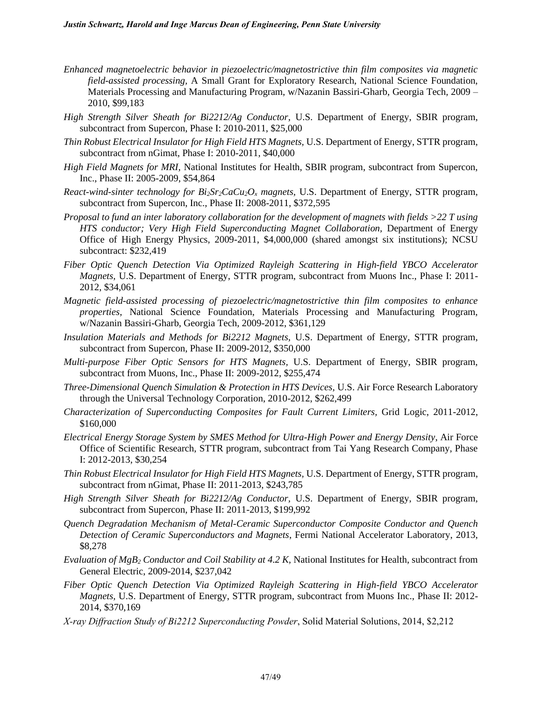- *Enhanced magnetoelectric behavior in piezoelectric/magnetostrictive thin film composites via magnetic field-assisted processing,* A Small Grant for Exploratory Research, National Science Foundation, Materials Processing and Manufacturing Program, w/Nazanin Bassiri-Gharb, Georgia Tech, 2009 – 2010, \$99,183
- *High Strength Silver Sheath for Bi2212/Ag Conductor,* U.S. Department of Energy, SBIR program, subcontract from Supercon, Phase I: 2010-2011, \$25,000
- *Thin Robust Electrical Insulator for High Field HTS Magnets,* U.S. Department of Energy, STTR program, subcontract from nGimat, Phase I: 2010-2011, \$40,000
- *High Field Magnets for MRI,* National Institutes for Health, SBIR program, subcontract from Supercon, Inc., Phase II: 2005-2009, \$54,864
- *React-wind-sinter technology for Bi2Sr2CaCu2O<sup>x</sup> magnets,* U.S. Department of Energy, STTR program, subcontract from Supercon, Inc., Phase II: 2008-2011, \$372,595
- *Proposal to fund an inter laboratory collaboration for the development of magnets with fields >22 T using*  HTS conductor; Very High Field Superconducting Magnet Collaboration, Department of Energy Office of High Energy Physics, 2009-2011, \$4,000,000 (shared amongst six institutions); NCSU subcontract: \$232,419
- *Fiber Optic Quench Detection Via Optimized Rayleigh Scattering in High-field YBCO Accelerator Magnets,* U.S. Department of Energy, STTR program, subcontract from Muons Inc., Phase I: 2011- 2012, \$34,061
- *Magnetic field-assisted processing of piezoelectric/magnetostrictive thin film composites to enhance properties*, National Science Foundation, Materials Processing and Manufacturing Program, w/Nazanin Bassiri-Gharb, Georgia Tech, 2009-2012, \$361,129
- *Insulation Materials and Methods for Bi2212 Magnets,* U.S. Department of Energy, STTR program, subcontract from Supercon, Phase II: 2009-2012, \$350,000
- *Multi-purpose Fiber Optic Sensors for HTS Magnets,* U.S. Department of Energy, SBIR program, subcontract from Muons, Inc., Phase II: 2009-2012, \$255,474
- *Three-Dimensional Quench Simulation & Protection in HTS Devices,* U.S. Air Force Research Laboratory through the Universal Technology Corporation, 2010-2012, \$262,499
- *Characterization of Superconducting Composites for Fault Current Limiters,* Grid Logic, 2011-2012, \$160,000
- *Electrical Energy Storage System by SMES Method for Ultra-High Power and Energy Density*, Air Force Office of Scientific Research, STTR program, subcontract from Tai Yang Research Company, Phase I: 2012-2013, \$30,254
- *Thin Robust Electrical Insulator for High Field HTS Magnets,* U.S. Department of Energy, STTR program, subcontract from nGimat, Phase II: 2011-2013, \$243,785
- *High Strength Silver Sheath for Bi2212/Ag Conductor,* U.S. Department of Energy, SBIR program, subcontract from Supercon, Phase II: 2011-2013, \$199,992
- *Quench Degradation Mechanism of Metal-Ceramic Superconductor Composite Conductor and Quench Detection of Ceramic Superconductors and Magnets*, Fermi National Accelerator Laboratory, 2013, \$8,278
- *Evaluation of MgB<sup>2</sup> Conductor and Coil Stability at 4.2 K,* National Institutes for Health, subcontract from General Electric, 2009-2014, \$237,042
- *Fiber Optic Quench Detection Via Optimized Rayleigh Scattering in High-field YBCO Accelerator Magnets,* U.S. Department of Energy, STTR program, subcontract from Muons Inc., Phase II: 2012- 2014, \$370,169
- *X-ray Diffraction Study of Bi2212 Superconducting Powder*, Solid Material Solutions, 2014, \$2,212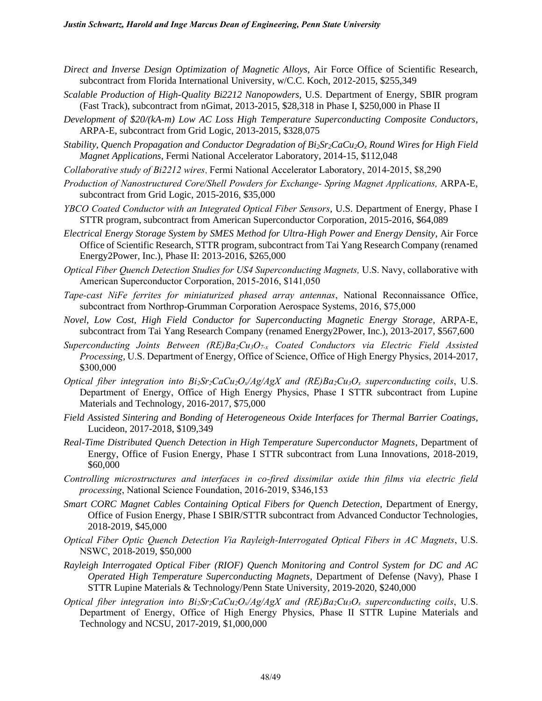- *Direct and Inverse Design Optimization of Magnetic Alloys*, Air Force Office of Scientific Research, subcontract from Florida International University, w/C.C. Koch, 2012-2015, \$255,349
- *Scalable Production of High-Quality Bi2212 Nanopowders,* U.S. Department of Energy, SBIR program (Fast Track), subcontract from nGimat, 2013-2015, \$28,318 in Phase I, \$250,000 in Phase II
- *Development of \$20/(kA-m) Low AC Loss High Temperature Superconducting Composite Conductors*, ARPA-E, subcontract from Grid Logic, 2013-2015, \$328,075
- *Stability, Quench Propagation and Conductor Degradation of Bi2Sr2CaCu2O<sup>x</sup> Round Wires for High Field Magnet Applications*, Fermi National Accelerator Laboratory, 2014-15, \$112,048
- *Collaborative study of Bi2212 wires*, Fermi National Accelerator Laboratory, 2014-2015, \$8,290
- *Production of Nanostructured Core/Shell Powders for Exchange- Spring Magnet Applications,* ARPA-E, subcontract from Grid Logic, 2015-2016, \$35,000
- *YBCO Coated Conductor with an Integrated Optical Fiber Sensors,* U.S. Department of Energy, Phase I STTR program, subcontract from American Superconductor Corporation, 2015-2016, \$64,089
- *Electrical Energy Storage System by SMES Method for Ultra-High Power and Energy Density*, Air Force Office of Scientific Research, STTR program, subcontract from Tai Yang Research Company (renamed Energy2Power, Inc.), Phase II: 2013-2016, \$265,000
- *Optical Fiber Quench Detection Studies for US4 Superconducting Magnets,* U.S. Navy, collaborative with American Superconductor Corporation, 2015-2016, \$141,050
- *Tape-cast NiFe ferrites for miniaturized phased array antennas*, National Reconnaissance Office, subcontract from Northrop-Grumman Corporation Aerospace Systems, 2016, \$75,000
- *Novel, Low Cost, High Field Conductor for Superconducting Magnetic Energy Storage*, ARPA-E, subcontract from Tai Yang Research Company (renamed Energy2Power, Inc.), 2013-2017, \$567,600
- *Superconducting Joints Between (RE)Ba2Cu3O7-x Coated Conductors via Electric Field Assisted Processing,* U.S. Department of Energy, Office of Science, Office of High Energy Physics, 2014-2017, \$300,000
- *Optical fiber integration into*  $Bi_2Sr_2CaCu_2O_x/Ag/AgX$  *and*  $(RE)Ba_2Cu_3O_x$  *superconducting coils, U.S.* Department of Energy, Office of High Energy Physics, Phase I STTR subcontract from Lupine Materials and Technology, 2016-2017, \$75,000
- *Field Assisted Sintering and Bonding of Heterogeneous Oxide Interfaces for Thermal Barrier Coatings,*  Lucideon, 2017-2018, \$109,349
- *Real-Time Distributed Quench Detection in High Temperature Superconductor Magnets*, Department of Energy, Office of Fusion Energy, Phase I STTR subcontract from Luna Innovations, 2018-2019, \$60,000
- *Controlling microstructures and interfaces in co-fired dissimilar oxide thin films via electric field processing*, National Science Foundation, 2016-2019, \$346,153
- *Smart CORC Magnet Cables Containing Optical Fibers for Quench Detection, Department of Energy,* Office of Fusion Energy, Phase I SBIR/STTR subcontract from Advanced Conductor Technologies, 2018-2019, \$45,000
- *Optical Fiber Optic Quench Detection Via Rayleigh-Interrogated Optical Fibers in AC Magnets*, U.S. NSWC, 2018-2019, \$50,000
- *Rayleigh Interrogated Optical Fiber (RIOF) Quench Monitoring and Control System for DC and AC Operated High Temperature Superconducting Magnets,* Department of Defense (Navy), Phase I STTR Lupine Materials & Technology/Penn State University, 2019-2020, \$240,000
- *Optical fiber integration into*  $Bi_2Sr_2CaCu_2O_x/Ag/AgX$  *and*  $(RE)Ba_2Cu_3O_x$  *superconducting coils, U.S.* Department of Energy, Office of High Energy Physics, Phase II STTR Lupine Materials and Technology and NCSU, 2017-2019, \$1,000,000